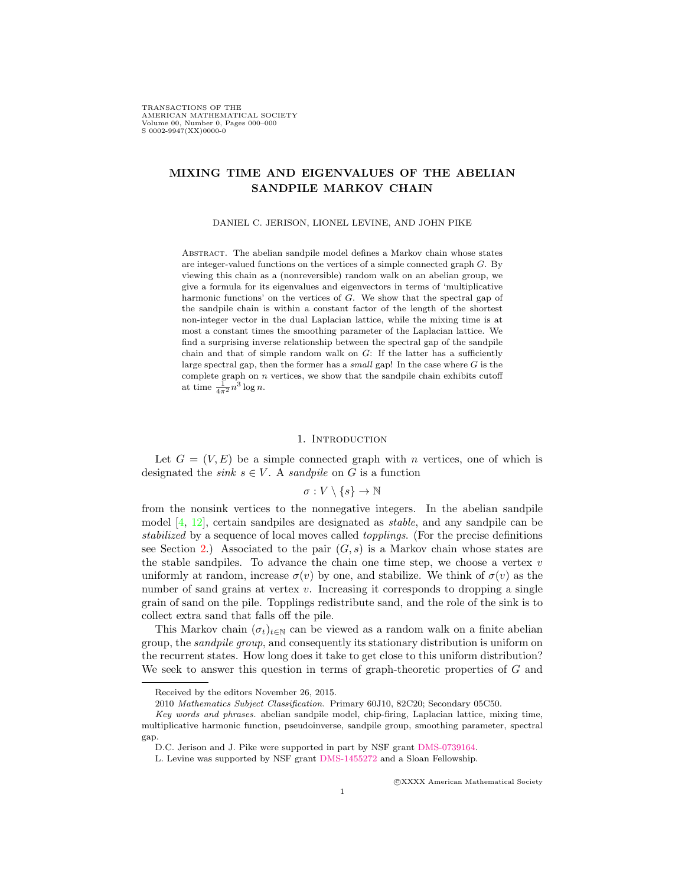TRANSACTIONS OF THE AMERICAN MATHEMATICAL SOCIETY Volume 00, Number 0, Pages 000–000 S 0002-9947(XX)0000-0

# MIXING TIME AND EIGENVALUES OF THE ABELIAN SANDPILE MARKOV CHAIN

DANIEL C. JERISON, LIONEL LEVINE, AND JOHN PIKE

Abstract. The abelian sandpile model defines a Markov chain whose states are integer-valued functions on the vertices of a simple connected graph G. By viewing this chain as a (nonreversible) random walk on an abelian group, we give a formula for its eigenvalues and eigenvectors in terms of 'multiplicative harmonic functions' on the vertices of G. We show that the spectral gap of the sandpile chain is within a constant factor of the length of the shortest non-integer vector in the dual Laplacian lattice, while the mixing time is at most a constant times the smoothing parameter of the Laplacian lattice. We find a surprising inverse relationship between the spectral gap of the sandpile chain and that of simple random walk on  $G$ : If the latter has a sufficiently large spectral gap, then the former has a small gap! In the case where  $G$  is the complete graph on  $n$  vertices, we show that the sandpile chain exhibits cutoff at time  $\frac{1}{4\pi^2} n^3 \log n$ .

#### 1. INTRODUCTION

<span id="page-0-0"></span>Let  $G = (V, E)$  be a simple connected graph with n vertices, one of which is designated the *sink*  $s \in V$ . A *sandpile* on G is a function

# $\sigma: V\setminus\{s\}\to\mathbb{N}$

from the nonsink vertices to the nonnegative integers. In the abelian sandpile model  $[4, 12]$  $[4, 12]$ , certain sandpiles are designated as *stable*, and any sandpile can be stabilized by a sequence of local moves called topplings. (For the precise definitions see Section [2.](#page-4-0)) Associated to the pair  $(G, s)$  is a Markov chain whose states are the stable sandpiles. To advance the chain one time step, we choose a vertex  $v$ uniformly at random, increase  $\sigma(v)$  by one, and stabilize. We think of  $\sigma(v)$  as the number of sand grains at vertex  $v$ . Increasing it corresponds to dropping a single grain of sand on the pile. Topplings redistribute sand, and the role of the sink is to collect extra sand that falls off the pile.

This Markov chain  $(\sigma_t)_{t\in\mathbb{N}}$  can be viewed as a random walk on a finite abelian group, the sandpile group, and consequently its stationary distribution is uniform on the recurrent states. How long does it take to get close to this uniform distribution? We seek to answer this question in terms of graph-theoretic properties of G and

c XXXX American Mathematical Society

Received by the editors November 26, 2015.

<sup>2010</sup> Mathematics Subject Classification. Primary 60J10, 82C20; Secondary 05C50.

Key words and phrases. abelian sandpile model, chip-firing, Laplacian lattice, mixing time, multiplicative harmonic function, pseudoinverse, sandpile group, smoothing parameter, spectral gap.

D.C. Jerison and J. Pike were supported in part by NSF grant [DMS-0739164.](https://nsf.gov/awardsearch/showAward?AWD_ID=0739164&HistoricalAwards=false)

L. Levine was supported by NSF grant [DMS-1455272](http://www.nsf.gov/awardsearch/showAward?AWD_ID=1455272) and a Sloan Fellowship.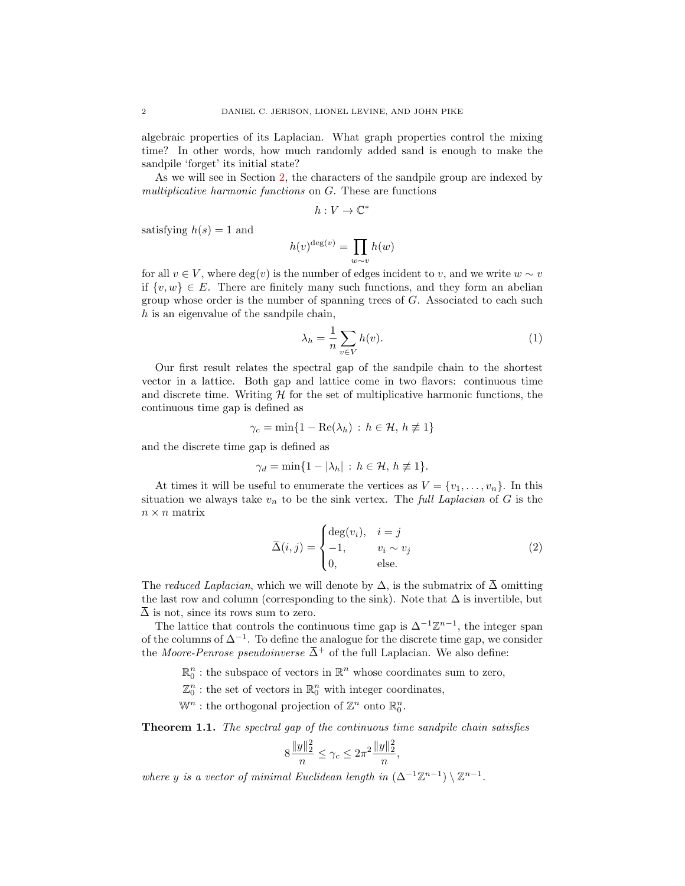algebraic properties of its Laplacian. What graph properties control the mixing time? In other words, how much randomly added sand is enough to make the sandpile 'forget' its initial state?

As we will see in Section [2,](#page-4-0) the characters of the sandpile group are indexed by multiplicative harmonic functions on G. These are functions

$$
h: V \to \mathbb{C}^*
$$

satisfying  $h(s) = 1$  and

$$
h(v)^{\deg(v)} = \prod_{w \sim v} h(w)
$$

for all  $v \in V$ , where  $deg(v)$  is the number of edges incident to v, and we write  $w \sim v$ if  $\{v, w\} \in E$ . There are finitely many such functions, and they form an abelian group whose order is the number of spanning trees of G. Associated to each such  $h$  is an eigenvalue of the sandpile chain,

<span id="page-1-1"></span>
$$
\lambda_h = \frac{1}{n} \sum_{v \in V} h(v). \tag{1}
$$

Our first result relates the spectral gap of the sandpile chain to the shortest vector in a lattice. Both gap and lattice come in two flavors: continuous time and discrete time. Writing  $\mathcal H$  for the set of multiplicative harmonic functions, the continuous time gap is defined as

$$
\gamma_c = \min\{1 - \text{Re}(\lambda_h) : h \in \mathcal{H}, h \neq 1\}
$$

and the discrete time gap is defined as

$$
\gamma_d = \min\{1 - |\lambda_h| : h \in \mathcal{H}, h \neq 1\}.
$$

At times it will be useful to enumerate the vertices as  $V = \{v_1, \ldots, v_n\}$ . In this situation we always take  $v_n$  to be the sink vertex. The *full Laplacian* of G is the  $n \times n$  matrix

<span id="page-1-2"></span>
$$
\overline{\Delta}(i,j) = \begin{cases}\n\deg(v_i), & i = j \\
-1, & v_i \sim v_j \\
0, & \text{else.} \n\end{cases}
$$
\n(2)

The reduced Laplacian, which we will denote by  $\Delta$ , is the submatrix of  $\overline{\Delta}$  omitting the last row and column (corresponding to the sink). Note that  $\Delta$  is invertible, but  $\overline{\Delta}$  is not, since its rows sum to zero.

The lattice that controls the continuous time gap is  $\Delta^{-1}\mathbb{Z}^{n-1}$ , the integer span of the columns of  $\Delta^{-1}$ . To define the analogue for the discrete time gap, we consider the Moore-Penrose pseudoinverse  $\overline{\Delta}^+$  of the full Laplacian. We also define:

 $\mathbb{R}^n_0$ : the subspace of vectors in  $\mathbb{R}^n$  whose coordinates sum to zero,

 $\mathbb{Z}_0^n$ : the set of vectors in  $\mathbb{R}_0^n$  with integer coordinates,

 $\mathbb{W}^n$ : the orthogonal projection of  $\mathbb{Z}^n$  onto  $\mathbb{R}^n_0$ .

<span id="page-1-0"></span>Theorem 1.1. The spectral gap of the continuous time sandpile chain satisfies

$$
8\frac{\|y\|_2^2}{n} \le \gamma_c \le 2\pi^2 \frac{\|y\|_2^2}{n},
$$

where y is a vector of minimal Euclidean length in  $(\Delta^{-1}\mathbb{Z}^{n-1})\setminus \mathbb{Z}^{n-1}$ .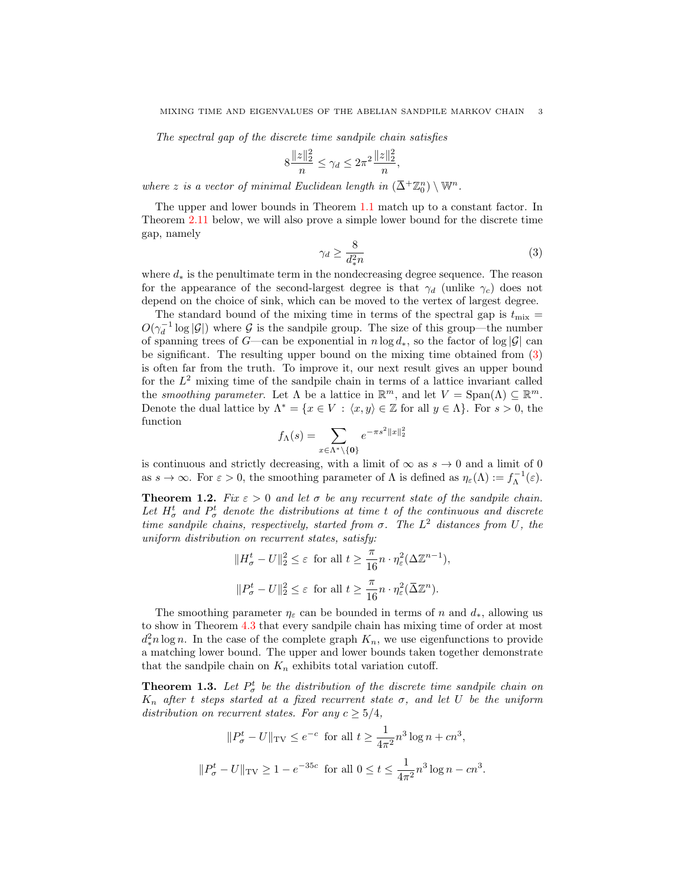The spectral gap of the discrete time sandpile chain satisfies

$$
8\frac{\|z\|_2^2}{n} \le \gamma_d \le 2\pi^2 \frac{\|z\|_2^2}{n},
$$

where z is a vector of minimal Euclidean length in  $(\bar{\Delta}^+ \mathbb{Z}_0^n) \setminus \mathbb{W}^n$ .

<span id="page-2-0"></span>The upper and lower bounds in Theorem [1.1](#page-1-0) match up to a constant factor. In Theorem [2.11](#page-10-0) below, we will also prove a simple lower bound for the discrete time gap, namely

$$
\gamma_d \ge \frac{8}{d_*^2 n} \tag{3}
$$

where  $d_*$  is the penultimate term in the nondecreasing degree sequence. The reason for the appearance of the second-largest degree is that  $\gamma_d$  (unlike  $\gamma_c$ ) does not depend on the choice of sink, which can be moved to the vertex of largest degree.

The standard bound of the mixing time in terms of the spectral gap is  $t_{\text{mix}} =$  $O(\gamma_d^{-1} \log |\mathcal{G}|)$  where  $\mathcal G$  is the sandpile group. The size of this group—the number of spanning trees of G—can be exponential in  $n \log d_*$ , so the factor of  $\log |\mathcal{G}|$  can be significant. The resulting upper bound on the mixing time obtained from [\(3\)](#page-2-0) is often far from the truth. To improve it, our next result gives an upper bound for the  $L^2$  mixing time of the sandpile chain in terms of a lattice invariant called the smoothing parameter. Let  $\Lambda$  be a lattice in  $\mathbb{R}^m$ , and let  $V = \text{Span}(\Lambda) \subseteq \mathbb{R}^m$ . Denote the dual lattice by  $\Lambda^* = \{x \in V : \langle x, y \rangle \in \mathbb{Z} \text{ for all } y \in \Lambda\}.$  For  $s > 0$ , the function

$$
f_{\Lambda}(s) = \sum_{x \in \Lambda^* \backslash \{\mathbf{0}\}} e^{-\pi s^2 ||x||_2^2}
$$

is continuous and strictly decreasing, with a limit of  $\infty$  as  $s \to 0$  and a limit of 0 as  $s \to \infty$ . For  $\varepsilon > 0$ , the smoothing parameter of  $\Lambda$  is defined as  $\eta_{\varepsilon}(\Lambda) := f_{\Lambda}^{-1}(\varepsilon)$ .

<span id="page-2-1"></span>**Theorem 1.2.** Fix  $\varepsilon > 0$  and let  $\sigma$  be any recurrent state of the sandpile chain. Let  $H^t_\sigma$  and  $P^t_\sigma$  denote the distributions at time t of the continuous and discrete time sandpile chains, respectively, started from  $\sigma$ . The  $L^2$  distances from U, the uniform distribution on recurrent states, satisfy:

$$
||H_{\sigma}^{t} - U||_{2}^{2} \leq \varepsilon \text{ for all } t \geq \frac{\pi}{16}n \cdot \eta_{\varepsilon}^{2}(\Delta \mathbb{Z}^{n-1}),
$$
  

$$
||P_{\sigma}^{t} - U||_{2}^{2} \leq \varepsilon \text{ for all } t \geq \frac{\pi}{16}n \cdot \eta_{\varepsilon}^{2}(\overline{\Delta} \mathbb{Z}^{n}).
$$

The smoothing parameter  $\eta_{\varepsilon}$  can be bounded in terms of n and  $d_*$ , allowing us to show in Theorem [4.3](#page-25-0) that every sandpile chain has mixing time of order at most  $d_*^2 n \log n$ . In the case of the complete graph  $K_n$ , we use eigenfunctions to provide a matching lower bound. The upper and lower bounds taken together demonstrate that the sandpile chain on  $K_n$  exhibits total variation cutoff.

<span id="page-2-2"></span>**Theorem 1.3.** Let  $P^t_{\sigma}$  be the distribution of the discrete time sandpile chain on  $K_n$  after t steps started at a fixed recurrent state  $\sigma$ , and let U be the uniform distribution on recurrent states. For any  $c \geq 5/4$ ,

$$
||P_{\sigma}^{t} - U||_{\text{TV}} \le e^{-c} \text{ for all } t \ge \frac{1}{4\pi^{2}} n^{3} \log n + cn^{3},
$$
  

$$
||P_{\sigma}^{t} - U||_{\text{TV}} \ge 1 - e^{-35c} \text{ for all } 0 \le t \le \frac{1}{4\pi^{2}} n^{3} \log n - cn^{3}.
$$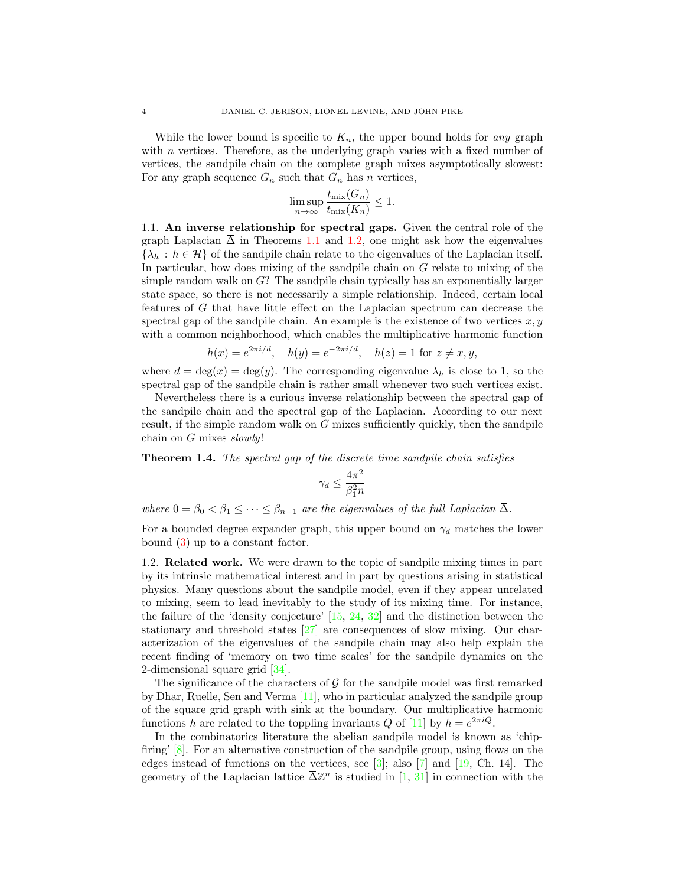While the lower bound is specific to  $K_n$ , the upper bound holds for any graph with *n* vertices. Therefore, as the underlying graph varies with a fixed number of vertices, the sandpile chain on the complete graph mixes asymptotically slowest: For any graph sequence  $G_n$  such that  $G_n$  has n vertices,

$$
\limsup_{n \to \infty} \frac{t_{\text{mix}}(G_n)}{t_{\text{mix}}(K_n)} \le 1.
$$

1.1. An inverse relationship for spectral gaps. Given the central role of the graph Laplacian  $\overline{\Delta}$  in Theorems [1.1](#page-1-0) and [1.2,](#page-2-1) one might ask how the eigenvalues  ${\lambda_h : h \in \mathcal{H}}$  of the sandpile chain relate to the eigenvalues of the Laplacian itself. In particular, how does mixing of the sandpile chain on G relate to mixing of the simple random walk on  $G$ ? The sandpile chain typically has an exponentially larger state space, so there is not necessarily a simple relationship. Indeed, certain local features of G that have little effect on the Laplacian spectrum can decrease the spectral gap of the sandpile chain. An example is the existence of two vertices  $x, y$ with a common neighborhood, which enables the multiplicative harmonic function

$$
h(x) = e^{2\pi i/d}
$$
,  $h(y) = e^{-2\pi i/d}$ ,  $h(z) = 1$  for  $z \neq x, y$ ,

where  $d = \deg(x) = \deg(y)$ . The corresponding eigenvalue  $\lambda_h$  is close to 1, so the spectral gap of the sandpile chain is rather small whenever two such vertices exist.

Nevertheless there is a curious inverse relationship between the spectral gap of the sandpile chain and the spectral gap of the Laplacian. According to our next result, if the simple random walk on G mixes sufficiently quickly, then the sandpile chain on  $G$  mixes slowly!

<span id="page-3-0"></span>Theorem 1.4. The spectral gap of the discrete time sandpile chain satisfies

$$
\gamma_d \leq \frac{4\pi^2}{\beta_1^2 n}
$$

where  $0 = \beta_0 < \beta_1 \leq \cdots \leq \beta_{n-1}$  are the eigenvalues of the full Laplacian  $\overline{\Delta}$ .

For a bounded degree expander graph, this upper bound on  $\gamma_d$  matches the lower bound [\(3\)](#page-2-0) up to a constant factor.

1.2. Related work. We were drawn to the topic of sandpile mixing times in part by its intrinsic mathematical interest and in part by questions arising in statistical physics. Many questions about the sandpile model, even if they appear unrelated to mixing, seem to lead inevitably to the study of its mixing time. For instance, the failure of the 'density conjecture' [\[15,](#page-36-2) [24,](#page-37-0) [32\]](#page-37-1) and the distinction between the stationary and threshold states  $[27]$  are consequences of slow mixing. Our characterization of the eigenvalues of the sandpile chain may also help explain the recent finding of 'memory on two time scales' for the sandpile dynamics on the 2-dimensional square grid [\[34\]](#page-37-3).

The significance of the characters of  $\mathcal G$  for the sandpile model was first remarked by Dhar, Ruelle, Sen and Verma [\[11\]](#page-36-3), who in particular analyzed the sandpile group of the square grid graph with sink at the boundary. Our multiplicative harmonic functions h are related to the toppling invariants Q of [\[11\]](#page-36-3) by  $h = e^{2\pi i Q}$ .

In the combinatorics literature the abelian sandpile model is known as 'chipfiring' [\[8\]](#page-36-4). For an alternative construction of the sandpile group, using flows on the edges instead of functions on the vertices, see  $[3]$ ; also  $[7]$  and  $[19]$ , Ch. 14]. The geometry of the Laplacian lattice  $\overline{\Delta} \mathbb{Z}^n$  is studied in [\[1,](#page-36-7) [31\]](#page-37-5) in connection with the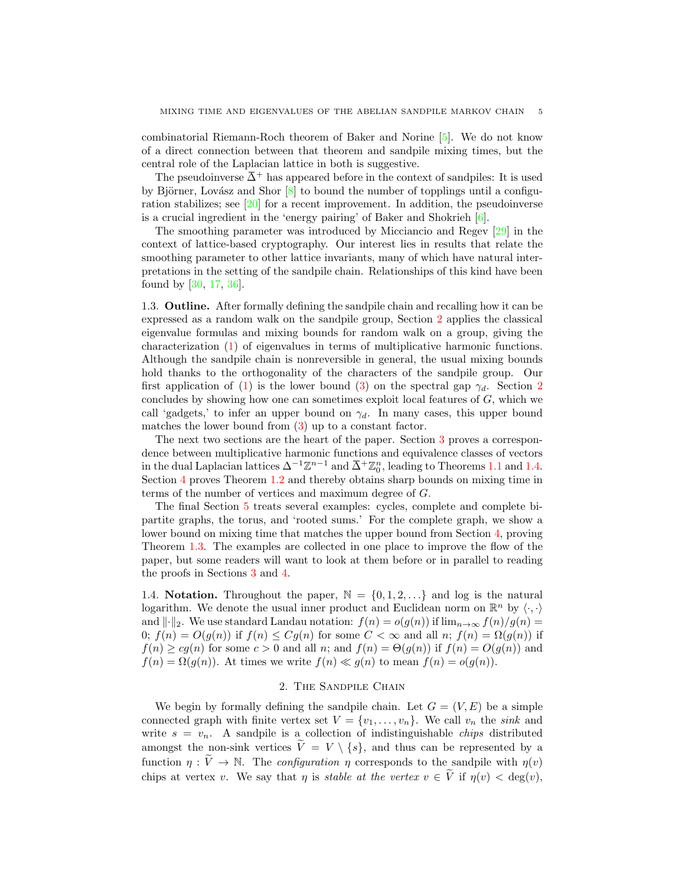combinatorial Riemann-Roch theorem of Baker and Norine [\[5\]](#page-36-8). We do not know of a direct connection between that theorem and sandpile mixing times, but the central role of the Laplacian lattice in both is suggestive.

The pseudoinverse  $\overline{\Delta}^+$  has appeared before in the context of sandpiles: It is used by Björner, Lovász and Shor  $[8]$  to bound the number of topplings until a configuration stabilizes; see [\[20\]](#page-37-6) for a recent improvement. In addition, the pseudoinverse is a crucial ingredient in the 'energy pairing' of Baker and Shokrieh [\[6\]](#page-36-9).

The smoothing parameter was introduced by Micciancio and Regev [\[29\]](#page-37-7) in the context of lattice-based cryptography. Our interest lies in results that relate the smoothing parameter to other lattice invariants, many of which have natural interpretations in the setting of the sandpile chain. Relationships of this kind have been found by [\[30,](#page-37-8) [17,](#page-36-10) [36\]](#page-37-9).

1.3. Outline. After formally defining the sandpile chain and recalling how it can be expressed as a random walk on the sandpile group, Section [2](#page-4-0) applies the classical eigenvalue formulas and mixing bounds for random walk on a group, giving the characterization [\(1\)](#page-1-1) of eigenvalues in terms of multiplicative harmonic functions. Although the sandpile chain is nonreversible in general, the usual mixing bounds hold thanks to the orthogonality of the characters of the sandpile group. Our first application of [\(1\)](#page-1-1) is the lower bound [\(3\)](#page-2-0) on the spectral gap  $\gamma_d$ . Section [2](#page-4-0) concludes by showing how one can sometimes exploit local features of G, which we call 'gadgets,' to infer an upper bound on  $\gamma_d$ . In many cases, this upper bound matches the lower bound from [\(3\)](#page-2-0) up to a constant factor.

The next two sections are the heart of the paper. Section [3](#page-14-0) proves a correspondence between multiplicative harmonic functions and equivalence classes of vectors in the dual Laplacian lattices  $\Delta^{-1}\mathbb{Z}^{n-1}$  and  $\bar{\Delta}^+\mathbb{Z}_0^n$ , leading to Theorems [1.1](#page-1-0) and [1.4.](#page-3-0) Section [4](#page-23-0) proves Theorem [1.2](#page-2-1) and thereby obtains sharp bounds on mixing time in terms of the number of vertices and maximum degree of G.

The final Section [5](#page-28-0) treats several examples: cycles, complete and complete bipartite graphs, the torus, and 'rooted sums.' For the complete graph, we show a lower bound on mixing time that matches the upper bound from Section [4,](#page-23-0) proving Theorem [1.3.](#page-2-2) The examples are collected in one place to improve the flow of the paper, but some readers will want to look at them before or in parallel to reading the proofs in Sections [3](#page-14-0) and [4.](#page-23-0)

1.4. Notation. Throughout the paper,  $\mathbb{N} = \{0, 1, 2, \ldots\}$  and log is the natural logarithm. We denote the usual inner product and Euclidean norm on  $\mathbb{R}^n$  by  $\langle \cdot, \cdot \rangle$ and  $\|\cdot\|_2$ . We use standard Landau notation:  $f(n) = o(g(n))$  if  $\lim_{n\to\infty} f(n)/g(n) =$ 0;  $f(n) = O(g(n))$  if  $f(n) \leq Cg(n)$  for some  $C < \infty$  and all n;  $f(n) = \Omega(g(n))$  if  $f(n) \ge cg(n)$  for some  $c > 0$  and all n; and  $f(n) = \Theta(g(n))$  if  $f(n) = O(g(n))$  and  $f(n) = \Omega(g(n))$ . At times we write  $f(n) \ll g(n)$  to mean  $f(n) = o(g(n))$ .

# 2. The Sandpile Chain

<span id="page-4-0"></span>We begin by formally defining the sandpile chain. Let  $G = (V, E)$  be a simple connected graph with finite vertex set  $V = \{v_1, \ldots, v_n\}$ . We call  $v_n$  the sink and write  $s = v_n$ . A sandpile is a collection of indistinguishable *chips* distributed amongst the non-sink vertices  $V = V \setminus \{s\}$ , and thus can be represented by a function  $\eta : \tilde{V} \to \mathbb{N}$ . The *configuration*  $\eta$  corresponds to the sandpile with  $\eta(v)$ chips at vertex v. We say that  $\eta$  is stable at the vertex  $v \in \tilde{V}$  if  $\eta(v) < \deg(v)$ .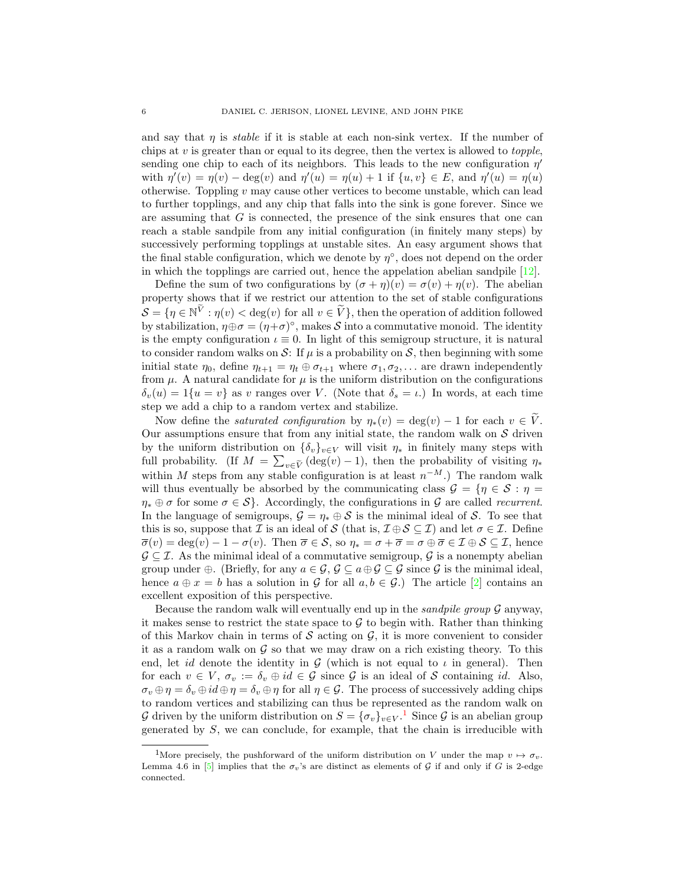and say that  $\eta$  is *stable* if it is stable at each non-sink vertex. If the number of chips at  $v$  is greater than or equal to its degree, then the vertex is allowed to *topple*, sending one chip to each of its neighbors. This leads to the new configuration  $\eta'$ with  $\eta'(v) = \eta(v) - \deg(v)$  and  $\eta'(u) = \eta(u) + 1$  if  $\{u, v\} \in E$ , and  $\eta'(u) = \eta(u)$ otherwise. Toppling  $v$  may cause other vertices to become unstable, which can lead to further topplings, and any chip that falls into the sink is gone forever. Since we are assuming that G is connected, the presence of the sink ensures that one can reach a stable sandpile from any initial configuration (in finitely many steps) by successively performing topplings at unstable sites. An easy argument shows that the final stable configuration, which we denote by  $\eta^{\circ}$ , does not depend on the order in which the topplings are carried out, hence the appelation abelian sandpile [\[12\]](#page-36-1).

Define the sum of two configurations by  $(\sigma + \eta)(v) = \sigma(v) + \eta(v)$ . The abelian property shows that if we restrict our attention to the set of stable configurations  $\mathcal{S} = \{ \eta \in \mathbb{N}^{\tilde{V}} : \eta(v) < \deg(v) \text{ for all } v \in \tilde{V} \},\$  then the operation of addition followed by stabilization,  $\eta \oplus \sigma = (\eta + \sigma)^{\circ}$ , makes S into a commutative monoid. The identity is the empty configuration  $\iota \equiv 0$ . In light of this semigroup structure, it is natural to consider random walks on S: If  $\mu$  is a probability on S, then beginning with some initial state  $\eta_0$ , define  $\eta_{t+1} = \eta_t \oplus \sigma_{t+1}$  where  $\sigma_1, \sigma_2, \ldots$  are drawn independently from  $\mu$ . A natural candidate for  $\mu$  is the uniform distribution on the configurations  $\delta_v(u) = 1\{u = v\}$  as v ranges over V. (Note that  $\delta_s = \iota$ .) In words, at each time step we add a chip to a random vertex and stabilize.

Now define the *saturated configuration* by  $\eta_*(v) = \deg(v) - 1$  for each  $v \in V$ . Our assumptions ensure that from any initial state, the random walk on  $S$  driven by the uniform distribution on  $\{\delta_v\}_{v\in V}$  will visit  $\eta_*$  in finitely many steps with full probability. (If  $M = \sum_{v \in \tilde{V}} (\deg(v) - 1)$ , then the probability of visiting  $\eta_*$ within M steps from any stable configuration is at least  $n^{-M}$ .) The random walk will thus eventually be absorbed by the communicating class  $\mathcal{G} = \{ \eta \in \mathcal{S} : \eta =$  $\eta_* \oplus \sigma$  for some  $\sigma \in \mathcal{S}\}$ . Accordingly, the configurations in G are called recurrent. In the language of semigroups,  $\mathcal{G} = \eta_* \oplus \mathcal{S}$  is the minimal ideal of S. To see that this is so, suppose that *I* is an ideal of S (that is,  $\mathcal{I} \oplus \mathcal{S} \subseteq \mathcal{I}$ ) and let  $\sigma \in \mathcal{I}$ . Define  $\overline{\sigma}(v) = \deg(v) - 1 - \sigma(v)$ . Then  $\overline{\sigma} \in \mathcal{S}$ , so  $\eta_* = \sigma + \overline{\sigma} = \sigma \oplus \overline{\sigma} \in \mathcal{I} \oplus \mathcal{S} \subseteq \mathcal{I}$ , hence  $\mathcal{G} \subseteq \mathcal{I}$ . As the minimal ideal of a commutative semigroup,  $\mathcal{G}$  is a nonempty abelian group under  $\oplus$ . (Briefly, for any  $a \in \mathcal{G}, \mathcal{G} \subseteq a \oplus \mathcal{G} \subseteq \mathcal{G}$  since  $\mathcal{G}$  is the minimal ideal, hence  $a \oplus x = b$  has a solution in G for all  $a, b \in \mathcal{G}$ .) The article [\[2\]](#page-36-11) contains an excellent exposition of this perspective.

Because the random walk will eventually end up in the sandpile group  $G$  anyway, it makes sense to restrict the state space to  $\mathcal G$  to begin with. Rather than thinking of this Markov chain in terms of  $S$  acting on  $G$ , it is more convenient to consider it as a random walk on  $\mathcal G$  so that we may draw on a rich existing theory. To this end, let id denote the identity in  $G$  (which is not equal to  $\iota$  in general). Then for each  $v \in V$ ,  $\sigma_v := \delta_v \oplus id \in \mathcal{G}$  since  $\mathcal{G}$  is an ideal of S containing id. Also,  $\sigma_v \oplus \eta = \delta_v \oplus id \oplus \eta = \delta_v \oplus \eta$  for all  $\eta \in \mathcal{G}$ . The process of successively adding chips to random vertices and stabilizing can thus be represented as the random walk on G driven by the uniform distribution on  $S = {\{\sigma_v\}}_{v \in V}$ .<sup>[1](#page-5-0)</sup> Since G is an abelian group generated by  $S$ , we can conclude, for example, that the chain is irreducible with

<span id="page-5-0"></span><sup>&</sup>lt;sup>1</sup>More precisely, the pushforward of the uniform distribution on V under the map  $v \mapsto \sigma_v$ . Lemma 4.6 in [\[5\]](#page-36-8) implies that the  $\sigma_v$ 's are distinct as elements of G if and only if G is 2-edge connected.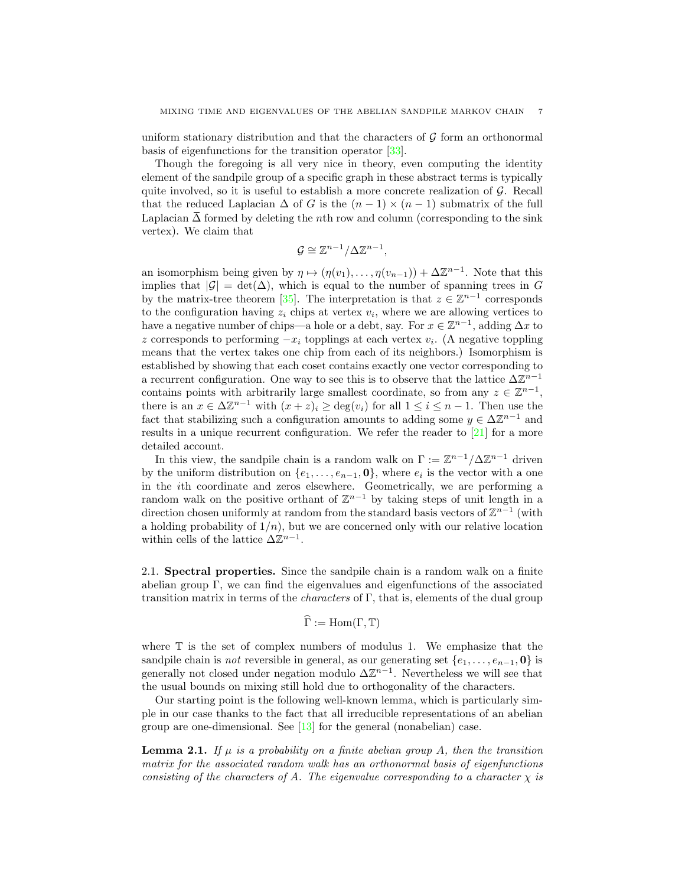uniform stationary distribution and that the characters of  $\mathcal G$  form an orthonormal basis of eigenfunctions for the transition operator [\[33\]](#page-37-10).

Though the foregoing is all very nice in theory, even computing the identity element of the sandpile group of a specific graph in these abstract terms is typically quite involved, so it is useful to establish a more concrete realization of  $\mathcal G$ . Recall that the reduced Laplacian  $\Delta$  of G is the  $(n-1) \times (n-1)$  submatrix of the full Laplacian  $\Delta$  formed by deleting the nth row and column (corresponding to the sink vertex). We claim that

$$
\mathcal{G} \cong \mathbb{Z}^{n-1}/\Delta \mathbb{Z}^{n-1},
$$

an isomorphism being given by  $\eta \mapsto (\eta(v_1), \dots, \eta(v_{n-1})) + \Delta \mathbb{Z}^{n-1}$ . Note that this implies that  $|\mathcal{G}| = \det(\Delta)$ , which is equal to the number of spanning trees in G by the matrix-tree theorem [\[35\]](#page-37-11). The interpretation is that  $z \in \mathbb{Z}^{n-1}$  corresponds to the configuration having  $z_i$  chips at vertex  $v_i$ , where we are allowing vertices to have a negative number of chips—a hole or a debt, say. For  $x \in \mathbb{Z}^{n-1}$ , adding  $\Delta x$  to z corresponds to performing  $-x_i$  topplings at each vertex  $v_i$ . (A negative toppling means that the vertex takes one chip from each of its neighbors.) Isomorphism is established by showing that each coset contains exactly one vector corresponding to a recurrent configuration. One way to see this is to observe that the lattice  $\Delta \mathbb{Z}^{n-1}$ contains points with arbitrarily large smallest coordinate, so from any  $z \in \mathbb{Z}^{n-1}$ , there is an  $x \in \Delta \mathbb{Z}^{n-1}$  with  $(x + z)_i \geq \deg(v_i)$  for all  $1 \leq i \leq n-1$ . Then use the fact that stabilizing such a configuration amounts to adding some  $y \in \Delta \mathbb{Z}^{n-1}$  and results in a unique recurrent configuration. We refer the reader to [\[21\]](#page-37-12) for a more detailed account.

In this view, the sandpile chain is a random walk on  $\Gamma := \mathbb{Z}^{n-1}/\Delta \mathbb{Z}^{n-1}$  driven by the uniform distribution on  $\{e_1, \ldots, e_{n-1}, \mathbf{0}\}$ , where  $e_i$  is the vector with a one in the ith coordinate and zeros elsewhere. Geometrically, we are performing a random walk on the positive orthant of  $\mathbb{Z}^{n-1}$  by taking steps of unit length in a direction chosen uniformly at random from the standard basis vectors of  $\mathbb{Z}^{n-1}$  (with a holding probability of  $1/n$ , but we are concerned only with our relative location within cells of the lattice  $\Delta \mathbb{Z}^{n-1}$ .

2.1. Spectral properties. Since the sandpile chain is a random walk on a finite abelian group Γ, we can find the eigenvalues and eigenfunctions of the associated transition matrix in terms of the *characters* of  $\Gamma$ , that is, elements of the dual group

$$
\widehat{\Gamma} := \mathrm{Hom}(\Gamma, \mathbb{T})
$$

where T is the set of complex numbers of modulus 1. We emphasize that the sandpile chain is *not* reversible in general, as our generating set  $\{e_1, \ldots, e_{n-1}, 0\}$  is generally not closed under negation modulo  $\Delta \mathbb{Z}^{n-1}$ . Nevertheless we will see that the usual bounds on mixing still hold due to orthogonality of the characters.

Our starting point is the following well-known lemma, which is particularly simple in our case thanks to the fact that all irreducible representations of an abelian group are one-dimensional. See [\[13\]](#page-36-12) for the general (nonabelian) case.

<span id="page-6-0"></span>**Lemma 2.1.** If  $\mu$  is a probability on a finite abelian group A, then the transition matrix for the associated random walk has an orthonormal basis of eigenfunctions consisting of the characters of A. The eigenvalue corresponding to a character  $\chi$  is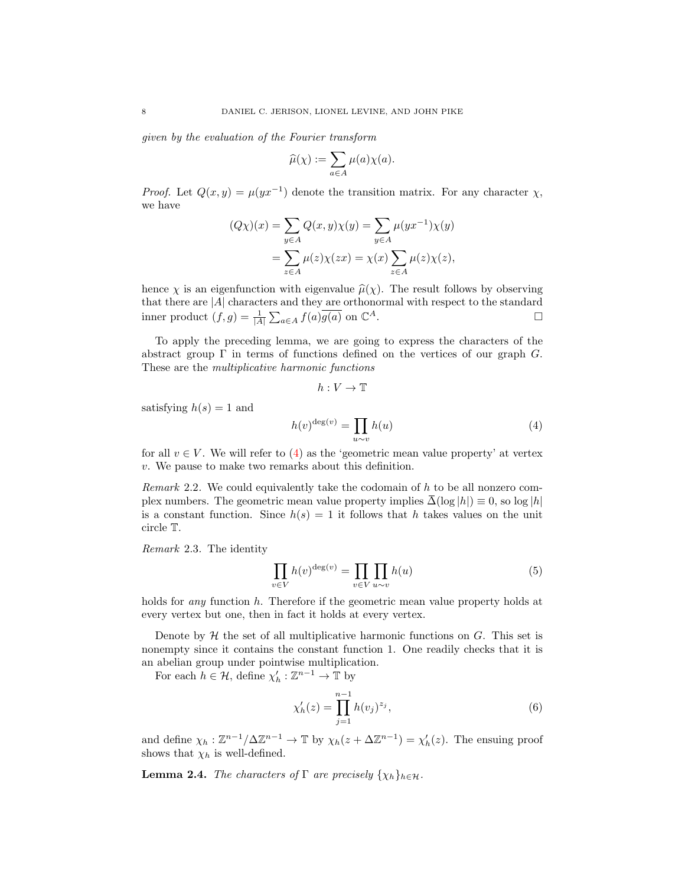given by the evaluation of the Fourier transform

$$
\widehat{\mu}(\chi) := \sum_{a \in A} \mu(a) \chi(a).
$$

*Proof.* Let  $Q(x, y) = \mu(yx^{-1})$  denote the transition matrix. For any character  $\chi$ , we have

$$
(Q\chi)(x) = \sum_{y \in A} Q(x, y)\chi(y) = \sum_{y \in A} \mu(yx^{-1})\chi(y)
$$

$$
= \sum_{z \in A} \mu(z)\chi(zx) = \chi(x)\sum_{z \in A} \mu(z)\chi(z),
$$

hence  $\chi$  is an eigenfunction with eigenvalue  $\hat{\mu}(\chi)$ . The result follows by observing that there are  $|A|$  characters and they are orthonormal with respect to the standard inner product  $(f,g) = \frac{1}{|A|} \sum_{a \in A} f(a) \overline{g(a)}$  on  $\mathbb{C}$  $A$ .

To apply the preceding lemma, we are going to express the characters of the abstract group  $\Gamma$  in terms of functions defined on the vertices of our graph  $G$ . These are the multiplicative harmonic functions

$$
h:V\to \mathbb{T}
$$

satisfying  $h(s) = 1$  and

<span id="page-7-0"></span>
$$
h(v)^{\deg(v)} = \prod_{u \sim v} h(u) \tag{4}
$$

for all  $v \in V$ . We will refer to [\(4\)](#page-7-0) as the 'geometric mean value property' at vertex v. We pause to make two remarks about this definition.

*Remark* 2.2. We could equivalently take the codomain of  $h$  to be all nonzero complex numbers. The geometric mean value property implies  $\Delta(\log|h|) \equiv 0$ , so  $\log|h|$ is a constant function. Since  $h(s) = 1$  it follows that h takes values on the unit circle T.

<span id="page-7-4"></span>Remark 2.3. The identity

<span id="page-7-2"></span>
$$
\prod_{v \in V} h(v)^{\deg(v)} = \prod_{v \in V} \prod_{u \sim v} h(u) \tag{5}
$$

holds for *any* function h. Therefore if the geometric mean value property holds at every vertex but one, then in fact it holds at every vertex.

Denote by  $H$  the set of all multiplicative harmonic functions on  $G$ . This set is nonempty since it contains the constant function 1. One readily checks that it is an abelian group under pointwise multiplication.

For each  $h \in \mathcal{H}$ , define  $\chi'_h : \mathbb{Z}^{n-1} \to \mathbb{T}$  by

<span id="page-7-1"></span>
$$
\chi'_h(z) = \prod_{j=1}^{n-1} h(v_j)^{z_j},\tag{6}
$$

and define  $\chi_h : \mathbb{Z}^{n-1}/\Delta \mathbb{Z}^{n-1} \to \mathbb{T}$  by  $\chi_h(z + \Delta \mathbb{Z}^{n-1}) = \chi'_h(z)$ . The ensuing proof shows that  $\chi_h$  is well-defined.

<span id="page-7-3"></span>**Lemma 2.4.** The characters of  $\Gamma$  are precisely  $\{\chi_h\}_{h \in \mathcal{H}}$ .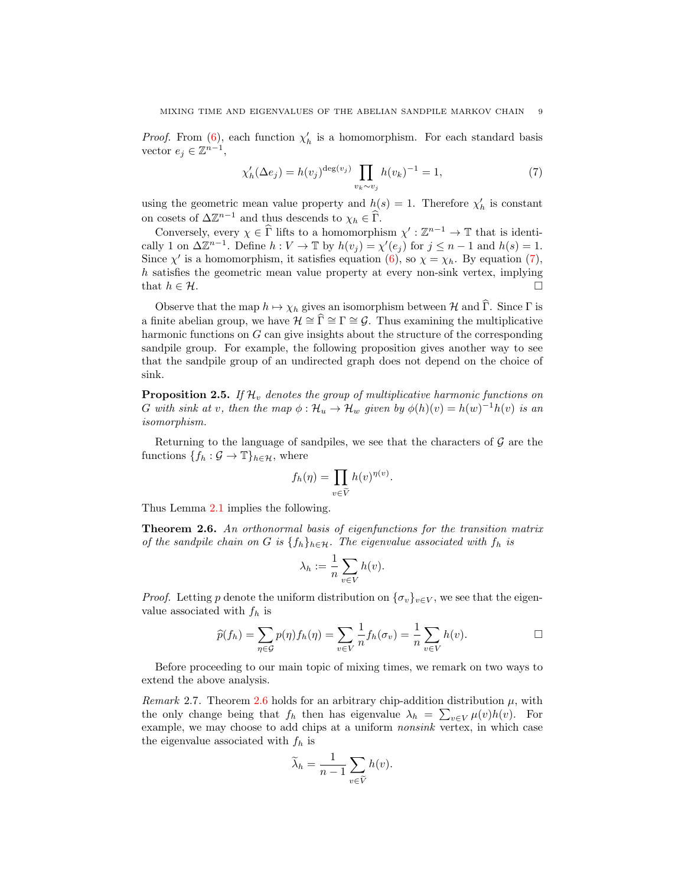*Proof.* From [\(6\)](#page-7-1), each function  $\chi'_h$  is a homomorphism. For each standard basis vector  $e_j \in \mathbb{Z}^{n-1}$ ,

<span id="page-8-0"></span>
$$
\chi'_h(\Delta e_j) = h(v_j)^{\deg(v_j)} \prod_{v_k \sim v_j} h(v_k)^{-1} = 1,\tag{7}
$$

using the geometric mean value property and  $h(s) = 1$ . Therefore  $\chi'_h$  is constant on cosets of  $\Delta \mathbb{Z}^{n-1}$  and thus descends to  $\chi_h \in \widehat{\Gamma}$ .

Conversely, every  $\chi \in \widehat{\Gamma}$  lifts to a homomorphism  $\chi': \mathbb{Z}^{n-1} \to \mathbb{T}$  that is identically 1 on  $\Delta \mathbb{Z}^{n-1}$ . Define  $h: V \to \mathbb{T}$  by  $h(v_j) = \chi'(e_j)$  for  $j \leq n-1$  and  $h(s) = 1$ . Since  $\chi'$  is a homomorphism, it satisfies equation [\(6\)](#page-7-1), so  $\chi = \chi_h$ . By equation [\(7\)](#page-8-0), h satisfies the geometric mean value property at every non-sink vertex, implying that  $h \in \mathcal{H}$ .

Observe that the map  $h \mapsto \chi_h$  gives an isomorphism between H and  $\hat{\Gamma}$ . Since  $\Gamma$  is a finite abelian group, we have  $\mathcal{H} \cong \widehat{\Gamma} \cong \Gamma \cong \mathcal{G}$ . Thus examining the multiplicative harmonic functions on G can give insights about the structure of the corresponding sandpile group. For example, the following proposition gives another way to see that the sandpile group of an undirected graph does not depend on the choice of sink.

<span id="page-8-2"></span>**Proposition 2.5.** If  $\mathcal{H}_v$  denotes the group of multiplicative harmonic functions on G with sink at v, then the map  $\phi : \mathcal{H}_u \to \mathcal{H}_w$  given by  $\phi(h)(v) = h(w)^{-1}h(v)$  is an isomorphism.

Returning to the language of sandpiles, we see that the characters of  $\mathcal G$  are the functions  $\{f_h: \mathcal{G} \to \mathbb{T}\}_{h \in \mathcal{H}}$ , where

$$
f_h(\eta) = \prod_{v \in \widetilde{V}} h(v)^{\eta(v)}.
$$

Thus Lemma [2.1](#page-6-0) implies the following.

<span id="page-8-1"></span>Theorem 2.6. An orthonormal basis of eigenfunctions for the transition matrix of the sandpile chain on G is  $\{f_h\}_{h\in\mathcal{H}}$ . The eigenvalue associated with  $f_h$  is

$$
\lambda_h := \frac{1}{n} \sum_{v \in V} h(v).
$$

*Proof.* Letting p denote the uniform distribution on  $\{\sigma_v\}_{v\in V}$ , we see that the eigenvalue associated with  $f_h$  is

$$
\widehat{p}(f_h) = \sum_{\eta \in \mathcal{G}} p(\eta) f_h(\eta) = \sum_{v \in V} \frac{1}{n} f_h(\sigma_v) = \frac{1}{n} \sum_{v \in V} h(v).
$$

Before proceeding to our main topic of mixing times, we remark on two ways to extend the above analysis.

Remark 2.7. Theorem [2.6](#page-8-1) holds for an arbitrary chip-addition distribution  $\mu$ , with the only change being that  $f_h$  then has eigenvalue  $\lambda_h = \sum_{v \in V} \mu(v)h(v)$ . For example, we may choose to add chips at a uniform nonsink vertex, in which case the eigenvalue associated with  $f_h$  is

$$
\widetilde{\lambda}_h = \frac{1}{n-1} \sum_{v \in \widetilde{V}} h(v).
$$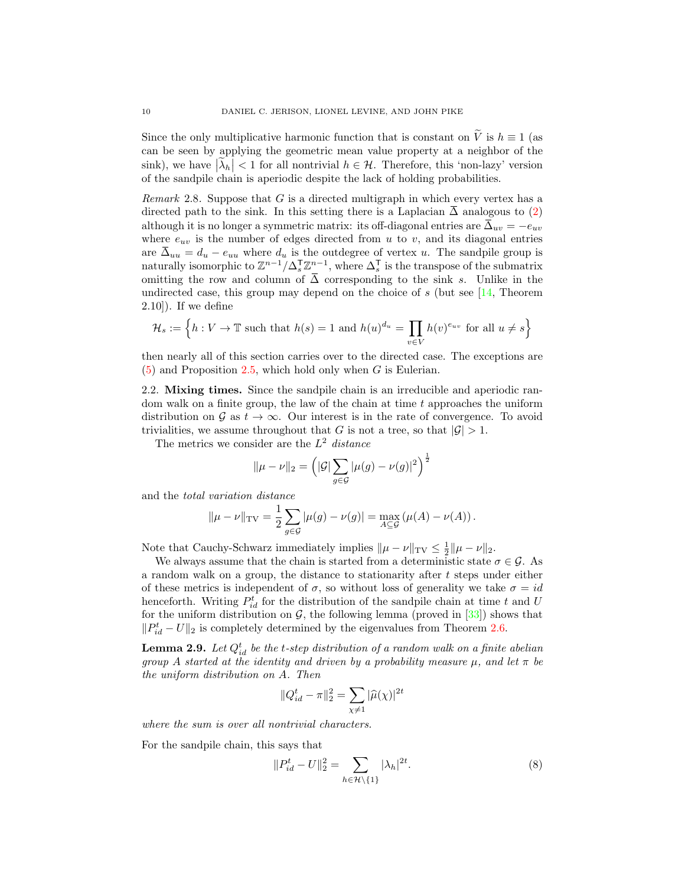Since the only multiplicative harmonic function that is constant on  $\tilde{V}$  is  $h \equiv 1$  (as can be seen by applying the geometric mean value property at a neighbor of the sink), we have  $|\tilde{\lambda}_h| < 1$  for all nontrivial  $h \in \mathcal{H}$ . Therefore, this 'non-lazy' version of the sandpile chain is aperiodic despite the lack of holding probabilities.

*Remark* 2.8. Suppose that  $G$  is a directed multigraph in which every vertex has a directed path to the sink. In this setting there is a Laplacian  $\overline{\Delta}$  analogous to [\(2\)](#page-1-2) although it is no longer a symmetric matrix: its off-diagonal entries are  $\bar{\Delta}_{uv} = -e_{uv}$ where  $e_{uv}$  is the number of edges directed from u to v, and its diagonal entries are  $\bar{\Delta}_{uu} = d_u - e_{uu}$  where  $d_u$  is the outdegree of vertex u. The sandpile group is naturally isomorphic to  $\mathbb{Z}^{n-1}/\Delta_s^{\mathsf{T}}\mathbb{Z}^{n-1}$ , where  $\Delta_s^{\mathsf{T}}$  is the transpose of the submatrix omitting the row and column of  $\overline{\Delta}$  corresponding to the sink s. Unlike in the undirected case, this group may depend on the choice of  $s$  (but see [\[14,](#page-36-13) Theorem 2.10]). If we define

$$
\mathcal{H}_s := \left\{ h : V \to \mathbb{T} \text{ such that } h(s) = 1 \text{ and } h(u)^{d_u} = \prod_{v \in V} h(v)^{e_{uv}} \text{ for all } u \neq s \right\}
$$

then nearly all of this section carries over to the directed case. The exceptions are  $(5)$  and Proposition [2.5,](#page-8-2) which hold only when G is Eulerian.

2.2. Mixing times. Since the sandpile chain is an irreducible and aperiodic random walk on a finite group, the law of the chain at time  $t$  approaches the uniform distribution on G as  $t \to \infty$ . Our interest is in the rate of convergence. To avoid trivialities, we assume throughout that G is not a tree, so that  $|\mathcal{G}| > 1$ .

The metrics we consider are the  $L^2$  distance

$$
\|\mu - \nu\|_2 = \left( |\mathcal{G}| \sum_{g \in \mathcal{G}} |\mu(g) - \nu(g)|^2 \right)^{\frac{1}{2}}
$$

and the total variation distance

$$
\|\mu - \nu\|_{\text{TV}} = \frac{1}{2} \sum_{g \in \mathcal{G}} |\mu(g) - \nu(g)| = \max_{A \subseteq \mathcal{G}} (\mu(A) - \nu(A)).
$$

Note that Cauchy-Schwarz immediately implies  $\|\mu - \nu\|_{TV} \leq \frac{1}{2} \|\mu - \nu\|_2$ .

We always assume that the chain is started from a deterministic state  $\sigma \in \mathcal{G}$ . As a random walk on a group, the distance to stationarity after t steps under either of these metrics is independent of  $\sigma$ , so without loss of generality we take  $\sigma = id$ henceforth. Writing  $P_{id}^t$  for the distribution of the sandpile chain at time t and U for the uniform distribution on  $G$ , the following lemma (proved in  $[33]$ ) shows that  $||P_{id}^t - U||_2$  is completely determined by the eigenvalues from Theorem [2.6.](#page-8-1)

<span id="page-9-0"></span>**Lemma 2.9.** Let  $Q_{id}^t$  be the t-step distribution of a random walk on a finite abelian group A started at the identity and driven by a probability measure  $\mu$ , and let  $\pi$  be the uniform distribution on A. Then

$$
||Q_{id}^t - \pi||_2^2 = \sum_{\chi \neq 1} |\widehat{\mu}(\chi)|^{2t}
$$

where the sum is over all nontrivial characters.

For the sandpile chain, this says that

<span id="page-9-1"></span>
$$
||P_{id}^t - U||_2^2 = \sum_{h \in \mathcal{H} \setminus \{1\}} |\lambda_h|^{2t}.
$$
 (8)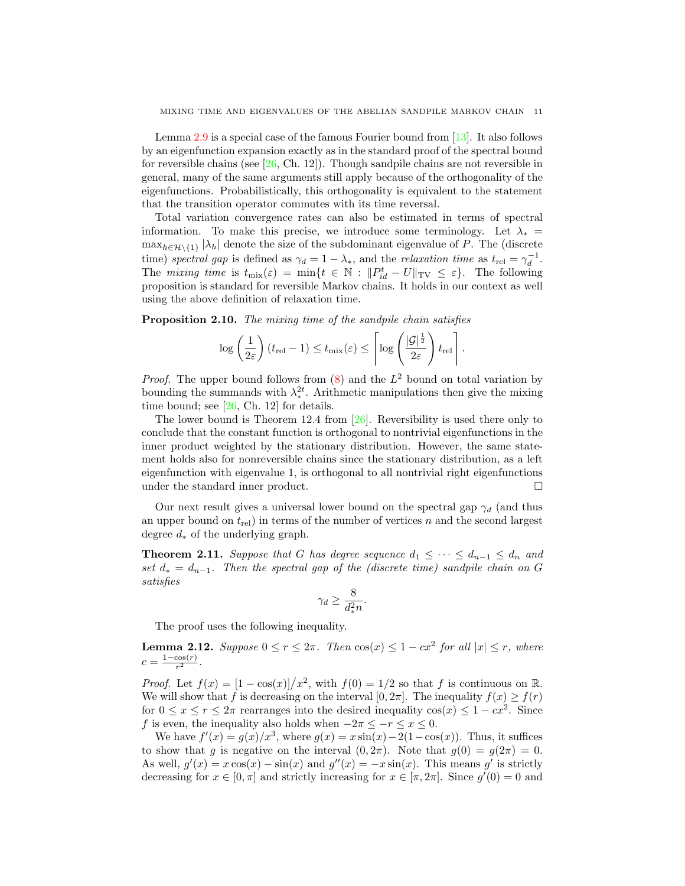Lemma [2.9](#page-9-0) is a special case of the famous Fourier bound from  $[13]$ . It also follows by an eigenfunction expansion exactly as in the standard proof of the spectral bound for reversible chains (see  $[26, Ch. 12]$ ). Though sandpile chains are not reversible in general, many of the same arguments still apply because of the orthogonality of the eigenfunctions. Probabilistically, this orthogonality is equivalent to the statement that the transition operator commutes with its time reversal.

Total variation convergence rates can also be estimated in terms of spectral information. To make this precise, we introduce some terminology. Let  $\lambda_* =$  $\max_{h \in \mathcal{H} \setminus \{1\}} |\lambda_h|$  denote the size of the subdominant eigenvalue of P. The (discrete time) spectral gap is defined as  $\gamma_d = 1 - \lambda_*$ , and the relaxation time as  $t_{rel} = \gamma_d^{-1}$ . The mixing time is  $t_{\text{mix}}(\varepsilon) = \min\{t \in \mathbb{N} : ||P_{id}^t - U||_{\text{TV}} \leq \varepsilon\}$ . The following proposition is standard for reversible Markov chains. It holds in our context as well using the above definition of relaxation time.

<span id="page-10-2"></span>Proposition 2.10. The mixing time of the sandpile chain satisfies

$$
\log\left(\frac{1}{2\varepsilon}\right)(t_{\text{rel}}-1) \leq t_{\text{mix}}(\varepsilon) \leq \left\lceil \log\left(\frac{|\mathcal{G}|^{\frac{1}{2}}}{2\varepsilon}\right)t_{\text{rel}} \right\rceil.
$$

*Proof.* The upper bound follows from  $(8)$  and the  $L^2$  bound on total variation by bounding the summands with  $\lambda_*^{2t}$ . Arithmetic manipulations then give the mixing time bound; see [\[26,](#page-37-13) Ch. 12] for details.

The lower bound is Theorem 12.4 from [\[26\]](#page-37-13). Reversibility is used there only to conclude that the constant function is orthogonal to nontrivial eigenfunctions in the inner product weighted by the stationary distribution. However, the same statement holds also for nonreversible chains since the stationary distribution, as a left eigenfunction with eigenvalue 1, is orthogonal to all nontrivial right eigenfunctions under the standard inner product.

Our next result gives a universal lower bound on the spectral gap  $\gamma_d$  (and thus an upper bound on  $t_{rel}$ ) in terms of the number of vertices n and the second largest degree  $d_*$  of the underlying graph.

<span id="page-10-0"></span>**Theorem 2.11.** Suppose that G has degree sequence  $d_1 \leq \cdots \leq d_{n-1} \leq d_n$  and set  $d_* = d_{n-1}$ . Then the spectral gap of the (discrete time) sandpile chain on G satisfies

$$
\gamma_d \ge \frac{8}{d_*^2 n}.
$$

The proof uses the following inequality.

<span id="page-10-1"></span>**Lemma 2.12.** Suppose  $0 \le r \le 2\pi$ . Then  $\cos(x) \le 1 - cx^2$  for all  $|x| \le r$ , where  $c = \frac{1-\cos(r)}{r^2}$  $\frac{\cos(r)}{r^2}$ .

*Proof.* Let  $f(x) = \frac{1 - \cos(x)}{x^2}$ , with  $f(0) = 1/2$  so that f is continuous on R. We will show that f is decreasing on the interval  $[0, 2\pi]$ . The inequality  $f(x) \geq f(r)$ for  $0 \le x \le r \le 2\pi$  rearranges into the desired inequality  $\cos(x) \le 1 - cx^2$ . Since f is even, the inequality also holds when  $-2\pi \leq -r \leq x \leq 0$ .

We have  $f'(x) = g(x)/x^3$ , where  $g(x) = x \sin(x) - 2(1 - \cos(x))$ . Thus, it suffices to show that g is negative on the interval  $(0, 2\pi)$ . Note that  $g(0) = g(2\pi) = 0$ . As well,  $g'(x) = x \cos(x) - \sin(x)$  and  $g''(x) = -x \sin(x)$ . This means g' is strictly decreasing for  $x \in [0, \pi]$  and strictly increasing for  $x \in [\pi, 2\pi]$ . Since  $g'(0) = 0$  and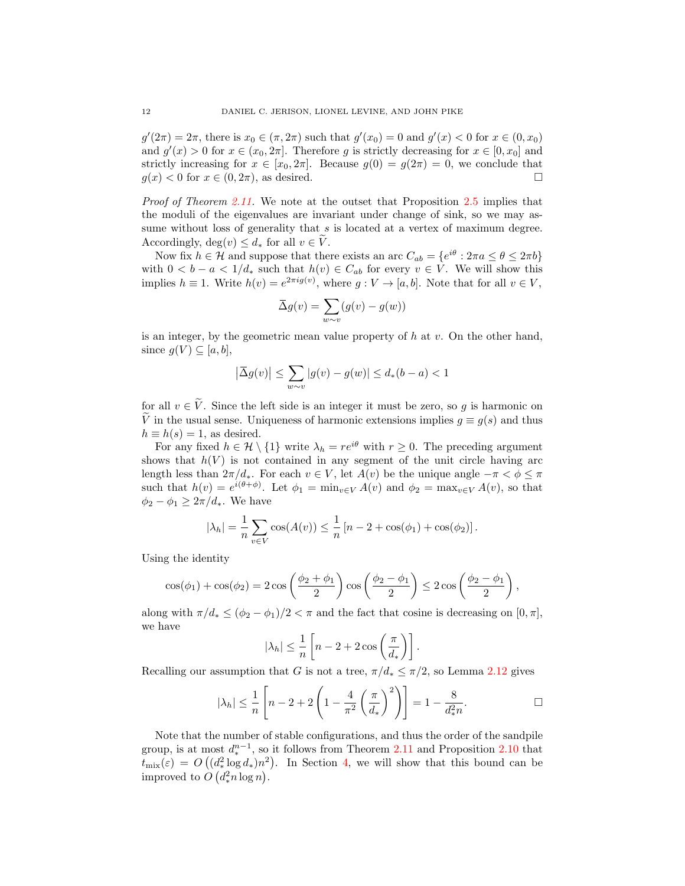$g'(2\pi) = 2\pi$ , there is  $x_0 \in (\pi, 2\pi)$  such that  $g'(x_0) = 0$  and  $g'(x) < 0$  for  $x \in (0, x_0)$ and  $g'(x) > 0$  for  $x \in (x_0, 2\pi]$ . Therefore g is strictly decreasing for  $x \in [0, x_0]$  and strictly increasing for  $x \in [x_0, 2\pi]$ . Because  $g(0) = g(2\pi) = 0$ , we conclude that  $g(x) < 0$  for  $x \in (0, 2\pi)$ , as desired.

Proof of Theorem [2.11.](#page-10-0) We note at the outset that Proposition [2.5](#page-8-2) implies that the moduli of the eigenvalues are invariant under change of sink, so we may assume without loss of generality that  $s$  is located at a vertex of maximum degree. Accordingly,  $\deg(v) \leq d_*$  for all  $v \in \tilde{V}$ .

Now fix  $h \in \mathcal{H}$  and suppose that there exists an arc  $C_{ab} = \{e^{i\theta} : 2\pi a \le \theta \le 2\pi b\}$ with  $0 < b - a < 1/d_*$  such that  $h(v) \in C_{ab}$  for every  $v \in V$ . We will show this implies  $h \equiv 1$ . Write  $h(v) = e^{2\pi i g(v)}$ , where  $g: V \to [a, b]$ . Note that for all  $v \in V$ ,

$$
\overline{\Delta}g(v) = \sum_{w \sim v} (g(v) - g(w))
$$

is an integer, by the geometric mean value property of  $h$  at  $v$ . On the other hand, since  $g(V) \subseteq [a, b],$ 

$$
\left|\overline{\Delta}g(v)\right|\leq \sum_{w\sim v}|g(v)-g(w)|\leq d_*(b-a)<1
$$

for all  $v \in \tilde{V}$ . Since the left side is an integer it must be zero, so g is harmonic on  $\tilde{V}$  in the usual sense. Uniqueness of harmonic extensions implies  $q \equiv q(s)$  and thus  $h \equiv h(s) = 1$ , as desired.

For any fixed  $h \in \mathcal{H} \setminus \{1\}$  write  $\lambda_h = re^{i\theta}$  with  $r \geq 0$ . The preceding argument shows that  $h(V)$  is not contained in any segment of the unit circle having arc length less than  $2\pi/d_*$ . For each  $v \in V$ , let  $A(v)$  be the unique angle  $-\pi < \phi \leq \pi$ such that  $h(v) = e^{i(\theta + \phi)}$ . Let  $\phi_1 = \min_{v \in V} A(v)$  and  $\phi_2 = \max_{v \in V} A(v)$ , so that  $\phi_2 - \phi_1 \geq 2\pi/d_*$ . We have

$$
|\lambda_h| = \frac{1}{n} \sum_{v \in V} \cos(A(v)) \le \frac{1}{n} [n - 2 + \cos(\phi_1) + \cos(\phi_2)].
$$

Using the identity

$$
\cos(\phi_1) + \cos(\phi_2) = 2\cos\left(\frac{\phi_2 + \phi_1}{2}\right)\cos\left(\frac{\phi_2 - \phi_1}{2}\right) \le 2\cos\left(\frac{\phi_2 - \phi_1}{2}\right),
$$

along with  $\pi/d_* \leq (\phi_2 - \phi_1)/2 < \pi$  and the fact that cosine is decreasing on  $[0, \pi]$ , we have

$$
|\lambda_h| \leq \frac{1}{n} \left[ n - 2 + 2 \cos \left( \frac{\pi}{d_*} \right) \right].
$$

Recalling our assumption that G is not a tree,  $\pi/d_* \leq \pi/2$ , so Lemma [2.12](#page-10-1) gives

$$
|\lambda_h| \le \frac{1}{n} \left[ n - 2 + 2 \left( 1 - \frac{4}{\pi^2} \left( \frac{\pi}{d_*} \right)^2 \right) \right] = 1 - \frac{8}{d_*^2 n}.
$$

Note that the number of stable configurations, and thus the order of the sandpile group, is at most  $d^{n-1}_*$ , so it follows from Theorem [2.11](#page-10-0) and Proposition [2.10](#page-10-2) that  $t_{\text{mix}}(\varepsilon) = O\left((d_*^2 \log d_*)n^2\right)$ . In Section [4,](#page-23-0) we will show that this bound can be improved to  $O(d_*^2 n \log n)$ .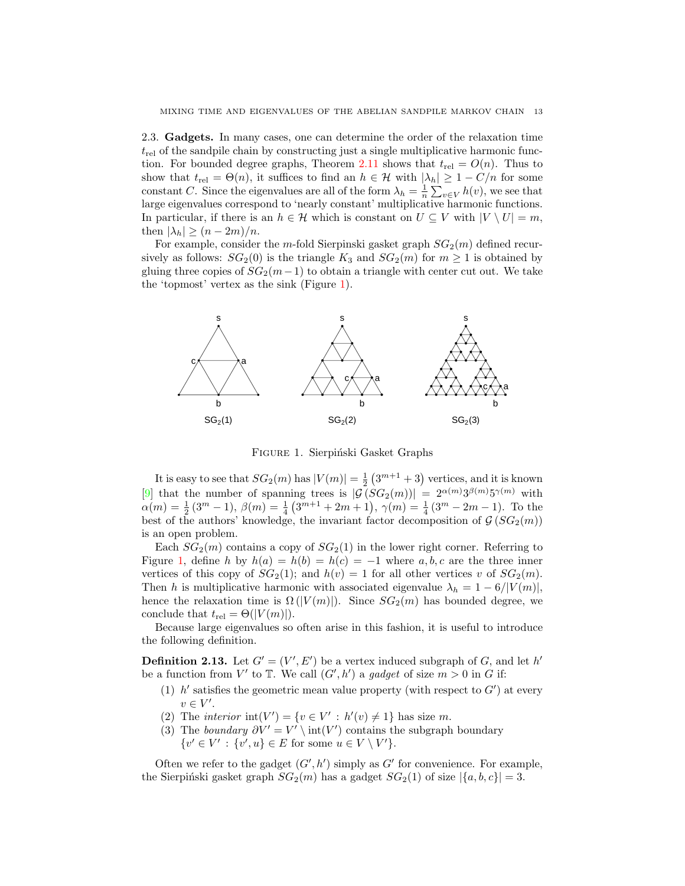2.3. Gadgets. In many cases, one can determine the order of the relaxation time  $t_{rel}$  of the sandpile chain by constructing just a single multiplicative harmonic func-tion. For bounded degree graphs, Theorem [2.11](#page-10-0) shows that  $t_{rel} = O(n)$ . Thus to show that  $t_{rel} = \Theta(n)$ , it suffices to find an  $h \in \mathcal{H}$  with  $|\lambda_h| \geq 1 - C/n$  for some constant C. Since the eigenvalues are all of the form  $\lambda_h = \frac{1}{n} \sum_{v \in V} h(v)$ , we see that large eigenvalues correspond to 'nearly constant' multiplicative harmonic functions. In particular, if there is an  $h \in \mathcal{H}$  which is constant on  $U \subseteq V$  with  $|V \setminus U| = m$ , then  $|\lambda_h| \geq (n-2m)/n$ .

For example, consider the m-fold Sierpinski gasket graph  $SG<sub>2</sub>(m)$  defined recursively as follows:  $SG_2(0)$  is the triangle  $K_3$  and  $SG_2(m)$  for  $m \geq 1$  is obtained by gluing three copies of  $SG_2(m-1)$  to obtain a triangle with center cut out. We take the 'topmost' vertex as the sink (Figure [1\)](#page-12-0).



<span id="page-12-0"></span>FIGURE 1. Sierpiński Gasket Graphs

It is easy to see that  $SG_2(m)$  has  $|V(m)| = \frac{1}{2} (3^{m+1} + 3)$  vertices, and it is known [\[9\]](#page-36-14) that the number of spanning trees is  $|\mathcal{G}(SG_2(m))| = 2^{\alpha(m)}3^{\beta(m)}5^{\gamma(m)}$  with  $\alpha(m) = \frac{1}{2}(3^m - 1), \ \beta(m) = \frac{1}{4}(3^{m+1} + 2m + 1), \ \gamma(m) = \frac{1}{4}(3^m - 2m - 1).$  To the best of the authors' knowledge, the invariant factor decomposition of  $\mathcal{G}(SG_2(m))$ is an open problem.

Each  $SG_2(m)$  contains a copy of  $SG_2(1)$  in the lower right corner. Referring to Figure [1,](#page-12-0) define h by  $h(a) = h(b) = h(c) = -1$  where a, b, c are the three inner vertices of this copy of  $SG_2(1)$ ; and  $h(v) = 1$  for all other vertices v of  $SG_2(m)$ . Then h is multiplicative harmonic with associated eigenvalue  $\lambda_h = 1 - 6/|V(m)|$ , hence the relaxation time is  $\Omega(|V(m)|)$ . Since  $SG_2(m)$  has bounded degree, we conclude that  $t_{rel} = \Theta(|V(m)|)$ .

Because large eigenvalues so often arise in this fashion, it is useful to introduce the following definition.

**Definition 2.13.** Let  $G' = (V', E')$  be a vertex induced subgraph of G, and let h' be a function from V' to  $\mathbb T$ . We call  $(G', h')$  a gadget of size  $m > 0$  in G if:

- (1)  $h'$  satisfies the geometric mean value property (with respect to  $G'$ ) at every  $v \in V'.$
- (2) The *interior*  $\text{int}(V') = \{v \in V' : h'(v) \neq 1\}$  has size m.
- (3) The boundary  $\partial V' = V' \setminus \text{int}(V')$  contains the subgraph boundary  $\{v' \in V' : \{v', u\} \in E \text{ for some } u \in V \setminus V'\}.$

Often we refer to the gadget  $(G', h')$  simply as  $G'$  for convenience. For example, the Sierpiński gasket graph  $SG_2(m)$  has a gadget  $SG_2(1)$  of size  $|\{a, b, c\}| = 3$ .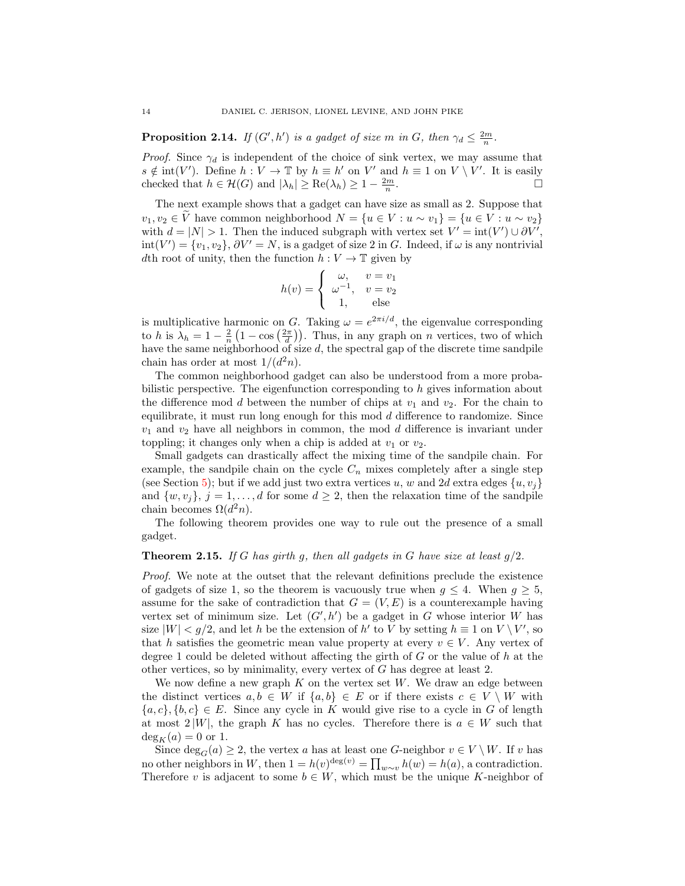**Proposition 2.14.** If  $(G', h')$  is a gadget of size m in G, then  $\gamma_d \leq \frac{2m}{n}$ .

*Proof.* Since  $\gamma_d$  is independent of the choice of sink vertex, we may assume that  $s \notin \text{int}(V')$ . Define  $h: V \to \mathbb{T}$  by  $h \equiv h'$  on V' and  $h \equiv 1$  on  $V \setminus V'$ . It is easily checked that  $h \in \mathcal{H}(G)$  and  $|\lambda_h| \geq \text{Re}(\lambda_h) \geq 1 - \frac{2m}{n}$ .

The next example shows that a gadget can have size as small as 2. Suppose that  $v_1, v_2 \in \tilde{V}$  have common neighborhood  $N = \{u \in V : u \sim v_1\} = \{u \in V : u \sim v_2\}$ with  $d = |N| > 1$ . Then the induced subgraph with vertex set  $V' = \text{int}(V') \cup \partial V'$ ,  $\text{int}(V') = \{v_1, v_2\}, \partial V' = N$ , is a gadget of size 2 in G. Indeed, if  $\omega$  is any nontrivial dth root of unity, then the function  $h: V \to \mathbb{T}$  given by

$$
h(v) = \begin{cases} \omega, & v = v_1 \\ \omega^{-1}, & v = v_2 \\ 1, & \text{else} \end{cases}
$$

is multiplicative harmonic on G. Taking  $\omega = e^{2\pi i/d}$ , the eigenvalue corresponding to h is  $\lambda_h = 1 - \frac{2}{n} \left( 1 - \cos\left(\frac{2\pi}{d}\right) \right)$ . Thus, in any graph on n vertices, two of which have the same neighborhood of size d, the spectral gap of the discrete time sandpile chain has order at most  $1/(d^2n)$ .

The common neighborhood gadget can also be understood from a more probabilistic perspective. The eigenfunction corresponding to h gives information about the difference mod d between the number of chips at  $v_1$  and  $v_2$ . For the chain to equilibrate, it must run long enough for this mod  $d$  difference to randomize. Since  $v_1$  and  $v_2$  have all neighbors in common, the mod d difference is invariant under toppling; it changes only when a chip is added at  $v_1$  or  $v_2$ .

Small gadgets can drastically affect the mixing time of the sandpile chain. For example, the sandpile chain on the cycle  $C_n$  mixes completely after a single step (see Section [5\)](#page-28-1); but if we add just two extra vertices u, w and 2d extra edges  $\{u, v_i\}$ and  $\{w, v_i\}$ ,  $j = 1, \ldots, d$  for some  $d \geq 2$ , then the relaxation time of the sandpile chain becomes  $\Omega(d^2n)$ .

The following theorem provides one way to rule out the presence of a small gadget.

### **Theorem 2.15.** If G has girth g, then all gadgets in G have size at least  $g/2$ .

Proof. We note at the outset that the relevant definitions preclude the existence of gadgets of size 1, so the theorem is vacuously true when  $g \leq 4$ . When  $g \geq 5$ , assume for the sake of contradiction that  $G = (V, E)$  is a counterexample having vertex set of minimum size. Let  $(G', h')$  be a gadget in G whose interior W has size  $|W| < g/2$ , and let h be the extension of h' to V by setting  $h \equiv 1$  on  $V \setminus V'$ , so that h satisfies the geometric mean value property at every  $v \in V$ . Any vertex of degree 1 could be deleted without affecting the girth of  $G$  or the value of  $h$  at the other vertices, so by minimality, every vertex of G has degree at least 2.

We now define a new graph  $K$  on the vertex set  $W$ . We draw an edge between the distinct vertices  $a, b \in W$  if  $\{a, b\} \in E$  or if there exists  $c \in V \setminus W$  with  ${a, c}, {b, c} \in E$ . Since any cycle in K would give rise to a cycle in G of length at most  $2|W|$ , the graph K has no cycles. Therefore there is  $a \in W$  such that  $\deg_K(a) = 0$  or 1.

Since  $\deg_G(a) \geq 2$ , the vertex a has at least one G-neighbor  $v \in V \setminus W$ . If v has no other neighbors in W, then  $1 = h(v)^{\deg(v)} = \prod_{w \sim v} h(w) = h(a)$ , a contradiction. Therefore v is adjacent to some  $b \in W$ , which must be the unique K-neighbor of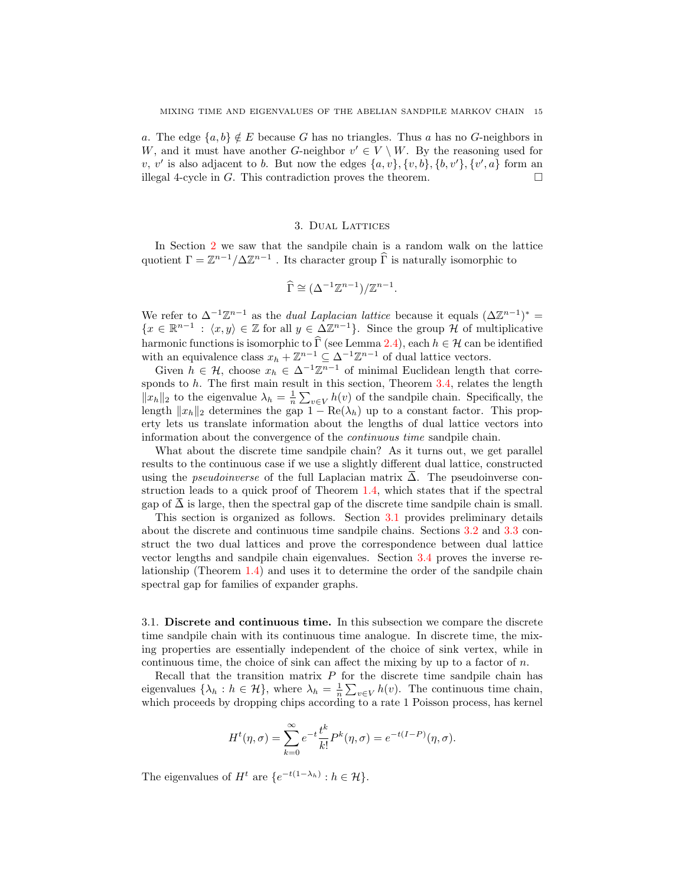a. The edge  $\{a, b\} \notin E$  because G has no triangles. Thus a has no G-neighbors in W, and it must have another G-neighbor  $v' \in V \setminus W$ . By the reasoning used for v, v' is also adjacent to b. But now the edges  $\{a, v\}$ ,  $\{v, b\}$ ,  $\{b, v'\}$ ,  $\{v', a\}$  form an illegal 4-cycle in G. This contradiction proves the theorem.  $\Box$ 

# 3. Dual Lattices

<span id="page-14-0"></span>In Section [2](#page-4-0) we saw that the sandpile chain is a random walk on the lattice quotient  $\Gamma = \mathbb{Z}^{n-1}/\Delta \mathbb{Z}^{n-1}$ . Its character group  $\widehat{\Gamma}$  is naturally isomorphic to

$$
\widehat{\Gamma} \cong (\Delta^{-1}\mathbb{Z}^{n-1})/\mathbb{Z}^{n-1}.
$$

We refer to  $\Delta^{-1}\mathbb{Z}^{n-1}$  as the *dual Laplacian lattice* because it equals  $(\Delta \mathbb{Z}^{n-1})^* =$  $\{x \in \mathbb{R}^{n-1} : \langle x, y \rangle \in \mathbb{Z} \text{ for all } y \in \Delta \mathbb{Z}^{n-1}\}.$  Since the group  $\mathcal{H}$  of multiplicative harmonic functions is isomorphic to  $\widehat{\Gamma}$  (see Lemma [2.4\)](#page-7-3), each  $h \in \mathcal{H}$  can be identified with an equivalence class  $x_h + \mathbb{Z}^{n-1} \subseteq \Delta^{-1} \mathbb{Z}^{n-1}$  of dual lattice vectors.

Given  $h \in \mathcal{H}$ , choose  $x_h \in \Delta^{-1}\mathbb{Z}^{n-1}$  of minimal Euclidean length that corresponds to  $h$ . The first main result in this section, Theorem  $3.4$ , relates the length  $||x_h||_2$  to the eigenvalue  $\lambda_h = \frac{1}{n} \sum_{v \in V} h(v)$  of the sandpile chain. Specifically, the length  $||x_h||_2$  determines the gap  $1 - \text{Re}(\lambda_h)$  up to a constant factor. This property lets us translate information about the lengths of dual lattice vectors into information about the convergence of the continuous time sandpile chain.

What about the discrete time sandpile chain? As it turns out, we get parallel results to the continuous case if we use a slightly different dual lattice, constructed using the *pseudoinverse* of the full Laplacian matrix  $\overline{\Delta}$ . The pseudoinverse construction leads to a quick proof of Theorem [1.4,](#page-3-0) which states that if the spectral gap of  $\overline{\Delta}$  is large, then the spectral gap of the discrete time sandpile chain is small.

This section is organized as follows. Section [3.1](#page-14-1) provides preliminary details about the discrete and continuous time sandpile chains. Sections [3.2](#page-15-0) and [3.3](#page-17-0) construct the two dual lattices and prove the correspondence between dual lattice vector lengths and sandpile chain eigenvalues. Section [3.4](#page-20-0) proves the inverse relationship (Theorem [1.4\)](#page-3-0) and uses it to determine the order of the sandpile chain spectral gap for families of expander graphs.

<span id="page-14-1"></span>3.1. Discrete and continuous time. In this subsection we compare the discrete time sandpile chain with its continuous time analogue. In discrete time, the mixing properties are essentially independent of the choice of sink vertex, while in continuous time, the choice of sink can affect the mixing by up to a factor of  $n$ .

Recall that the transition matrix  $P$  for the discrete time sandpile chain has eigenvalues  $\{\lambda_h : h \in \mathcal{H}\}\$ , where  $\lambda_h = \frac{1}{n} \sum_{v \in V} h(v)$ . The continuous time chain, which proceeds by dropping chips according to a rate 1 Poisson process, has kernel

$$
H^{t}(\eta,\sigma) = \sum_{k=0}^{\infty} e^{-t} \frac{t^k}{k!} P^k(\eta,\sigma) = e^{-t(I-P)}(\eta,\sigma).
$$

The eigenvalues of  $H^t$  are  $\{e^{-t(1-\lambda_h)} : h \in \mathcal{H}\}.$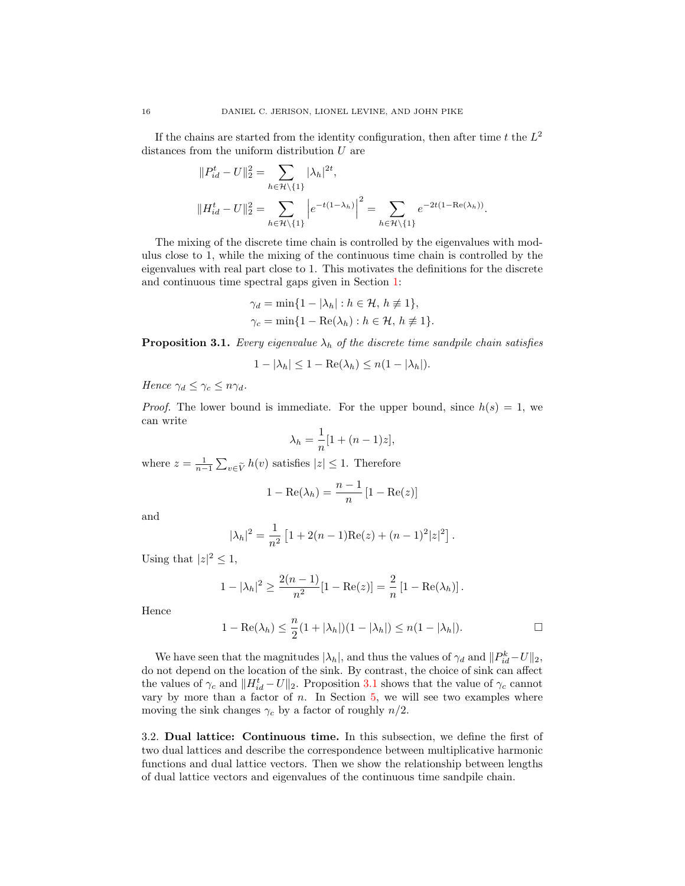If the chains are started from the identity configuration, then after time t the  $L^2$ distances from the uniform distribution U are

$$
||P_{id}^t - U||_2^2 = \sum_{h \in \mathcal{H} \setminus \{1\}} |\lambda_h|^{2t},
$$
  

$$
||H_{id}^t - U||_2^2 = \sum_{h \in \mathcal{H} \setminus \{1\}} \left| e^{-t(1-\lambda_h)} \right|^2 = \sum_{h \in \mathcal{H} \setminus \{1\}} e^{-2t(1-\text{Re}(\lambda_h))}.
$$

The mixing of the discrete time chain is controlled by the eigenvalues with modulus close to 1, while the mixing of the continuous time chain is controlled by the eigenvalues with real part close to 1. This motivates the definitions for the discrete and continuous time spectral gaps given in Section [1:](#page-0-0)

$$
\gamma_d = \min\{1 - |\lambda_h| : h \in \mathcal{H}, h \neq 1\},\
$$
  

$$
\gamma_c = \min\{1 - \text{Re}(\lambda_h) : h \in \mathcal{H}, h \neq 1\}.
$$

<span id="page-15-1"></span>**Proposition 3.1.** Every eigenvalue  $\lambda_h$  of the discrete time sandpile chain satisfies

$$
1 - |\lambda_h| \le 1 - \text{Re}(\lambda_h) \le n(1 - |\lambda_h|).
$$

Hence  $\gamma_d \leq \gamma_c \leq n \gamma_d$ .

*Proof.* The lower bound is immediate. For the upper bound, since  $h(s) = 1$ , we can write

$$
\lambda_h = \frac{1}{n} [1 + (n-1)z],
$$

where  $z = \frac{1}{n-1} \sum_{v \in \tilde{V}} h(v)$  satisfies  $|z| \leq 1$ . Therefore

$$
1 - \operatorname{Re}(\lambda_h) = \frac{n-1}{n} \left[ 1 - \operatorname{Re}(z) \right]
$$

and

$$
|\lambda_h|^2 = \frac{1}{n^2} \left[ 1 + 2(n-1) \text{Re}(z) + (n-1)^2 |z|^2 \right].
$$

Using that  $|z|^2 \leq 1$ ,

$$
1 - |\lambda_h|^2 \ge \frac{2(n-1)}{n^2} [1 - \text{Re}(z)] = \frac{2}{n} [1 - \text{Re}(\lambda_h)].
$$

Hence

$$
1 - \operatorname{Re}(\lambda_h) \le \frac{n}{2} (1 + |\lambda_h|)(1 - |\lambda_h|) \le n(1 - |\lambda_h|).
$$

We have seen that the magnitudes  $|\lambda_h|$ , and thus the values of  $\gamma_d$  and  $||P_{id}^k-U||_2$ , do not depend on the location of the sink. By contrast, the choice of sink can affect the values of  $\gamma_c$  and  $||H_{id}^t - U||_2$ . Proposition [3.1](#page-15-1) shows that the value of  $\gamma_c$  cannot vary by more than a factor of  $n$ . In Section  $5$ , we will see two examples where moving the sink changes  $\gamma_c$  by a factor of roughly  $n/2$ .

<span id="page-15-0"></span>3.2. Dual lattice: Continuous time. In this subsection, we define the first of two dual lattices and describe the correspondence between multiplicative harmonic functions and dual lattice vectors. Then we show the relationship between lengths of dual lattice vectors and eigenvalues of the continuous time sandpile chain.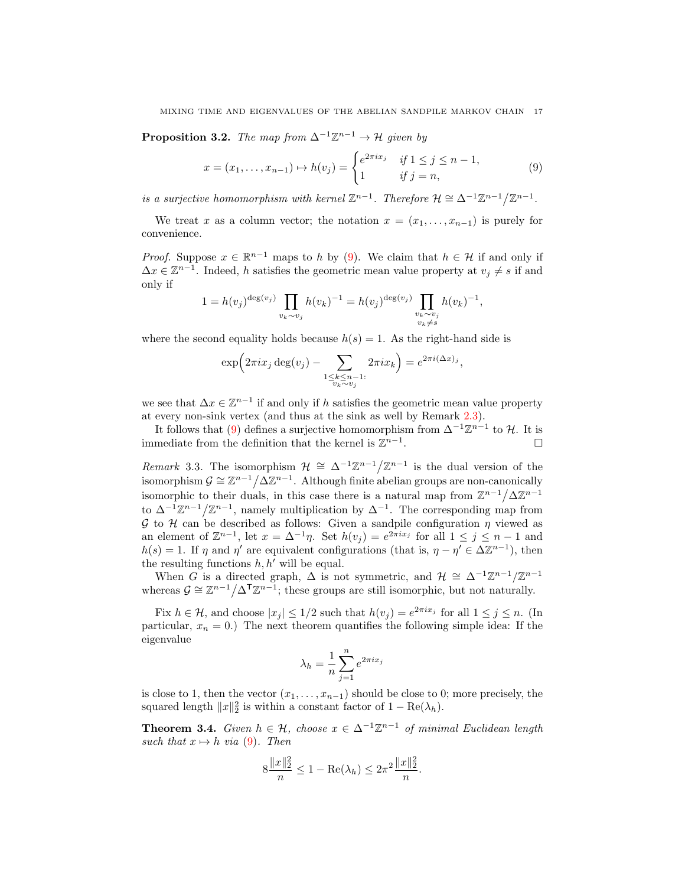<span id="page-16-2"></span>**Proposition 3.2.** The map from  $\Delta^{-1}\mathbb{Z}^{n-1} \to \mathcal{H}$  given by

<span id="page-16-1"></span>
$$
x = (x_1, ..., x_{n-1}) \mapsto h(v_j) = \begin{cases} e^{2\pi i x_j} & \text{if } 1 \le j \le n-1, \\ 1 & \text{if } j = n, \end{cases}
$$
 (9)

is a surjective homomorphism with kernel  $\mathbb{Z}^{n-1}$ . Therefore  $\mathcal{H} \cong \Delta^{-1}\mathbb{Z}^{n-1}/\mathbb{Z}^{n-1}$ .

We treat x as a column vector; the notation  $x = (x_1, \ldots, x_{n-1})$  is purely for convenience.

*Proof.* Suppose  $x \in \mathbb{R}^{n-1}$  maps to h by [\(9\)](#page-16-1). We claim that  $h \in \mathcal{H}$  if and only if  $\Delta x \in \mathbb{Z}^{n-1}$ . Indeed, h satisfies the geometric mean value property at  $v_j \neq s$  if and only if

$$
1 = h(v_j)^{\deg(v_j)} \prod_{v_k \sim v_j} h(v_k)^{-1} = h(v_j)^{\deg(v_j)} \prod_{\substack{v_k \sim v_j \\ v_k \neq s}} h(v_k)^{-1},
$$

where the second equality holds because  $h(s) = 1$ . As the right-hand side is

$$
\exp\Bigl(2\pi ix_j\deg(v_j)-\sum_{\substack{1\leq k\leq n-1:\\v_k\sim v_j}}2\pi ix_k\Bigr)=e^{2\pi i(\Delta x)_j},
$$

we see that  $\Delta x \in \mathbb{Z}^{n-1}$  if and only if h satisfies the geometric mean value property at every non-sink vertex (and thus at the sink as well by Remark [2.3\)](#page-7-4).

It follows that [\(9\)](#page-16-1) defines a surjective homomorphism from  $\Delta^{-1}\mathbb{Z}^{n-1}$  to H. It is immediate from the definition that the kernel is  $\mathbb{Z}^{n-1}$ . — Процессиональные производствование и производствование и производствование и производствование и производс<br>В 1990 году в 1990 году в 1990 году в 1990 году в 1990 году в 1990 году в 1990 году в 1990 году в 1990 году в<br>

Remark 3.3. The isomorphism  $\mathcal{H} \cong \Delta^{-1}\mathbb{Z}^{n-1}/\mathbb{Z}^{n-1}$  is the dual version of the isomorphism  $\mathcal{G} \cong \mathbb{Z}^{n-1}/\Delta \mathbb{Z}^{n-1}$ . Although finite abelian groups are non-canonically isomorphic to their duals, in this case there is a natural map from  $\mathbb{Z}^{n-1}/\Delta \mathbb{Z}^{n-1}$ to  $\Delta^{-1}\mathbb{Z}^{n-1}/\mathbb{Z}^{n-1}$ , namely multiplication by  $\Delta^{-1}$ . The corresponding map from G to H can be described as follows: Given a sandpile configuration  $\eta$  viewed as an element of  $\mathbb{Z}^{n-1}$ , let  $x = \Delta^{-1}\eta$ . Set  $h(v_j) = e^{2\pi ix_j}$  for all  $1 \le j \le n-1$  and  $h(s) = 1$ . If  $\eta$  and  $\eta'$  are equivalent configurations (that is,  $\eta - \eta' \in \Delta \mathbb{Z}^{n-1}$ ), then the resulting functions  $h, h'$  will be equal.

When G is a directed graph,  $\Delta$  is not symmetric, and  $\mathcal{H} \cong \Delta^{-1}\mathbb{Z}^{n-1}/\mathbb{Z}^{n-1}$ whereas  $\mathcal{G} \cong \mathbb{Z}^{n-1}/\Delta^T \mathbb{Z}^{n-1}$ ; these groups are still isomorphic, but not naturally.

Fix  $h \in \mathcal{H}$ , and choose  $|x_j| \leq 1/2$  such that  $h(v_j) = e^{2\pi i x_j}$  for all  $1 \leq j \leq n$ . (In particular,  $x_n = 0$ .) The next theorem quantifies the following simple idea: If the eigenvalue

$$
\lambda_h = \frac{1}{n} \sum_{j=1}^n e^{2\pi i x_j}
$$

is close to 1, then the vector  $(x_1, \ldots, x_{n-1})$  should be close to 0; more precisely, the squared length  $||x||_2^2$  is within a constant factor of  $1 - \text{Re}(\lambda_h)$ .

<span id="page-16-0"></span>**Theorem 3.4.** Given  $h \in \mathcal{H}$ , choose  $x \in \Delta^{-1}\mathbb{Z}^{n-1}$  of minimal Euclidean length such that  $x \mapsto h$  via [\(9\)](#page-16-1). Then

$$
8\frac{\|x\|_2^2}{n} \le 1 - \text{Re}(\lambda_h) \le 2\pi^2 \frac{\|x\|_2^2}{n}.
$$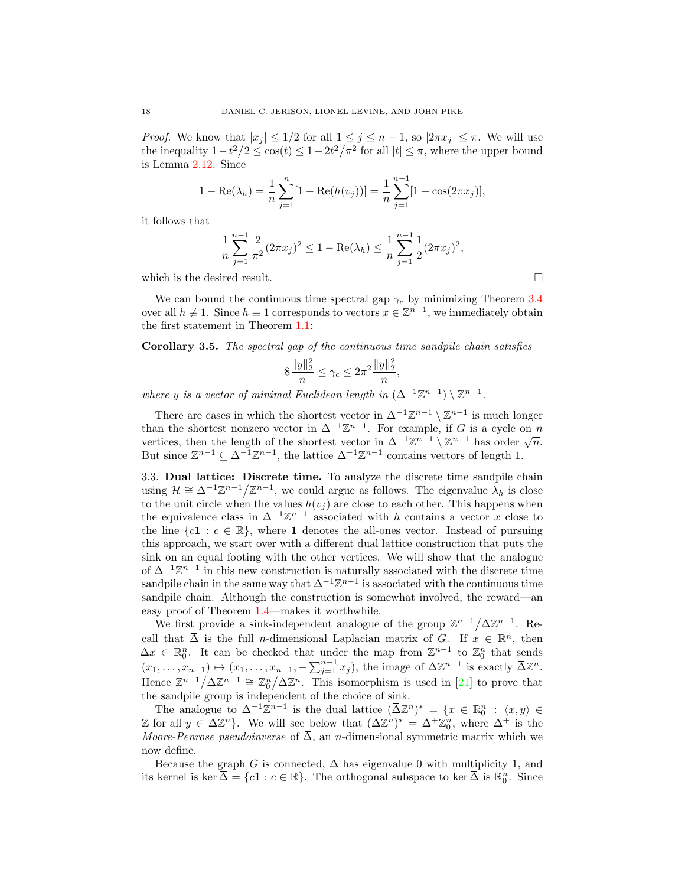*Proof.* We know that  $|x_i| \leq 1/2$  for all  $1 \leq j \leq n-1$ , so  $|2\pi x_i| \leq \pi$ . We will use the inequality  $1-t^2/2 \leq \cos(t) \leq 1-2t^2/\pi^2$  for all  $|t| \leq \pi$ , where the upper bound is Lemma [2.12.](#page-10-1) Since

$$
1 - \text{Re}(\lambda_h) = \frac{1}{n} \sum_{j=1}^n [1 - \text{Re}(h(v_j))] = \frac{1}{n} \sum_{j=1}^{n-1} [1 - \cos(2\pi x_j)],
$$

it follows that

$$
\frac{1}{n}\sum_{j=1}^{n-1}\frac{2}{\pi^2}(2\pi x_j)^2 \le 1 - \text{Re}(\lambda_h) \le \frac{1}{n}\sum_{j=1}^{n-1}\frac{1}{2}(2\pi x_j)^2,
$$

which is the desired result.  $\Box$ 

We can bound the continuous time spectral gap  $\gamma_c$  by minimizing Theorem [3.4](#page-16-0) over all  $h \neq 1$ . Since  $h \equiv 1$  corresponds to vectors  $x \in \mathbb{Z}^{n-1}$ , we immediately obtain the first statement in Theorem [1.1:](#page-1-0)

<span id="page-17-1"></span>Corollary 3.5. The spectral gap of the continuous time sandpile chain satisfies

$$
8\frac{\|y\|_2^2}{n} \le \gamma_c \le 2\pi^2 \frac{\|y\|_2^2}{n},
$$

where y is a vector of minimal Euclidean length in  $(\Delta^{-1}\mathbb{Z}^{n-1})\setminus \mathbb{Z}^{n-1}$ .

There are cases in which the shortest vector in  $\Delta^{-1}\mathbb{Z}^{n-1}\setminus \mathbb{Z}^{n-1}$  is much longer than the shortest nonzero vector in  $\Delta^{-1}\mathbb{Z}^{n-1}$ . For example, if G is a cycle on n vertices, then the length of the shortest vector in  $\Delta^{-1}\mathbb{Z}^{n-1} \setminus \mathbb{Z}^{n-1}$  has order  $\sqrt{n}$ . But since  $\mathbb{Z}^{n-1} \subseteq \Delta^{-1} \mathbb{Z}^{n-1}$ , the lattice  $\Delta^{-1} \mathbb{Z}^{n-1}$  contains vectors of length 1.

<span id="page-17-0"></span>3.3. Dual lattice: Discrete time. To analyze the discrete time sandpile chain using  $\mathcal{H} \cong \Delta^{-1}\mathbb{Z}^{n-1}/\mathbb{Z}^{n-1}$ , we could argue as follows. The eigenvalue  $\lambda_h$  is close to the unit circle when the values  $h(v_i)$  are close to each other. This happens when the equivalence class in  $\Delta^{-1}\mathbb{Z}^{n-1}$  associated with h contains a vector x close to the line  ${c1 : c \in \mathbb{R}$ , where 1 denotes the all-ones vector. Instead of pursuing this approach, we start over with a different dual lattice construction that puts the sink on an equal footing with the other vertices. We will show that the analogue of  $\Delta^{-1}\mathbb{Z}^{n-1}$  in this new construction is naturally associated with the discrete time sandpile chain in the same way that  $\Delta^{-1}\mathbb{Z}^{n-1}$  is associated with the continuous time sandpile chain. Although the construction is somewhat involved, the reward—an easy proof of Theorem [1.4—](#page-3-0)makes it worthwhile.

We first provide a sink-independent analogue of the group  $\mathbb{Z}^{n-1}/\Delta\mathbb{Z}^{n-1}$ . Recall that  $\overline{\Delta}$  is the full *n*-dimensional Laplacian matrix of G. If  $x \in \mathbb{R}^n$ , then  $\bar{\Delta}x \in \mathbb{R}^n_0$ . It can be checked that under the map from  $\mathbb{Z}^{n-1}$  to  $\mathbb{Z}_0^n$  that sends  $(x_1, \ldots, x_{n-1}) \mapsto (x_1, \ldots, x_{n-1}, -\sum_{j=1}^{n-1} x_j)$ , the image of  $\Delta \mathbb{Z}^{n-1}$  is exactly  $\overline{\Delta} \mathbb{Z}^n$ . Hence  $\mathbb{Z}^{n-1}/\Delta\mathbb{Z}^{n-1} \cong \mathbb{Z}_0^n/\overline{\Delta}\mathbb{Z}^n$ . This isomorphism is used in [\[21\]](#page-37-12) to prove that the sandpile group is independent of the choice of sink.

The analogue to  $\Delta^{-1}\mathbb{Z}^{n-1}$  is the dual lattice  $(\bar{\Delta}\mathbb{Z}^n)^* = \{x \in \mathbb{R}^n_0 : \langle x, y \rangle \in$ Z for all  $y \in \overline{\Delta} \mathbb{Z}^n$ . We will see below that  $(\overline{\Delta} \mathbb{Z}^n)^* = \overline{\Delta}^+ \mathbb{Z}_0^n$ , where  $\overline{\Delta}^+$  is the Moore-Penrose pseudoinverse of  $\overline{\Delta}$ , an n-dimensional symmetric matrix which we now define.

Because the graph G is connected,  $\overline{\Delta}$  has eigenvalue 0 with multiplicity 1, and its kernel is ker $\overline{\Delta} = \{c1 : c \in \mathbb{R}\}\$ . The orthogonal subspace to ker  $\overline{\Delta}$  is  $\mathbb{R}_0^n$ . Since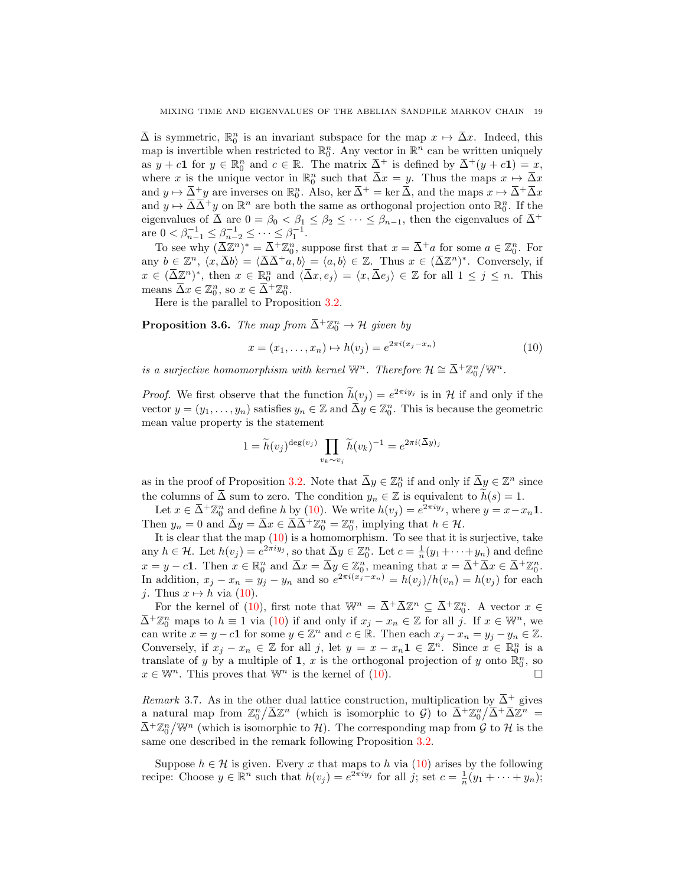$\bar{\Delta}$  is symmetric,  $\mathbb{R}^n_0$  is an invariant subspace for the map  $x \mapsto \bar{\Delta}x$ . Indeed, this map is invertible when restricted to  $\mathbb{R}_0^n$ . Any vector in  $\mathbb{R}^n$  can be written uniquely as  $y + c\mathbf{1}$  for  $y \in \mathbb{R}_0^n$  and  $c \in \mathbb{R}$ . The matrix  $\overline{\Delta}^+$  is defined by  $\overline{\Delta}^+(y+c\mathbf{1})=x$ , where x is the unique vector in  $\mathbb{R}^n_0$  such that  $\overline{\Delta}x = y$ . Thus the maps  $x \mapsto \overline{\Delta}x$ and  $y \mapsto \overline{\Delta}^+ y$  are inverses on  $\mathbb{R}^n_0$ . Also, ker  $\overline{\Delta}^+$  = ker  $\overline{\Delta}$ , and the maps  $x \mapsto \overline{\Delta}^+ \overline{\Delta} x$ and  $y \mapsto \overline{\Delta} \overline{\Delta}^+ y$  on  $\mathbb{R}^n$  are both the same as orthogonal projection onto  $\mathbb{R}^n_0$ . If the eigenvalues of  $\overline{\Delta}$  are  $0 = \beta_0 < \beta_1 \leq \beta_2 \leq \cdots \leq \beta_{n-1}$ , then the eigenvalues of  $\overline{\Delta}$ <sup>+</sup> are  $0 < \beta_{n-1}^{-1} \leq \beta_{n-2}^{-1} \leq \cdots \leq \beta_1^{-1}$ .

To see why  $(\bar{\Delta}\mathbb{Z}^n)^* = \bar{\Delta}^+\mathbb{Z}_0^n$ , suppose first that  $x = \bar{\Delta}^+a$  for some  $a \in \mathbb{Z}_0^n$ . For any  $b \in \mathbb{Z}^n$ ,  $\langle x, \overline{\Delta}b \rangle = \langle \overline{\Delta} \overline{\Delta}^+ a, b \rangle = \langle a, b \rangle \in \mathbb{Z}$ . Thus  $x \in (\overline{\Delta} \mathbb{Z}^n)^*$ . Conversely, if  $x \in (\overline{\Delta \mathbb{Z}}^n)^*$ , then  $x \in \mathbb{R}^n_0$  and  $\langle \overline{\Delta x}, e_j \rangle = \langle x, \overline{\Delta} e_j \rangle \in \mathbb{Z}$  for all  $1 \leq j \leq n$ . This means  $\overline{\Delta}x \in \mathbb{Z}_0^n$ , so  $x \in \overline{\Delta}^+ \mathbb{Z}_0^n$ .

Here is the parallel to Proposition [3.2.](#page-16-2)

<span id="page-18-1"></span>**Proposition 3.6.** The map from  $\overline{\Delta}^+ \mathbb{Z}_0^n \to \mathcal{H}$  given by

<span id="page-18-0"></span>
$$
x = (x_1, ..., x_n) \mapsto h(v_j) = e^{2\pi i (x_j - x_n)}
$$
(10)

is a surjective homomorphism with kernel  $\mathbb{W}^n$ . Therefore  $\mathcal{H} \cong \overline{\Delta}^+ \mathbb{Z}_0^n / \mathbb{W}^n$ .

*Proof.* We first observe that the function  $h(v_j) = e^{2\pi i y_j}$  is in H if and only if the vector  $y = (y_1, \ldots, y_n)$  satisfies  $y_n \in \mathbb{Z}$  and  $\overline{\Delta}y \in \mathbb{Z}_0^n$ . This is because the geometric mean value property is the statement

$$
1 = \widetilde{h}(v_j)^{\deg(v_j)} \prod_{v_k \sim v_j} \widetilde{h}(v_k)^{-1} = e^{2\pi i (\overline{\Delta}y)_j}
$$

as in the proof of Proposition [3.2.](#page-16-2) Note that  $\overline{\Delta}y \in \mathbb{Z}_0^n$  if and only if  $\overline{\Delta}y \in \mathbb{Z}^n$  since the columns of  $\overline{\Delta}$  sum to zero. The condition  $y_n \in \mathbb{Z}$  is equivalent to  $h(s) = 1$ .

Let  $x \in \overline{\Delta}^+ \mathbb{Z}_0^n$  and define h by [\(10\)](#page-18-0). We write  $h(v_j) = e^{2\pi i y_j}$ , where  $y = x - x_n \mathbf{1}$ . Then  $y_n = 0$  and  $\overline{\Delta} y = \overline{\Delta} x \in \overline{\Delta} \overline{\Delta}^+ \mathbb{Z}_0^n = \mathbb{Z}_0^n$ , implying that  $h \in \mathcal{H}$ .

It is clear that the map  $(10)$  is a homomorphism. To see that it is surjective, take any  $h \in \mathcal{H}$ . Let  $h(v_j) = e^{2\pi i y_j}$ , so that  $\overline{\Delta}y \in \mathbb{Z}_0^n$ . Let  $c = \frac{1}{n}(y_1 + \cdots + y_n)$  and define  $x = y - c1$ . Then  $x \in \mathbb{R}_0^n$  and  $\overline{\Delta}x = \overline{\Delta}y \in \mathbb{Z}_0^n$ , meaning that  $x = \overline{\Delta} + \overline{\Delta}x \in \overline{\Delta} + \mathbb{Z}_0^n$ . In addition,  $x_j - x_n = y_j - y_n$  and so  $e^{2\pi i(x_j - x_n)} = h(v_j)/h(v_n) = h(v_j)$  for each *j*. Thus  $x \mapsto h$  via [\(10\)](#page-18-0).

For the kernel of [\(10\)](#page-18-0), first note that  $\mathbb{W}^n = \overline{\Delta}^+ \overline{\Delta} \mathbb{Z}^n \subseteq \overline{\Delta}^+ \mathbb{Z}_0^n$ . A vector  $x \in$  $\bar{\Delta}^+\mathbb{Z}_0^n$  maps to  $h \equiv 1$  via [\(10\)](#page-18-0) if and only if  $x_j - x_n \in \mathbb{Z}$  for all j. If  $x \in \mathbb{W}^n$ , we can write  $x = y - c1$  for some  $y \in \mathbb{Z}^n$  and  $c \in \mathbb{R}$ . Then each  $x_j - x_n = y_j - y_n \in \mathbb{Z}$ . Conversely, if  $x_j - x_n \in \mathbb{Z}$  for all j, let  $y = x - x_n \mathbf{1} \in \mathbb{Z}^n$ . Since  $x \in \mathbb{R}^n_0$  is a translate of y by a multiple of 1, x is the orthogonal projection of y onto  $\mathbb{R}_0^n$ , so  $x \in \mathbb{W}^n$ . This proves that  $\mathbb{W}^n$  is the kernel of [\(10\)](#page-18-0).

Remark 3.7. As in the other dual lattice construction, multiplication by  $\overline{\Delta}^+$  gives a natural map from  $\mathbb{Z}_0^n/\bar{\Delta}\mathbb{Z}^n$  (which is isomorphic to  $\mathcal{G}$ ) to  $\bar{\Delta}^+\mathbb{Z}_0^n/\bar{\Delta}^+\bar{\Delta}\mathbb{Z}^n =$  $\bar{\Delta}^+\mathbb{Z}_0^n/\mathbb{W}^n$  (which is isomorphic to  $\mathcal{H}$ ). The corresponding map from  $\mathcal G$  to  $\mathcal H$  is the same one described in the remark following Proposition [3.2.](#page-16-2)

Suppose  $h \in \mathcal{H}$  is given. Every x that maps to h via  $(10)$  arises by the following recipe: Choose  $y \in \mathbb{R}^n$  such that  $h(v_j) = e^{2\pi i y_j}$  for all j; set  $c = \frac{1}{n}(y_1 + \cdots + y_n)$ ;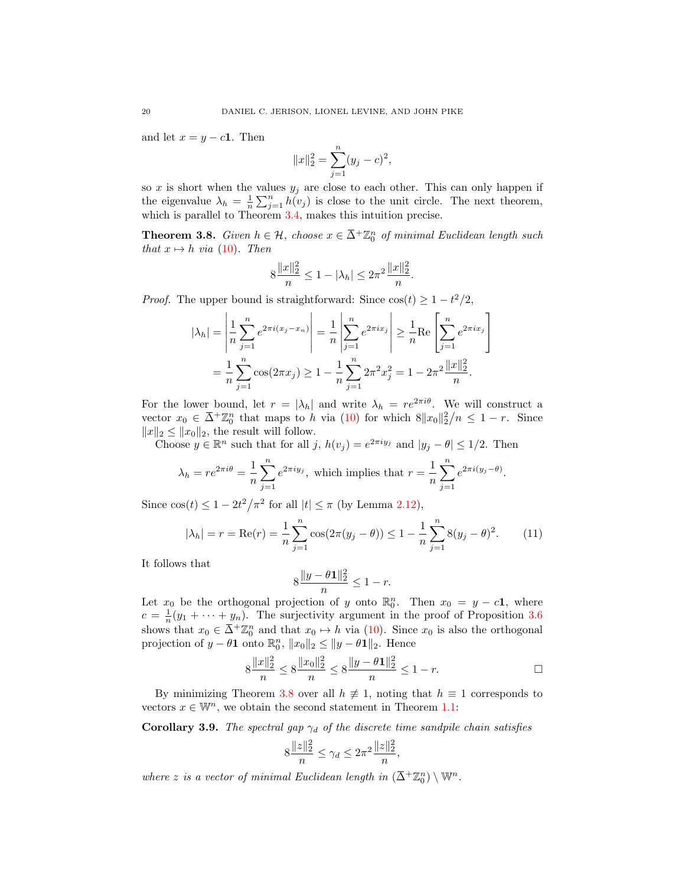and let  $x = y - c1$ . Then

$$
||x||_2^2 = \sum_{j=1}^n (y_j - c)^2,
$$

so x is short when the values  $y_j$  are close to each other. This can only happen if the eigenvalue  $\lambda_h = \frac{1}{n} \sum_{j=1}^n h(v_j)$  is close to the unit circle. The next theorem, which is parallel to Theorem [3.4,](#page-16-0) makes this intuition precise.

<span id="page-19-0"></span>**Theorem 3.8.** Given  $h \in \mathcal{H}$ , choose  $x \in \overline{\Delta}^{\perp} \mathbb{Z}_0^n$  of minimal Euclidean length such that  $x \mapsto h$  via [\(10\)](#page-18-0). Then

$$
8\frac{\|x\|_2^2}{n} \le 1 - |\lambda_h| \le 2\pi^2 \frac{\|x\|_2^2}{n}.
$$

*Proof.* The upper bound is straightforward: Since  $cos(t) \geq 1 - t^2/2$ ,

$$
|\lambda_h| = \left| \frac{1}{n} \sum_{j=1}^n e^{2\pi i (x_j - x_n)} \right| = \frac{1}{n} \left| \sum_{j=1}^n e^{2\pi i x_j} \right| \ge \frac{1}{n} \text{Re} \left[ \sum_{j=1}^n e^{2\pi i x_j} \right]
$$

$$
= \frac{1}{n} \sum_{j=1}^n \cos(2\pi x_j) \ge 1 - \frac{1}{n} \sum_{j=1}^n 2\pi^2 x_j^2 = 1 - 2\pi^2 \frac{\|x\|_2^2}{n}.
$$

For the lower bound, let  $r = |\lambda_h|$  and write  $\lambda_h = re^{2\pi i\theta}$ . We will construct a vector  $x_0 \in \overline{\Delta}^+ \mathbb{Z}_0^n$  that maps to h via [\(10\)](#page-18-0) for which  $8||x_0||_2^2/n \leq 1-r$ . Since  $||x||_2 \leq ||x_0||_2$ , the result will follow.

Choose  $y \in \mathbb{R}^n$  such that for all  $j, h(v_j) = e^{2\pi i y_j}$  and  $|y_j - \theta| \leq 1/2$ . Then

$$
\lambda_h = re^{2\pi i \theta} = \frac{1}{n} \sum_{j=1}^n e^{2\pi i y_j},
$$
 which implies that  $r = \frac{1}{n} \sum_{j=1}^n e^{2\pi i (y_j - \theta)}.$ 

Since  $\cos(t) \leq 1 - 2t^2/\pi^2$  for all  $|t| \leq \pi$  (by Lemma [2.12\)](#page-10-1),

$$
|\lambda_h| = r = \text{Re}(r) = \frac{1}{n} \sum_{j=1}^n \cos(2\pi(y_j - \theta)) \le 1 - \frac{1}{n} \sum_{j=1}^n 8(y_j - \theta)^2.
$$
 (11)

It follows that

<span id="page-19-2"></span>
$$
8\frac{\|y - \theta \mathbf{1}\|_2^2}{n} \le 1 - r.
$$

Let  $x_0$  be the orthogonal projection of y onto  $\mathbb{R}_0^n$ . Then  $x_0 = y - c1$ , where  $c = \frac{1}{n}(y_1 + \cdots + y_n)$ . The surjectivity argument in the proof of Proposition [3.6](#page-18-1) shows that  $x_0 \in \overline{\Delta}^+ \mathbb{Z}_0^n$  and that  $x_0 \mapsto h$  via [\(10\)](#page-18-0). Since  $x_0$  is also the orthogonal projection of  $y - \theta \mathbf{1}$  onto  $\mathbb{R}_0^n$ ,  $||x_0||_2 \le ||y - \theta \mathbf{1}||_2$ . Hence

$$
8\frac{\|x\|_2^2}{n} \le 8\frac{\|x_0\|_2^2}{n} \le 8\frac{\|y - \theta \mathbf{1}\|_2^2}{n} \le 1 - r.
$$

By minimizing Theorem [3.8](#page-19-0) over all  $h \neq 1$ , noting that  $h \equiv 1$  corresponds to vectors  $x \in \mathbb{W}^n$ , we obtain the second statement in Theorem [1.1:](#page-1-0)

<span id="page-19-1"></span>**Corollary 3.9.** The spectral gap  $\gamma_d$  of the discrete time sandpile chain satisfies

$$
8\frac{\|z\|_2^2}{n} \le \gamma_d \le 2\pi^2 \frac{\|z\|_2^2}{n},
$$

where z is a vector of minimal Euclidean length in  $(\bar{\Delta}^+ \mathbb{Z}_0^n) \setminus \mathbb{W}^n$ .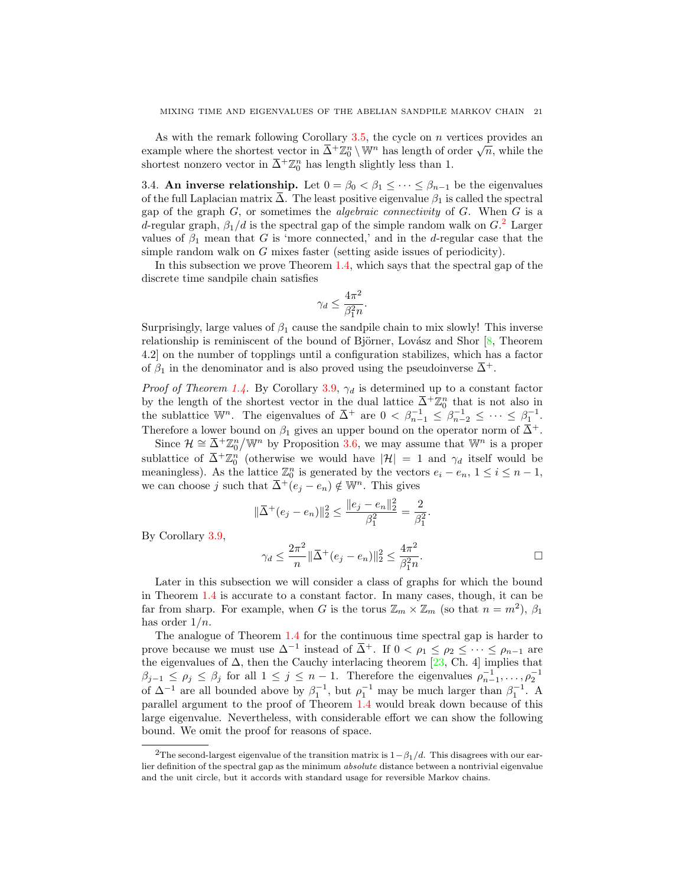As with the remark following Corollary  $3.5$ , the cycle on n vertices provides an As with the remark following Coronary 3.9, the cycle on *n* vertices provides an example where the shortest vector in  $\bar{\Delta}^+\mathbb{Z}_0^n \setminus \mathbb{W}^n$  has length of order  $\sqrt{n}$ , while the shortest nonzero vector in  $\overline{\Delta}$ <sup>+</sup> $\mathbb{Z}_0^n$  has length slightly less than 1.

<span id="page-20-0"></span>3.4. An inverse relationship. Let  $0 = \beta_0 < \beta_1 \leq \cdots \leq \beta_{n-1}$  be the eigenvalues of the full Laplacian matrix  $\overline{\Delta}$ . The least positive eigenvalue  $\beta_1$  is called the spectral gap of the graph  $G$ , or sometimes the *algebraic connectivity* of  $G$ . When  $G$  is a d-regular graph,  $\beta_1/d$  is the spectral gap of the simple random walk on  $G<sup>2</sup>$  $G<sup>2</sup>$  $G<sup>2</sup>$  Larger values of  $\beta_1$  mean that G is 'more connected,' and in the d-regular case that the simple random walk on G mixes faster (setting aside issues of periodicity).

In this subsection we prove Theorem [1.4,](#page-3-0) which says that the spectral gap of the discrete time sandpile chain satisfies

$$
\gamma_d \le \frac{4\pi^2}{\beta_1^2 n}.
$$

Surprisingly, large values of  $\beta_1$  cause the sandpile chain to mix slowly! This inverse relationship is reminiscent of the bound of Björner, Lovász and Shor  $[8,$  Theorem 4.2] on the number of topplings until a configuration stabilizes, which has a factor of  $\beta_1$  in the denominator and is also proved using the pseudoinverse  $\overline{\Delta}^+$ .

*Proof of Theorem [1.4.](#page-3-0)* By Corollary [3.9,](#page-19-1)  $\gamma_d$  is determined up to a constant factor by the length of the shortest vector in the dual lattice  $\overline{\Delta}^+ \mathbb{Z}_0^n$  that is not also in the sublattice W<sup>n</sup>. The eigenvalues of  $\overline{\Delta}$ <sup>+</sup> are  $0 < \beta_{n-1}^{-1} \leq \beta_{n-2}^{-1} \leq \cdots \leq \beta_1^{-1}$ . Therefore a lower bound on  $\beta_1$  gives an upper bound on the operator norm of  $\overline{\Delta}^+$ .

Since  $\mathcal{H} \cong \overline{\Delta}^+ \mathbb{Z}_0^n/\mathbb{W}^n$  by Proposition [3.6,](#page-18-1) we may assume that  $\mathbb{W}^n$  is a proper sublattice of  $\bar{\Delta}^+\mathbb{Z}_0^n$  (otherwise we would have  $|\mathcal{H}| = 1$  and  $\gamma_d$  itself would be meaningless). As the lattice  $\mathbb{Z}_0^n$  is generated by the vectors  $e_i - e_n$ ,  $1 \le i \le n - 1$ , we can choose j such that  $\overline{\Delta}^+(e_i - e_n) \notin \mathbb{W}^n$ . This gives

$$
\|\overline{\Delta}^+(e_j - e_n)\|_2^2 \le \frac{\|e_j - e_n\|_2^2}{\beta_1^2} = \frac{2}{\beta_1^2}
$$

By Corollary [3.9,](#page-19-1)

$$
\gamma_d \le \frac{2\pi^2}{n} \|\bar{\Delta}^+(e_j - e_n)\|_2^2 \le \frac{4\pi^2}{\beta_1^2 n}.
$$

.

Later in this subsection we will consider a class of graphs for which the bound in Theorem [1.4](#page-3-0) is accurate to a constant factor. In many cases, though, it can be far from sharp. For example, when G is the torus  $\mathbb{Z}_m \times \mathbb{Z}_m$  (so that  $n = m^2$ ),  $\beta_1$ has order  $1/n$ .

The analogue of Theorem [1.4](#page-3-0) for the continuous time spectral gap is harder to prove because we must use  $\Delta^{-1}$  instead of  $\bar{\Delta}^+$ . If  $0 < \rho_1 \le \rho_2 \le \cdots \le \rho_{n-1}$  are the eigenvalues of  $\Delta$ , then the Cauchy interlacing theorem [\[23,](#page-37-14) Ch. 4] implies that  $\beta_{j-1} \leq \rho_j \leq \beta_j$  for all  $1 \leq j \leq n-1$ . Therefore the eigenvalues  $\rho_{n-1}^{-1}, \ldots, \rho_2^{-1}$ of  $\Delta^{-1}$  are all bounded above by  $\beta_1^{-1}$ , but  $\rho_1^{-1}$  may be much larger than  $\beta_1^{-1}$ . A parallel argument to the proof of Theorem [1.4](#page-3-0) would break down because of this large eigenvalue. Nevertheless, with considerable effort we can show the following bound. We omit the proof for reasons of space.

<span id="page-20-1"></span><sup>&</sup>lt;sup>2</sup>The second-largest eigenvalue of the transition matrix is  $1-\beta_1/d$ . This disagrees with our earlier definition of the spectral gap as the minimum absolute distance between a nontrivial eigenvalue and the unit circle, but it accords with standard usage for reversible Markov chains.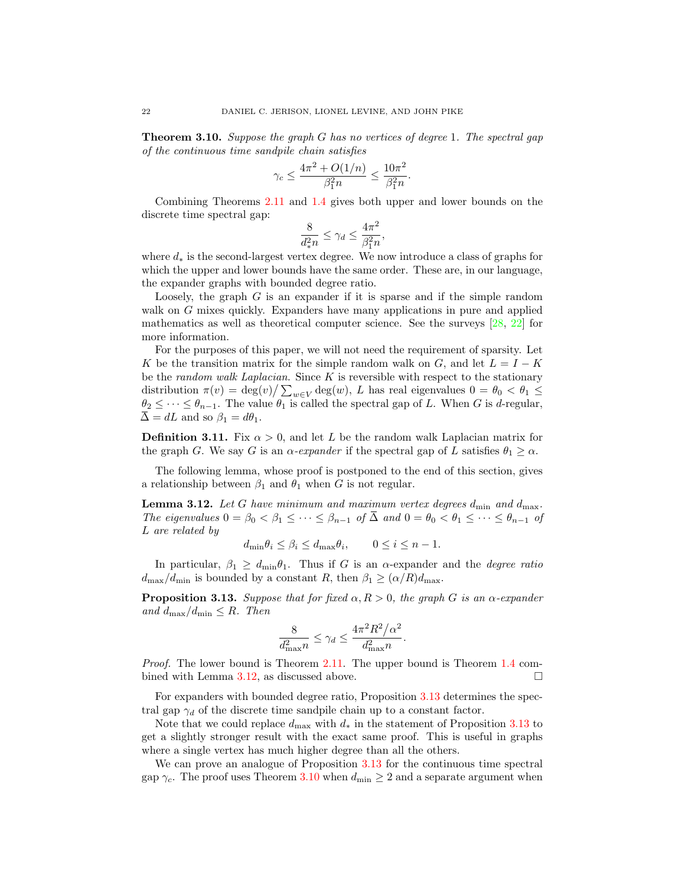<span id="page-21-2"></span>Theorem 3.10. Suppose the graph G has no vertices of degree 1. The spectral gap of the continuous time sandpile chain satisfies

$$
\gamma_c \le \frac{4\pi^2 + O(1/n)}{\beta_1^2 n} \le \frac{10\pi^2}{\beta_1^2 n}.
$$

Combining Theorems [2.11](#page-10-0) and [1.4](#page-3-0) gives both upper and lower bounds on the discrete time spectral gap:

$$
\frac{8}{d_*^2 n} \le \gamma_d \le \frac{4\pi^2}{\beta_1^2 n},
$$

where  $d_*$  is the second-largest vertex degree. We now introduce a class of graphs for which the upper and lower bounds have the same order. These are, in our language, the expander graphs with bounded degree ratio.

Loosely, the graph  $G$  is an expander if it is sparse and if the simple random walk on G mixes quickly. Expanders have many applications in pure and applied mathematics as well as theoretical computer science. See the surveys [\[28,](#page-37-15) [22\]](#page-37-16) for more information.

For the purposes of this paper, we will not need the requirement of sparsity. Let K be the transition matrix for the simple random walk on G, and let  $L = I - K$ be the random walk Laplacian. Since  $K$  is reversible with respect to the stationary distribution  $\pi(v) = \deg(v) / \sum_{w \in V} \deg(w)$ , L has real eigenvalues  $0 = \theta_0 < \theta_1 \leq$  $\theta_2 \leq \cdots \leq \theta_{n-1}$ . The value  $\theta_1$  is called the spectral gap of L. When G is d-regular,  $\overline{\Delta} = dL$  and so  $\beta_1 = d\theta_1$ .

**Definition 3.11.** Fix  $\alpha > 0$ , and let L be the random walk Laplacian matrix for the graph G. We say G is an  $\alpha$ -expander if the spectral gap of L satisfies  $\theta_1 \geq \alpha$ .

The following lemma, whose proof is postponed to the end of this section, gives a relationship between  $\beta_1$  and  $\theta_1$  when G is not regular.

<span id="page-21-0"></span>**Lemma 3.12.** Let G have minimum and maximum vertex degrees  $d_{\min}$  and  $d_{\max}$ . The eigenvalues  $0 = \beta_0 < \beta_1 \leq \cdots \leq \beta_{n-1}$  of  $\Delta$  and  $0 = \theta_0 < \theta_1 \leq \cdots \leq \theta_{n-1}$  of L are related by

 $d_{\min}\theta_i \leq \beta_i \leq d_{\max}\theta_i, \qquad 0 \leq i \leq n-1.$ 

In particular,  $\beta_1 \geq d_{\text{min}} \theta_1$ . Thus if G is an  $\alpha$ -expander and the *degree ratio*  $d_{\text{max}}/d_{\text{min}}$  is bounded by a constant R, then  $\beta_1 \geq (\alpha/R)d_{\text{max}}$ .

<span id="page-21-1"></span>**Proposition 3.13.** Suppose that for fixed  $\alpha, R > 0$ , the graph G is an  $\alpha$ -expander and  $d_{\text{max}}/d_{\text{min}} \leq R$ . Then

$$
\frac{8}{d_{\max}^2 n} \le \gamma_d \le \frac{4\pi^2 R^2/\alpha^2}{d_{\max}^2 n}.
$$

Proof. The lower bound is Theorem [2.11.](#page-10-0) The upper bound is Theorem [1.4](#page-3-0) com-bined with Lemma [3.12,](#page-21-0) as discussed above.

For expanders with bounded degree ratio, Proposition [3.13](#page-21-1) determines the spectral gap  $\gamma_d$  of the discrete time sandpile chain up to a constant factor.

Note that we could replace  $d_{\text{max}}$  with  $d_*$  in the statement of Proposition [3.13](#page-21-1) to get a slightly stronger result with the exact same proof. This is useful in graphs where a single vertex has much higher degree than all the others.

We can prove an analogue of Proposition [3.13](#page-21-1) for the continuous time spectral gap  $\gamma_c$ . The proof uses Theorem [3.10](#page-21-2) when  $d_{\text{min}} \geq 2$  and a separate argument when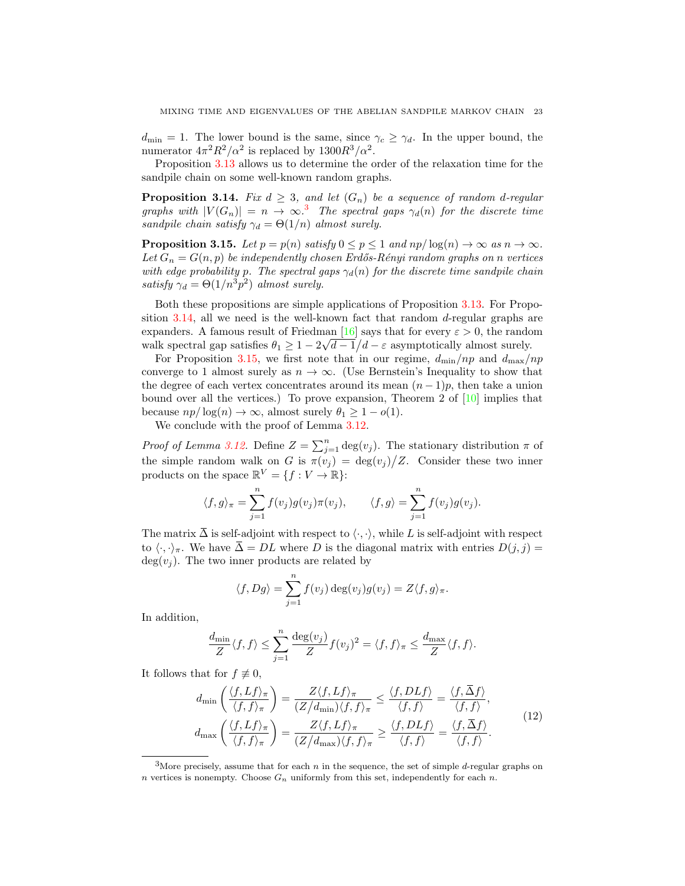$d_{\min} = 1$ . The lower bound is the same, since  $\gamma_c \geq \gamma_d$ . In the upper bound, the numerator  $4\pi^2 R^2/\alpha^2$  is replaced by  $1300R^3/\alpha^2$ .

Proposition [3.13](#page-21-1) allows us to determine the order of the relaxation time for the sandpile chain on some well-known random graphs.

<span id="page-22-1"></span>**Proposition 3.14.** Fix  $d \geq 3$ , and let  $(G_n)$  be a sequence of random d-regular graphs with  $|V(G_n)| = n \to \infty$ .<sup>[3](#page-22-0)</sup> The spectral gaps  $\gamma_d(n)$  for the discrete time sandpile chain satisfy  $\gamma_d = \Theta(1/n)$  almost surely.

<span id="page-22-2"></span>**Proposition 3.15.** Let  $p = p(n)$  satisfy  $0 \le p \le 1$  and  $np/\log(n) \to \infty$  as  $n \to \infty$ . Let  $G_n = G(n, p)$  be independently chosen Erdős-Rényi random graphs on n vertices with edge probability p. The spectral gaps  $\gamma_d(n)$  for the discrete time sandpile chain satisfy  $\gamma_d = \Theta(1/n^3 p^2)$  almost surely.

Both these propositions are simple applications of Proposition [3.13.](#page-21-1) For Proposition [3.14,](#page-22-1) all we need is the well-known fact that random d-regular graphs are expanders. A famous result of Friedman  $[16]$  says that for every  $\varepsilon > 0$ , the random walk spectral gap satisfies  $\theta_1 \geq 1 - 2\sqrt{d-1}/d - \varepsilon$  asymptotically almost surely.

For Proposition [3.15,](#page-22-2) we first note that in our regime,  $d_{\min}/np$  and  $d_{\max}/np$ converge to 1 almost surely as  $n \to \infty$ . (Use Bernstein's Inequality to show that the degree of each vertex concentrates around its mean  $(n-1)p$ , then take a union bound over all the vertices.) To prove expansion, Theorem 2 of  $[10]$  implies that because  $np/\log(n) \to \infty$ , almost surely  $\theta_1 \geq 1 - o(1)$ .

We conclude with the proof of Lemma [3.12.](#page-21-0)

Proof of Lemma [3.12.](#page-21-0) Define  $Z = \sum_{j=1}^{n} \deg(v_j)$ . The stationary distribution  $\pi$  of the simple random walk on G is  $\pi(v_j) = \deg(v_j)/Z$ . Consider these two inner products on the space  $\mathbb{R}^V = \{f : V \to \mathbb{R}\}$ :

$$
\langle f, g \rangle_{\pi} = \sum_{j=1}^{n} f(v_j) g(v_j) \pi(v_j), \qquad \langle f, g \rangle = \sum_{j=1}^{n} f(v_j) g(v_j).
$$

The matrix  $\overline{\Delta}$  is self-adjoint with respect to  $\langle \cdot, \cdot \rangle$ , while L is self-adjoint with respect to  $\langle \cdot, \cdot \rangle_{\pi}$ . We have  $\overline{\Delta} = DL$  where D is the diagonal matrix with entries  $D(j, j) =$  $deg(v_i)$ . The two inner products are related by

$$
\langle f, Dg \rangle = \sum_{j=1}^{n} f(v_j) \deg(v_j) g(v_j) = Z \langle f, g \rangle_{\pi}.
$$

In addition,

<span id="page-22-3"></span>
$$
\frac{d_{\min}}{Z} \langle f, f \rangle \le \sum_{j=1}^n \frac{\deg(v_j)}{Z} f(v_j)^2 = \langle f, f \rangle_\pi \le \frac{d_{\max}}{Z} \langle f, f \rangle.
$$

It follows that for  $f \not\equiv 0$ ,

$$
d_{\min}\left(\frac{\langle f, Lf \rangle_{\pi}}{\langle f, f \rangle_{\pi}}\right) = \frac{Z \langle f, Lf \rangle_{\pi}}{(Z/d_{\min})\langle f, f \rangle_{\pi}} \le \frac{\langle f, DLf \rangle}{\langle f, f \rangle} = \frac{\langle f, \overline{\Delta}f \rangle}{\langle f, f \rangle},
$$

$$
d_{\max}\left(\frac{\langle f, Lf \rangle_{\pi}}{\langle f, f \rangle_{\pi}}\right) = \frac{Z \langle f, Lf \rangle_{\pi}}{(Z/d_{\max})\langle f, f \rangle_{\pi}} \ge \frac{\langle f, DLf \rangle}{\langle f, f \rangle} = \frac{\langle f, \overline{\Delta}f \rangle}{\langle f, f \rangle}.
$$
(12)

<span id="page-22-0"></span><sup>&</sup>lt;sup>3</sup>More precisely, assume that for each  $n$  in the sequence, the set of simple  $d$ -regular graphs on n vertices is nonempty. Choose  $G_n$  uniformly from this set, independently for each n.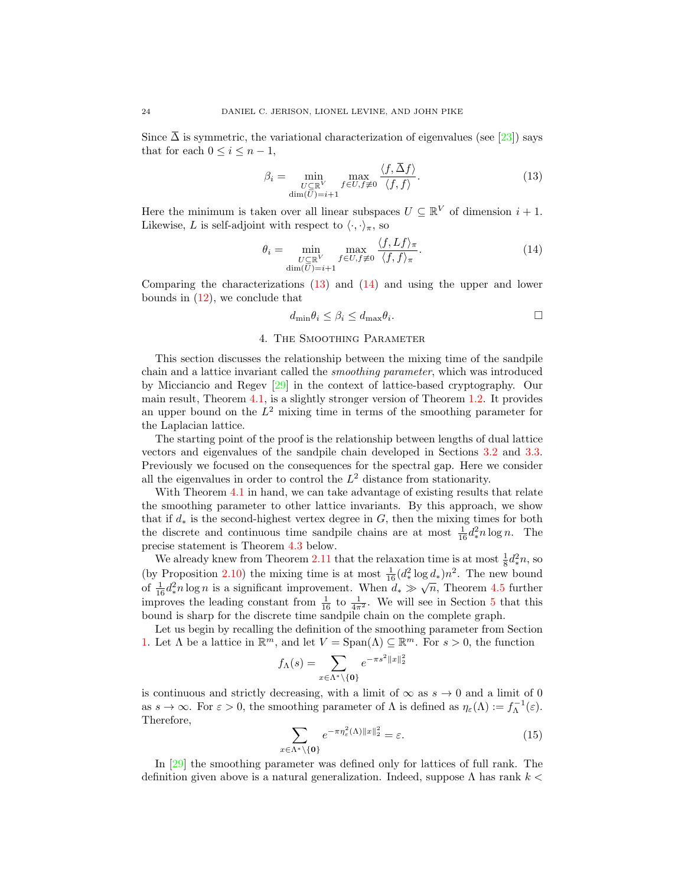Since  $\overline{\Delta}$  is symmetric, the variational characterization of eigenvalues (see [\[23\]](#page-37-14)) says that for each  $0 \leq i \leq n-1$ ,

<span id="page-23-1"></span>
$$
\beta_i = \min_{\substack{U \subseteq \mathbb{R}^V \\ \dim(\overline{U}) = i+1}} \max_{f \in U, f \neq 0} \frac{\langle f, \overline{\Delta} f \rangle}{\langle f, f \rangle}.
$$
\n(13)

Here the minimum is taken over all linear subspaces  $U \subseteq \mathbb{R}^V$  of dimension  $i + 1$ . Likewise, L is self-adjoint with respect to  $\langle \cdot, \cdot \rangle_{\pi}$ , so

<span id="page-23-2"></span>
$$
\theta_i = \min_{\substack{U \subseteq \mathbb{R}^V \\ \dim(U) = i+1}} \max_{f \in U, f \neq 0} \frac{\langle f, Lf \rangle_{\pi}}{\langle f, f \rangle_{\pi}}.
$$
\n(14)

Comparing the characterizations [\(13\)](#page-23-1) and [\(14\)](#page-23-2) and using the upper and lower bounds in [\(12\)](#page-22-3), we conclude that

$$
d_{\min}\theta_i \le \beta_i \le d_{\max}\theta_i.
$$

#### 4. The Smoothing Parameter

<span id="page-23-0"></span>This section discusses the relationship between the mixing time of the sandpile chain and a lattice invariant called the smoothing parameter, which was introduced by Micciancio and Regev [\[29\]](#page-37-7) in the context of lattice-based cryptography. Our main result, Theorem [4.1,](#page-24-0) is a slightly stronger version of Theorem [1.2.](#page-2-1) It provides an upper bound on the  $L^2$  mixing time in terms of the smoothing parameter for the Laplacian lattice.

The starting point of the proof is the relationship between lengths of dual lattice vectors and eigenvalues of the sandpile chain developed in Sections [3.2](#page-15-0) and [3.3.](#page-17-0) Previously we focused on the consequences for the spectral gap. Here we consider all the eigenvalues in order to control the  $L^2$  distance from stationarity.

With Theorem [4.1](#page-24-0) in hand, we can take advantage of existing results that relate the smoothing parameter to other lattice invariants. By this approach, we show that if  $d_*$  is the second-highest vertex degree in G, then the mixing times for both the discrete and continuous time sandpile chains are at most  $\frac{1}{16} d_*^2 n \log n$ . The precise statement is Theorem [4.3](#page-25-0) below.

We already knew from Theorem [2.11](#page-10-0) that the relaxation time is at most  $\frac{1}{8}d_*^2 n$ , so (by Proposition [2.10\)](#page-10-2) the mixing time is at most  $\frac{1}{16}(d_*^2 \log d_*)n^2$ . The new bound (by 1 roposition 2.10) the mixing time is at most  $\frac{1}{16}$ ( $a_*$   $\log a_*/n$ ). The new bound of  $\frac{1}{16}d_*^2n \log n$  is a significant improvement. When  $d_* \gg \sqrt{n}$ , Theorem [4.5](#page-26-0) further improves the leading constant from  $\frac{1}{16}$  to  $\frac{1}{4\pi^2}$ . We will see in Section [5](#page-29-0) that this bound is sharp for the discrete time sandpile chain on the complete graph.

Let us begin by recalling the definition of the smoothing parameter from Section [1.](#page-0-0) Let  $\Lambda$  be a lattice in  $\mathbb{R}^m$ , and let  $V = \text{Span}(\Lambda) \subseteq \mathbb{R}^m$ . For  $s > 0$ , the function

$$
f_{\Lambda}(s) = \sum_{x \in \Lambda^* \setminus \{\mathbf{0}\}} e^{-\pi s^2 ||x||_2^2}
$$

<span id="page-23-3"></span>is continuous and strictly decreasing, with a limit of  $\infty$  as  $s \to 0$  and a limit of 0 as  $s \to \infty$ . For  $\varepsilon > 0$ , the smoothing parameter of  $\Lambda$  is defined as  $\eta_{\varepsilon}(\Lambda) := f_{\Lambda}^{-1}(\varepsilon)$ . Therefore,

$$
\sum_{x \in \Lambda^* \setminus \{\mathbf{0}\}} e^{-\pi \eta_{\varepsilon}^2(\Lambda) \|x\|_2^2} = \varepsilon.
$$
 (15)

In [\[29\]](#page-37-7) the smoothing parameter was defined only for lattices of full rank. The definition given above is a natural generalization. Indeed, suppose  $\Lambda$  has rank  $k <$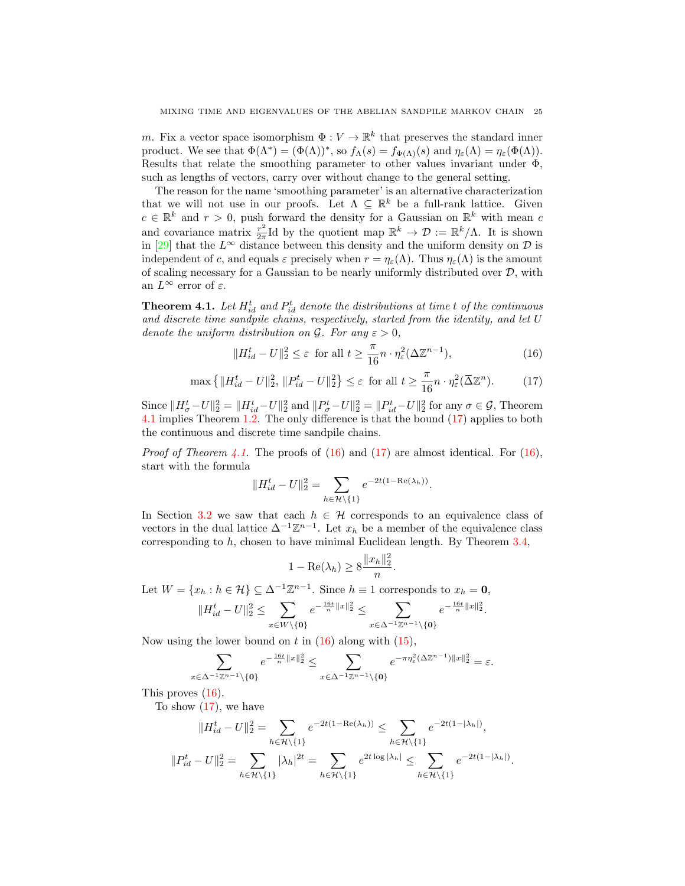m. Fix a vector space isomorphism  $\Phi: V \to \mathbb{R}^k$  that preserves the standard inner product. We see that  $\Phi(\Lambda^*) = (\Phi(\Lambda))^*$ , so  $f_{\Lambda}(s) = f_{\Phi(\Lambda)}(s)$  and  $\eta_{\varepsilon}(\Lambda) = \eta_{\varepsilon}(\Phi(\Lambda))$ . Results that relate the smoothing parameter to other values invariant under Φ, such as lengths of vectors, carry over without change to the general setting.

The reason for the name 'smoothing parameter' is an alternative characterization that we will not use in our proofs. Let  $\Lambda \subseteq \mathbb{R}^k$  be a full-rank lattice. Given  $c \in \mathbb{R}^k$  and  $r > 0$ , push forward the density for a Gaussian on  $\mathbb{R}^k$  with mean c and covariance matrix  $\frac{r^2}{2\pi}$  $\frac{r^2}{2\pi}$ Id by the quotient map  $\mathbb{R}^k \to \mathcal{D} := \mathbb{R}^k/\Lambda$ . It is shown in [\[29\]](#page-37-7) that the  $L^{\infty}$  distance between this density and the uniform density on  $\mathcal{D}$  is independent of c, and equals  $\varepsilon$  precisely when  $r = \eta_{\varepsilon}(\Lambda)$ . Thus  $\eta_{\varepsilon}(\Lambda)$  is the amount of scaling necessary for a Gaussian to be nearly uniformly distributed over  $D$ , with an  $L^{\infty}$  error of  $\varepsilon$ .

<span id="page-24-0"></span>**Theorem 4.1.** Let  $H_{id}^t$  and  $P_{id}^t$  denote the distributions at time t of the continuous and discrete time sandpile chains, respectively, started from the identity, and let U denote the uniform distribution on  $\mathcal G$ . For any  $\varepsilon > 0$ ,

<span id="page-24-2"></span><span id="page-24-1"></span>
$$
||H_{id}^t - U||_2^2 \le \varepsilon \text{ for all } t \ge \frac{\pi}{16}n \cdot \eta_{\varepsilon}^2(\Delta \mathbb{Z}^{n-1}),
$$
 (16)

$$
\max\left\{\|H_{id}^t - U\|_2^2, \|P_{id}^t - U\|_2^2\right\} \le \varepsilon \text{ for all } t \ge \frac{\pi}{16}n \cdot \eta_\varepsilon^2(\overline{\Delta}\mathbb{Z}^n). \tag{17}
$$

Since  $\|H^t_\sigma-U\|_2^2 = \|H^t_{id}-U\|_2^2$  and  $\|P^t_\sigma-U\|_2^2 = \|P^t_{id}-U\|_2^2$  for any  $\sigma \in \mathcal{G}$ , Theorem [4.1](#page-24-0) implies Theorem [1.2.](#page-2-1) The only difference is that the bound [\(17\)](#page-24-1) applies to both the continuous and discrete time sandpile chains.

*Proof of Theorem [4.1.](#page-24-0)* The proofs of  $(16)$  and  $(17)$  are almost identical. For  $(16)$ , start with the formula

$$
||H_{id}^t - U||_2^2 = \sum_{h \in \mathcal{H} \setminus \{1\}} e^{-2t(1 - \text{Re}(\lambda_h))}.
$$

In Section [3.2](#page-15-0) we saw that each  $h \in \mathcal{H}$  corresponds to an equivalence class of vectors in the dual lattice  $\Delta^{-1}\mathbb{Z}^{n-1}$ . Let  $x_h$  be a member of the equivalence class corresponding to  $h$ , chosen to have minimal Euclidean length. By Theorem [3.4,](#page-16-0)

$$
1 - \text{Re}(\lambda_h) \ge 8 \frac{\|x_h\|_2^2}{n}.
$$

Let  $W = \{x_h : h \in \mathcal{H}\} \subseteq \Delta^{-1}\mathbb{Z}^{n-1}$ . Since  $h \equiv 1$  corresponds to  $x_h = 0$ ,

$$
\|H^t_{id}-U\|_2^2\leq \sum_{x\in W\backslash\{{\bf 0}\}}e^{-\frac{16t}{n}\|x\|_2^2}\leq \sum_{x\in \Delta^{-1}\mathbb{Z}^{n-1}\backslash\{{\bf 0}\}}e^{-\frac{16t}{n}\|x\|_2^2}.
$$

Now using the lower bound on t in  $(16)$  along with  $(15)$ ,

$$
\sum_{x \in \Delta^{-1} \mathbb{Z}^{n-1} \setminus \{\mathbf{0}\}} e^{-\frac{16t}{n} ||x||_2^2} \leq \sum_{x \in \Delta^{-1} \mathbb{Z}^{n-1} \setminus \{\mathbf{0}\}} e^{-\pi \eta_{\varepsilon}^2 (\Delta \mathbb{Z}^{n-1}) ||x||_2^2} = \varepsilon.
$$

This proves  $(16)$ .

To show [\(17\)](#page-24-1), we have

$$
||H_{id}^t - U||_2^2 = \sum_{h \in \mathcal{H} \setminus \{1\}} e^{-2t(1 - \text{Re}(\lambda_h))} \le \sum_{h \in \mathcal{H} \setminus \{1\}} e^{-2t(1 - |\lambda_h|)},
$$
  

$$
||P_{id}^t - U||_2^2 = \sum_{h \in \mathcal{H} \setminus \{1\}} |\lambda_h|^{2t} = \sum_{h \in \mathcal{H} \setminus \{1\}} e^{2t \log |\lambda_h|} \le \sum_{h \in \mathcal{H} \setminus \{1\}} e^{-2t(1 - |\lambda_h|)}.
$$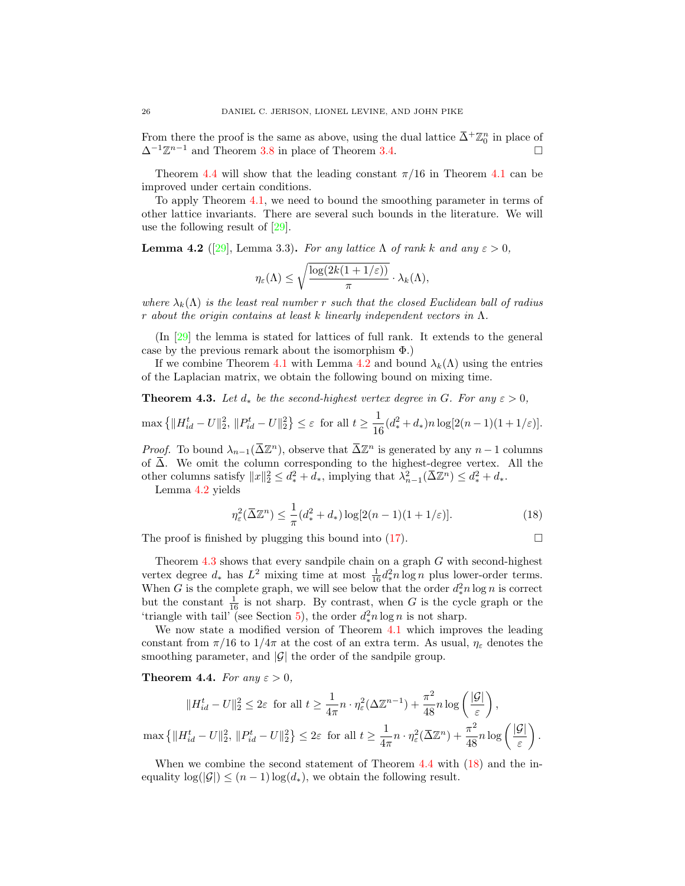From there the proof is the same as above, using the dual lattice  $\bar{\Delta}^+ \mathbb{Z}_0^n$  in place of  $\Delta^{-1}\mathbb{Z}^{n-1}$  and Theorem [3.8](#page-19-0) in place of Theorem [3.4.](#page-16-0)

Theorem [4.4](#page-25-1) will show that the leading constant  $\pi/16$  in Theorem [4.1](#page-24-0) can be improved under certain conditions.

To apply Theorem [4.1,](#page-24-0) we need to bound the smoothing parameter in terms of other lattice invariants. There are several such bounds in the literature. We will use the following result of [\[29\]](#page-37-7).

<span id="page-25-2"></span>**Lemma 4.2** ([\[29\]](#page-37-7), Lemma 3.3). For any lattice  $\Lambda$  of rank k and any  $\varepsilon > 0$ .

$$
\eta_{\varepsilon}(\Lambda) \le \sqrt{\frac{\log(2k(1+1/\varepsilon))}{\pi}} \cdot \lambda_k(\Lambda),
$$

where  $\lambda_k(\Lambda)$  is the least real number r such that the closed Euclidean ball of radius r about the origin contains at least k linearly independent vectors in  $\Lambda$ .

(In [\[29\]](#page-37-7) the lemma is stated for lattices of full rank. It extends to the general case by the previous remark about the isomorphism  $\Phi$ .)

If we combine Theorem [4.1](#page-24-0) with Lemma [4.2](#page-25-2) and bound  $\lambda_k(\Lambda)$  using the entries of the Laplacian matrix, we obtain the following bound on mixing time.

<span id="page-25-0"></span>**Theorem 4.3.** Let  $d_*$  be the second-highest vertex degree in G. For any  $\varepsilon > 0$ ,

$$
\max\left\{\|H_{id}^t - U\|_2^2, \|P_{id}^t - U\|_2^2\right\} \le \varepsilon \text{ for all } t \ge \frac{1}{16}(d_*^2 + d_*)n\log[2(n-1)(1+1/\varepsilon)].
$$

*Proof.* To bound  $\lambda_{n-1}(\bar{\Delta}\mathbb{Z}^n)$ , observe that  $\bar{\Delta}\mathbb{Z}^n$  is generated by any  $n-1$  columns of  $\overline{\Delta}$ . We omit the column corresponding to the highest-degree vertex. All the other columns satisfy  $||x||_2^2 \le d_*^2 + d_*$ , implying that  $\lambda_{n-1}^2(\overline{\Delta} \mathbb{Z}^n) \le d_*^2 + d_*$ .

Lemma [4.2](#page-25-2) yields

<span id="page-25-3"></span>
$$
\eta_{\varepsilon}^{2}(\overline{\Delta}\mathbb{Z}^{n}) \leq \frac{1}{\pi}(d_{*}^{2} + d_{*})\log[2(n-1)(1+1/\varepsilon)].
$$
\n(18)

The proof is finished by plugging this bound into  $(17)$ .

Theorem  $4.3$  shows that every sandpile chain on a graph  $G$  with second-highest vertex degree  $d_*$  has  $L^2$  mixing time at most  $\frac{1}{16} d_*^2 n \log n$  plus lower-order terms. When G is the complete graph, we will see below that the order  $d_*^2 n \log n$  is correct but the constant  $\frac{1}{16}$  is not sharp. By contrast, when G is the cycle graph or the 'triangle with tail' (see Section [5\)](#page-34-0), the order  $d_*^2 n \log n$  is not sharp.

We now state a modified version of Theorem [4.1](#page-24-0) which improves the leading constant from  $\pi/16$  to  $1/4\pi$  at the cost of an extra term. As usual,  $\eta_{\varepsilon}$  denotes the smoothing parameter, and  $|\mathcal{G}|$  the order of the sandpile group.

<span id="page-25-1"></span>**Theorem 4.4.** For any  $\varepsilon > 0$ ,

$$
||H_{id}^t - U||_2^2 \le 2\varepsilon \text{ for all } t \ge \frac{1}{4\pi}n \cdot \eta_{\varepsilon}^2(\Delta \mathbb{Z}^{n-1}) + \frac{\pi^2}{48}n \log\left(\frac{|\mathcal{G}|}{\varepsilon}\right),
$$
  

$$
\max \left\{||H_{id}^t - U||_2^2, ||P_{id}^t - U||_2^2\right\} \le 2\varepsilon \text{ for all } t \ge \frac{1}{4\pi}n \cdot \eta_{\varepsilon}^2(\overline{\Delta}\mathbb{Z}^n) + \frac{\pi^2}{48}n \log\left(\frac{|\mathcal{G}|}{\varepsilon}\right).
$$

When we combine the second statement of Theorem [4.4](#page-25-1) with [\(18\)](#page-25-3) and the inequality  $\log(|\mathcal{G}|) \leq (n-1) \log(d_*)$ , we obtain the following result.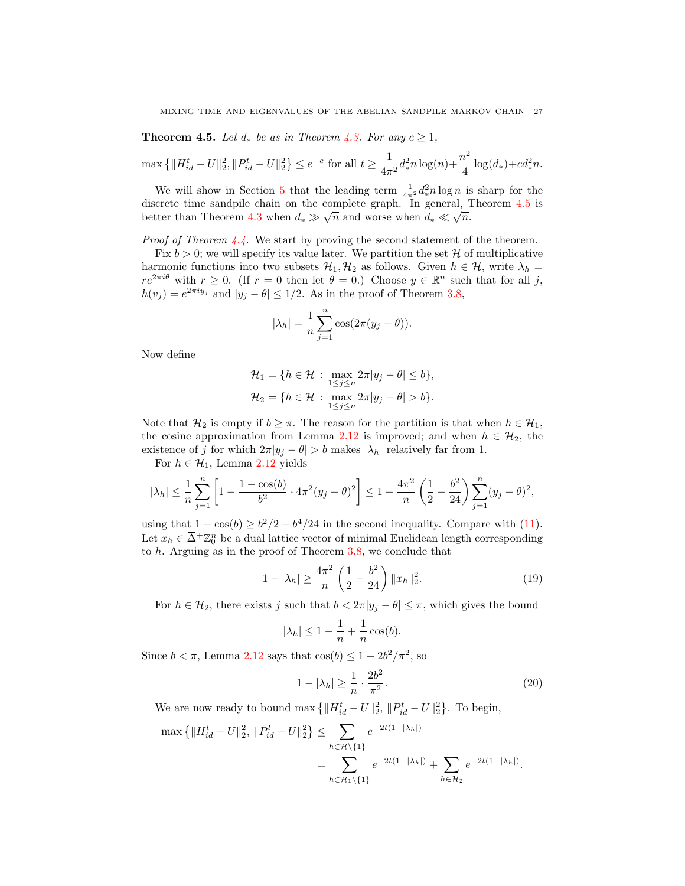<span id="page-26-0"></span>**Theorem 4.5.** Let  $d_*$  be as in Theorem [4.3.](#page-25-0) For any  $c \geq 1$ ,

$$
\max\left\{\|H_{id}^t - U\|_2^2, \|P_{id}^t - U\|_2^2\right\} \le e^{-c} \text{ for all } t \ge \frac{1}{4\pi^2} d_*^2 n \log(n) + \frac{n^2}{4} \log(d_*) + cd_*^2 n.
$$

We will show in Section [5](#page-29-0) that the leading term  $\frac{1}{4\pi^2} d_*^2 n \log n$  is sharp for the discrete time sandpile chain on the complete graph. In general, Theorem [4.5](#page-26-0) is better than Theorem [4.3](#page-25-0) when  $d_* \gg \sqrt{n}$  and worse when  $d_* \ll \sqrt{n}$ .

Proof of Theorem [4.4.](#page-25-1) We start by proving the second statement of the theorem.

Fix  $b > 0$ ; we will specify its value later. We partition the set H of multiplicative harmonic functions into two subsets  $\mathcal{H}_1, \mathcal{H}_2$  as follows. Given  $h \in \mathcal{H}$ , write  $\lambda_h =$  $re^{2\pi i\theta}$  with  $r \geq 0$ . (If  $r = 0$  then let  $\theta = 0$ .) Choose  $y \in \mathbb{R}^n$  such that for all j,  $h(v_j) = e^{2\pi i y_j}$  and  $|y_j - \theta| \leq 1/2$ . As in the proof of Theorem [3.8,](#page-19-0)

$$
|\lambda_h| = \frac{1}{n} \sum_{j=1}^n \cos(2\pi(y_j - \theta)).
$$

Now define

$$
\mathcal{H}_1 = \{ h \in \mathcal{H} : \max_{1 \le j \le n} 2\pi |y_j - \theta| \le b \},
$$
  

$$
\mathcal{H}_2 = \{ h \in \mathcal{H} : \max_{1 \le j \le n} 2\pi |y_j - \theta| > b \}.
$$

Note that  $\mathcal{H}_2$  is empty if  $b \geq \pi$ . The reason for the partition is that when  $h \in \mathcal{H}_1$ , the cosine approximation from Lemma [2.12](#page-10-1) is improved; and when  $h \in \mathcal{H}_2$ , the existence of j for which  $2\pi|y_i - \theta| > b$  makes  $|\lambda_h|$  relatively far from 1.

For  $h \in \mathcal{H}_1$ , Lemma [2.12](#page-10-1) yields

$$
|\lambda_h| \leq \frac{1}{n} \sum_{j=1}^n \left[ 1 - \frac{1 - \cos(b)}{b^2} \cdot 4\pi^2 (y_j - \theta)^2 \right] \leq 1 - \frac{4\pi^2}{n} \left( \frac{1}{2} - \frac{b^2}{24} \right) \sum_{j=1}^n (y_j - \theta)^2,
$$

using that  $1 - \cos(b) \ge b^2/2 - b^4/24$  in the second inequality. Compare with [\(11\)](#page-19-2). Let  $x_h \in \overline{\Delta}^+ \mathbb{Z}_0^n$  be a dual lattice vector of minimal Euclidean length corresponding to h. Arguing as in the proof of Theorem [3.8,](#page-19-0) we conclude that

$$
1 - |\lambda_h| \ge \frac{4\pi^2}{n} \left(\frac{1}{2} - \frac{b^2}{24}\right) \|x_h\|_2^2.
$$
 (19)

For  $h \in \mathcal{H}_2$ , there exists j such that  $b < 2\pi |y_j - \theta| \leq \pi$ , which gives the bound

<span id="page-26-1"></span>
$$
|\lambda_h| \le 1 - \frac{1}{n} + \frac{1}{n} \cos(b).
$$

Since  $b < \pi$ , Lemma [2.12](#page-10-1) says that  $cos(b) \leq 1 - 2b^2/\pi^2$ , so

<span id="page-26-2"></span>
$$
1 - |\lambda_h| \ge \frac{1}{n} \cdot \frac{2b^2}{\pi^2}.\tag{20}
$$

We are now ready to bound  $\max \{ ||H_{id}^t - U||_2^2, ||P_{id}^t - U||_2^2 \}$ . To begin,

$$
\max \left\{ \|H_{id}^t - U\|_2^2, \|P_{id}^t - U\|_2^2 \right\} \le \sum_{h \in \mathcal{H} \setminus \{1\}} e^{-2t(1 - |\lambda_h|)} \\
= \sum_{h \in \mathcal{H}_1 \setminus \{1\}} e^{-2t(1 - |\lambda_h|)} + \sum_{h \in \mathcal{H}_2} e^{-2t(1 - |\lambda_h|)}.
$$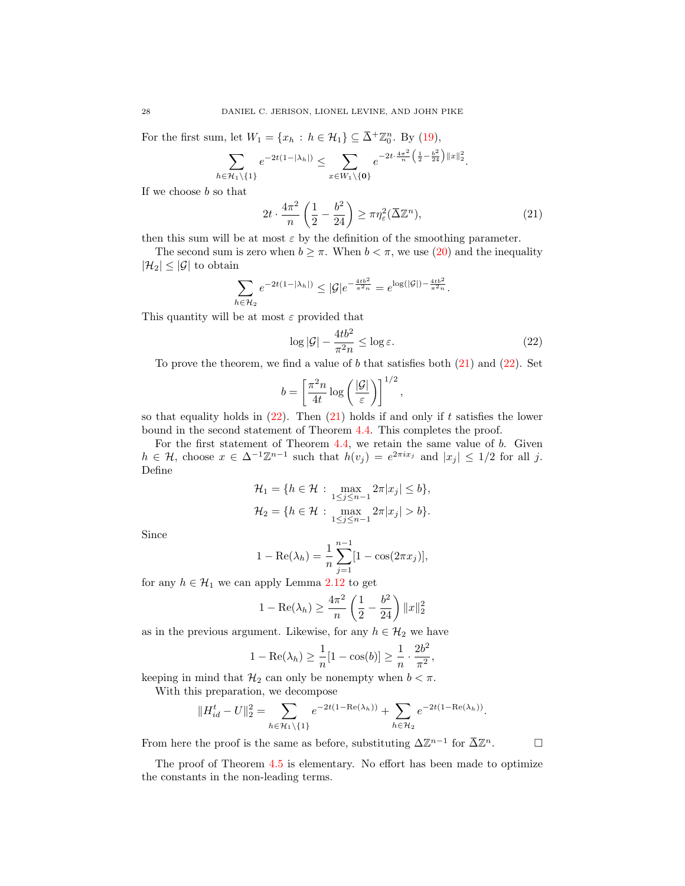For the first sum, let  $W_1 = \{x_h : h \in \mathcal{H}_1\} \subseteq \overline{\Delta}^+\mathbb{Z}_0^n$ . By [\(19\)](#page-26-1),

$$
\sum_{h \in \mathcal{H}_1 \setminus \{1\}} e^{-2t(1-|\lambda_h|)} \leq \sum_{x \in W_1 \setminus \{\mathbf{0}\}} e^{-2t \cdot \frac{4\pi^2}{n} \left(\frac{1}{2} - \frac{b^2}{24}\right) ||x||_2^2}.
$$

If we choose  $b$  so that

<span id="page-27-0"></span>
$$
2t \cdot \frac{4\pi^2}{n} \left(\frac{1}{2} - \frac{b^2}{24}\right) \ge \pi \eta_{\varepsilon}^2 (\bar{\Delta} \mathbb{Z}^n),\tag{21}
$$

then this sum will be at most  $\varepsilon$  by the definition of the smoothing parameter.

The second sum is zero when  $b \geq \pi$ . When  $b < \pi$ , we use [\(20\)](#page-26-2) and the inequality  $|\mathcal{H}_2| \leq |\mathcal{G}|$  to obtain

$$
\sum_{h \in \mathcal{H}_2} e^{-2t(1-|\lambda_h|)} \leq |\mathcal{G}| e^{-\frac{4tb^2}{\pi^2 n}} = e^{\log(|\mathcal{G}|) - \frac{4tb^2}{\pi^2 n}}.
$$

This quantity will be at most  $\varepsilon$  provided that

<span id="page-27-1"></span>
$$
\log|\mathcal{G}| - \frac{4tb^2}{\pi^2 n} \le \log \varepsilon. \tag{22}
$$

,

To prove the theorem, we find a value of  $b$  that satisfies both  $(21)$  and  $(22)$ . Set

$$
b = \left[\frac{\pi^2 n}{4t} \log \left(\frac{|\mathcal{G}|}{\varepsilon}\right)\right]^{1/2}
$$

so that equality holds in  $(22)$ . Then  $(21)$  holds if and only if t satisfies the lower bound in the second statement of Theorem [4.4.](#page-25-1) This completes the proof.

For the first statement of Theorem [4.4,](#page-25-1) we retain the same value of b. Given  $h \in \mathcal{H}$ , choose  $x \in \Delta^{-1}\mathbb{Z}^{n-1}$  such that  $h(v_j) = e^{2\pi ix_j}$  and  $|x_j| \leq 1/2$  for all j. Define

$$
\mathcal{H}_1 = \{ h \in \mathcal{H} : \max_{1 \le j \le n-1} 2\pi |x_j| \le b \},\newline \mathcal{H}_2 = \{ h \in \mathcal{H} : \max_{1 \le j \le n-1} 2\pi |x_j| > b \}.
$$

Since

$$
1 - \text{Re}(\lambda_h) = \frac{1}{n} \sum_{j=1}^{n-1} [1 - \cos(2\pi x_j)],
$$

for any  $h \in \mathcal{H}_1$  we can apply Lemma [2.12](#page-10-1) to get

$$
1 - \text{Re}(\lambda_h) \ge \frac{4\pi^2}{n} \left(\frac{1}{2} - \frac{b^2}{24}\right) ||x||_2^2
$$

as in the previous argument. Likewise, for any  $h \in \mathcal{H}_2$  we have

$$
1 - \text{Re}(\lambda_h) \ge \frac{1}{n} [1 - \cos(b)] \ge \frac{1}{n} \cdot \frac{2b^2}{\pi^2},
$$

keeping in mind that  $\mathcal{H}_2$  can only be nonempty when  $b < \pi$ .

With this preparation, we decompose

$$
||H_{id}^t - U||_2^2 = \sum_{h \in \mathcal{H}_1 \backslash \{1\}} e^{-2t(1 - \text{Re}(\lambda_h))} + \sum_{h \in \mathcal{H}_2} e^{-2t(1 - \text{Re}(\lambda_h))}.
$$

From here the proof is the same as before, substituting  $\Delta \mathbb{Z}^{n-1}$  for  $\overline{\Delta} \mathbb{Z}^n$ .  $\Box$ 

The proof of Theorem [4.5](#page-26-0) is elementary. No effort has been made to optimize the constants in the non-leading terms.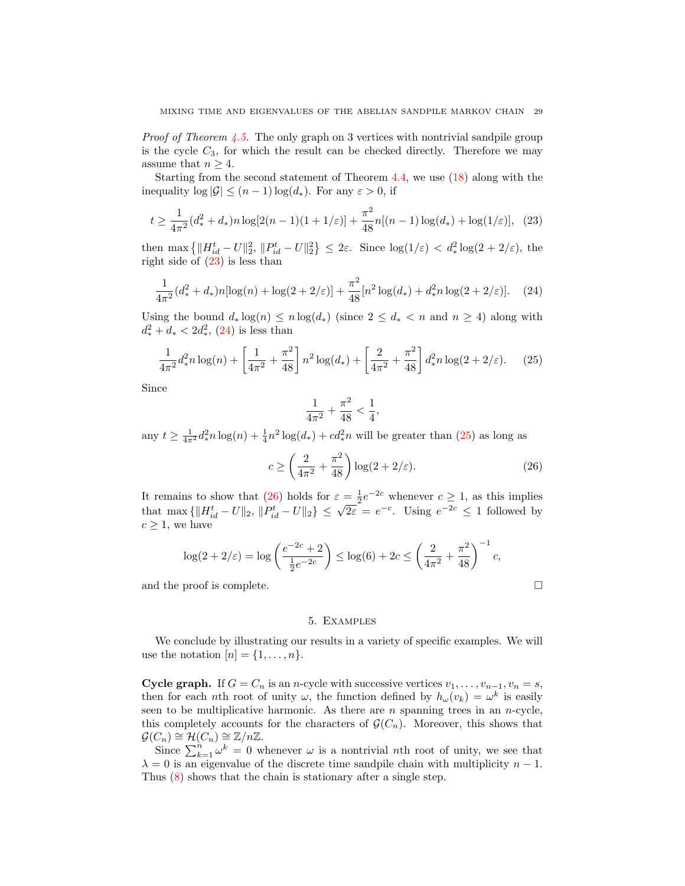*Proof of Theorem [4.5.](#page-26-0)* The only graph on 3 vertices with nontrivial sandpile group is the cycle  $C_3$ , for which the result can be checked directly. Therefore we may assume that  $n \geq 4$ .

Starting from the second statement of Theorem [4.4,](#page-25-1) we use [\(18\)](#page-25-3) along with the inequality  $\log |\mathcal{G}| \leq (n-1) \log(d_*)$ . For any  $\varepsilon > 0$ , if

$$
t \ge \frac{1}{4\pi^2} (d_*^2 + d_*) n \log[2(n-1)(1+1/\varepsilon)] + \frac{\pi^2}{48} n[(n-1)\log(d_*) + \log(1/\varepsilon)], \tag{23}
$$

then  $\max \left\{ ||H_{id}^t - U||_2^2, ||P_{id}^t - U||_2^2 \right\} \leq 2\varepsilon$ . Since  $\log(1/\varepsilon) < d_*^2 \log(2 + 2/\varepsilon)$ , the right side of [\(23\)](#page-28-2) is less than

<span id="page-28-3"></span>
$$
\frac{1}{4\pi^2} (d_*^2 + d_*) n[\log(n) + \log(2 + 2/\varepsilon)] + \frac{\pi^2}{48} [n^2 \log(d_*) + d_*^2 n \log(2 + 2/\varepsilon)]. \tag{24}
$$

Using the bound  $d_* \log(n) \leq n \log(d_*)$  (since  $2 \leq d_* < n$  and  $n \geq 4$ ) along with  $d_*^2 + d_* < 2d_*^2$ , [\(24\)](#page-28-3) is less than

$$
\frac{1}{4\pi^2} d_*^2 n \log(n) + \left[ \frac{1}{4\pi^2} + \frac{\pi^2}{48} \right] n^2 \log(d_*) + \left[ \frac{2}{4\pi^2} + \frac{\pi^2}{48} \right] d_*^2 n \log(2 + 2/\varepsilon). \tag{25}
$$

Since

<span id="page-28-5"></span><span id="page-28-4"></span><span id="page-28-2"></span>
$$
\frac{1}{4\pi^2} + \frac{\pi^2}{48} < \frac{1}{4},
$$

any  $t \geq \frac{1}{4\pi^2} d_*^2 n \log(n) + \frac{1}{4} n^2 \log(d_*) + cd_*^2 n$  will be greater than  $(25)$  as long as

$$
c \ge \left(\frac{2}{4\pi^2} + \frac{\pi^2}{48}\right) \log(2 + 2/\varepsilon). \tag{26}
$$

It remains to show that [\(26\)](#page-28-5) holds for  $\varepsilon = \frac{1}{2}e^{-2c}$  whenever  $c \ge 1$ , as this implies that max  $\{||H_{id}^t - U||_2, ||P_{id}^t - U||_2\} \leq \sqrt{2\varepsilon} = e^{-c}$ . Using  $e^{-2c} \leq 1$  followed by  $c \geq 1$ , we have

$$
\log(2 + 2/\varepsilon) = \log\left(\frac{e^{-2c} + 2}{\frac{1}{2}e^{-2c}}\right) \le \log(6) + 2c \le \left(\frac{2}{4\pi^2} + \frac{\pi^2}{48}\right)^{-1}c,
$$

and the proof is complete.

### 5. Examples

<span id="page-28-0"></span>We conclude by illustrating our results in a variety of specific examples. We will use the notation  $[n] = \{1, \ldots, n\}.$ 

<span id="page-28-1"></span>Cycle graph. If  $G = C_n$  is an n-cycle with successive vertices  $v_1, \ldots, v_{n-1}, v_n = s$ , then for each nth root of unity  $\omega$ , the function defined by  $h_{\omega}(v_k) = \omega^k$  is easily seen to be multiplicative harmonic. As there are  $n$  spanning trees in an  $n$ -cycle, this completely accounts for the characters of  $\mathcal{G}(C_n)$ . Moreover, this shows that  $\mathcal{G}(C_n) \cong \mathcal{H}(C_n) \cong \mathbb{Z}/n\mathbb{Z}.$ 

Since  $\sum_{k=1}^{n} \omega^k = 0$  whenever  $\omega$  is a nontrivial *nth* root of unity, we see that  $\lambda = 0$  is an eigenvalue of the discrete time sandpile chain with multiplicity  $n - 1$ . Thus [\(8\)](#page-9-1) shows that the chain is stationary after a single step.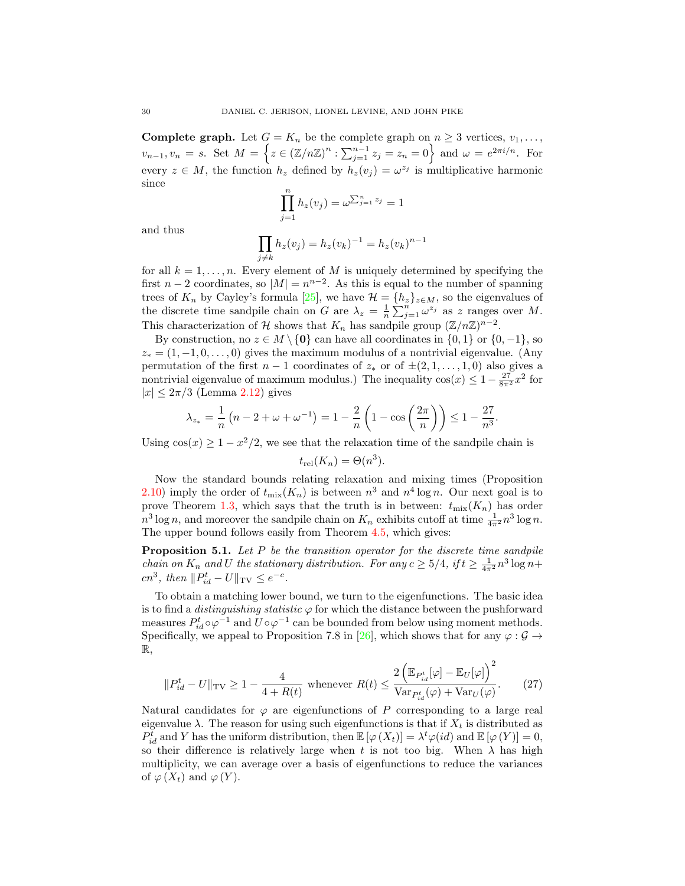<span id="page-29-0"></span>**Complete graph.** Let  $G = K_n$  be the complete graph on  $n \geq 3$  vertices,  $v_1, \ldots,$  $v_{n-1}, v_n = s$ . Set  $M = \left\{ z \in (\mathbb{Z}/n\mathbb{Z})^n : \sum_{j=1}^{n-1} z_j = z_n = 0 \right\}$  and  $\omega = e^{2\pi i/n}$ . For every  $z \in M$ , the function  $h_z$  defined by  $h_z(v_j) = \omega^{z_j}$  is multiplicative harmonic since

$$
\prod_{j=1}^{n} h_z(v_j) = \omega^{\sum_{j=1}^{n} z_j} = 1
$$

and thus

$$
\prod_{j \neq k} h_z(v_j) = h_z(v_k)^{-1} = h_z(v_k)^{n-1}
$$

for all  $k = 1, \ldots, n$ . Every element of M is uniquely determined by specifying the first  $n-2$  coordinates, so  $|M| = n^{n-2}$ . As this is equal to the number of spanning trees of  $K_n$  by Cayley's formula [\[25\]](#page-37-17), we have  $\mathcal{H} = \{h_z\}_{z \in M}$ , so the eigenvalues of the discrete time sandpile chain on G are  $\lambda_z = \frac{1}{n} \sum_{j=1}^n \omega^{z_j}$  as z ranges over M. This characterization of H shows that  $K_n$  has sandpile group  $(\mathbb{Z}/n\mathbb{Z})^{n-2}$ .

By construction, no  $z \in M \setminus \{0\}$  can have all coordinates in  $\{0, 1\}$  or  $\{0, -1\}$ , so  $z_* = (1, -1, 0, \ldots, 0)$  gives the maximum modulus of a nontrivial eigenvalue. (Any permutation of the first  $n-1$  coordinates of  $z_*$  or of  $\pm (2,1,\ldots,1,0)$  also gives a nontrivial eigenvalue of maximum modulus.) The inequality  $cos(x) \leq 1 - \frac{27}{8\pi^2}x^2$  for  $|x| \leq 2\pi/3$  (Lemma [2.12\)](#page-10-1) gives

$$
\lambda_{z_*} = \frac{1}{n} \left( n - 2 + \omega + \omega^{-1} \right) = 1 - \frac{2}{n} \left( 1 - \cos \left( \frac{2\pi}{n} \right) \right) \le 1 - \frac{27}{n^3}.
$$

Using  $\cos(x) \geq 1 - x^2/2$ , we see that the relaxation time of the sandpile chain is

$$
t_{\rm rel}(K_n) = \Theta(n^3).
$$

Now the standard bounds relating relaxation and mixing times (Proposition [2.10\)](#page-10-2) imply the order of  $t_{\text{mix}}(K_n)$  is between  $n^3$  and  $n^4 \log n$ . Our next goal is to prove Theorem [1.3,](#page-2-2) which says that the truth is in between:  $t_{\text{mix}}(K_n)$  has order  $n^3 \log n$ , and moreover the sandpile chain on  $K_n$  exhibits cutoff at time  $\frac{1}{4\pi^2} n^3 \log n$ . The upper bound follows easily from Theorem [4.5,](#page-26-0) which gives:

<span id="page-29-1"></span>**Proposition 5.1.** Let  $P$  be the transition operator for the discrete time sandpile *chain on*  $K_n$  and U the stationary distribution. For any  $c \geq 5/4$ , if  $t \geq \frac{1}{4\pi^2} n^3 \log n +$ cn<sup>3</sup>, then  $||P_{id}^t - U||_{TV} \le e^{-c}$ .

To obtain a matching lower bound, we turn to the eigenfunctions. The basic idea is to find a *distinguishing statistic*  $\varphi$  for which the distance between the pushforward measures  $P_{id}^t \circ \varphi^{-1}$  and  $U \circ \varphi^{-1}$  can be bounded from below using moment methods. Specifically, we appeal to Proposition 7.8 in [\[26\]](#page-37-13), which shows that for any  $\varphi : \mathcal{G} \to$ R,

<span id="page-29-2"></span>
$$
||P_{id}^t - U||_{\text{TV}} \ge 1 - \frac{4}{4 + R(t)} \text{ whenever } R(t) \le \frac{2\left(\mathbb{E}_{P_{id}^t}[\varphi] - \mathbb{E}_U[\varphi]\right)^2}{\text{Var}_{P_{id}^t}(\varphi) + \text{Var}_U(\varphi)}.
$$
 (27)

Natural candidates for  $\varphi$  are eigenfunctions of P corresponding to a large real eigenvalue  $\lambda$ . The reason for using such eigenfunctions is that if  $X_t$  is distributed as  $P_{id}^{t}$  and Y has the uniform distribution, then  $\mathbb{E}[\varphi(X_t)] = \lambda^t \varphi(id)$  and  $\mathbb{E}[\varphi(Y)] = 0$ , so their difference is relatively large when t is not too big. When  $\lambda$  has high multiplicity, we can average over a basis of eigenfunctions to reduce the variances of  $\varphi(X_t)$  and  $\varphi(Y)$ .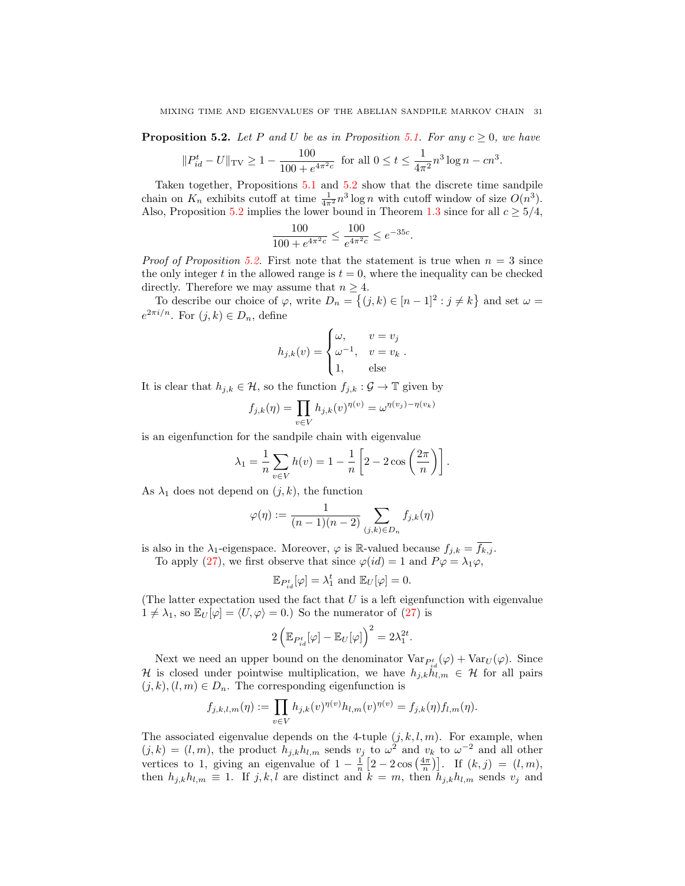<span id="page-30-0"></span>**Proposition 5.2.** Let P and U be as in Proposition [5.1.](#page-29-1) For any  $c \geq 0$ , we have

$$
||P_{id}^t - U||_{TV} \ge 1 - \frac{100}{100 + e^{4\pi^2 c}}
$$
 for all  $0 \le t \le \frac{1}{4\pi^2} n^3 \log n - cn^3$ .

Taken together, Propositions [5.1](#page-29-1) and [5.2](#page-30-0) show that the discrete time sandpile chain on  $K_n$  exhibits cutoff at time  $\frac{1}{4\pi^2} n^3 \log n$  with cutoff window of size  $O(n^3)$ . Also, Proposition [5.2](#page-30-0) implies the lower bound in Theorem [1.3](#page-2-2) since for all  $c \geq 5/4$ ,

$$
\frac{100}{100 + e^{4\pi^2 c}} \le \frac{100}{e^{4\pi^2 c}} \le e^{-35c}.
$$

*Proof of Proposition [5.2.](#page-30-0)* First note that the statement is true when  $n = 3$  since the only integer t in the allowed range is  $t = 0$ , where the inequality can be checked directly. Therefore we may assume that  $n \geq 4$ .

To describe our choice of  $\varphi$ , write  $D_n = \{(j,k) \in [n-1]^2 : j \neq k\}$  and set  $\omega =$  $e^{2\pi i/n}$ . For  $(j,k) \in D_n$ , define

$$
h_{j,k}(v) = \begin{cases} \omega, & v = v_j \\ \omega^{-1}, & v = v_k \\ 1, & \text{else} \end{cases}.
$$

It is clear that  $h_{j,k} \in \mathcal{H}$ , so the function  $f_{j,k} : \mathcal{G} \to \mathbb{T}$  given by

$$
f_{j,k}(\eta) = \prod_{v \in V} h_{j,k}(v)^{\eta(v)} = \omega^{\eta(v_j) - \eta(v_k)}
$$

is an eigenfunction for the sandpile chain with eigenvalue

$$
\lambda_1 = \frac{1}{n} \sum_{v \in V} h(v) = 1 - \frac{1}{n} \left[ 2 - 2 \cos \left( \frac{2\pi}{n} \right) \right].
$$

As  $\lambda_1$  does not depend on  $(j, k)$ , the function

$$
\varphi(\eta) := \frac{1}{(n-1)(n-2)} \sum_{(j,k) \in D_n} f_{j,k}(\eta)
$$

is also in the  $\lambda_1$ -eigenspace. Moreover,  $\varphi$  is R-valued because  $f_{j,k} = \overline{f_{k,j}}$ . To apply [\(27\)](#page-29-2), we first observe that since  $\varphi(id) = 1$  and  $P\varphi = \lambda_1\varphi$ ,

$$
\mathbb{E}_{P_{id}^t}[\varphi] = \lambda_1^t \text{ and } \mathbb{E}_U[\varphi] = 0.
$$

(The latter expectation used the fact that  $U$  is a left eigenfunction with eigenvalue  $1 \neq \lambda_1$ , so  $\mathbb{E}_U[\varphi] = \langle U, \varphi \rangle = 0.$  So the numerator of  $(27)$  is

$$
2\left(\mathbb{E}_{P_{id}^t}[\varphi] - \mathbb{E}_U[\varphi]\right)^2 = 2\lambda_1^{2t}.
$$

Next we need an upper bound on the denominator  $Var_{P_{id}^t}(\varphi) + Var_U(\varphi)$ . Since H is closed under pointwise multiplication, we have  $h_{j,k}h_{l,m} \in \mathcal{H}$  for all pairs  $(j, k), (l, m) \in D_n$ . The corresponding eigenfunction is

$$
f_{j,k,l,m}(\eta) := \prod_{v \in V} h_{j,k}(v)^{\eta(v)} h_{l,m}(v)^{\eta(v)} = f_{j,k}(\eta) f_{l,m}(\eta).
$$

The associated eigenvalue depends on the 4-tuple  $(j, k, l, m)$ . For example, when  $(j,k) = (l,m)$ , the product  $h_{j,k}h_{l,m}$  sends  $v_j$  to  $\omega^2$  and  $v_k$  to  $\omega^{-2}$  and all other vertices to 1, giving an eigenvalue of  $1 - \frac{1}{n} \left[ 2 - 2 \cos\left(\frac{4\pi}{n}\right) \right]$ . If  $(k, j) = (l, m)$ , then  $h_{j,k}h_{l,m} \equiv 1$ . If j, k, l are distinct and  $k = m$ , then  $h_{j,k}h_{l,m}$  sends  $v_j$  and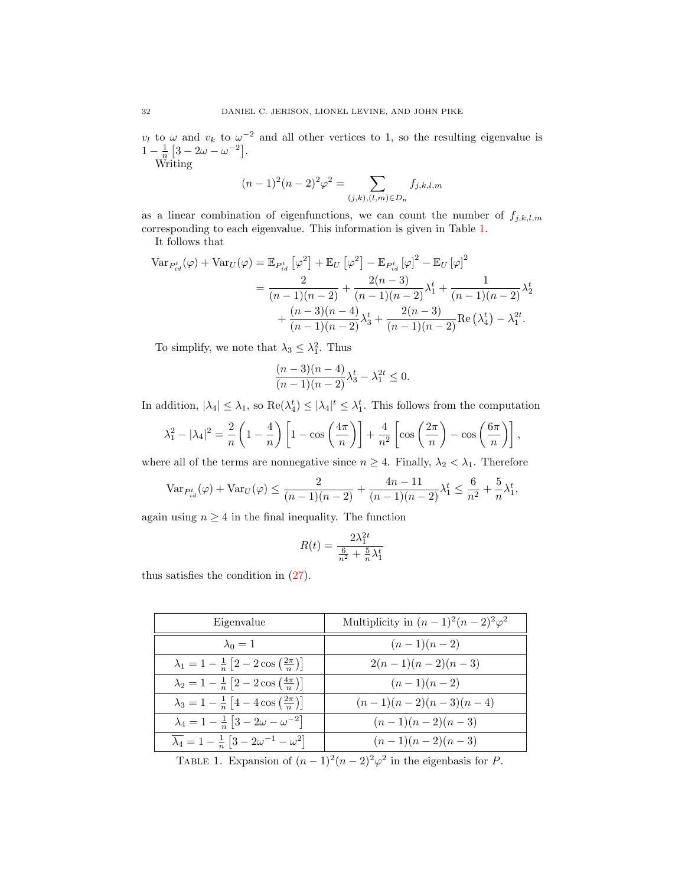$v_l$  to  $\omega$  and  $v_k$  to  $\omega^{-2}$  and all other vertices to 1, so the resulting eigenvalue is  $1 - \frac{1}{n} [3 - 2\omega - \omega^{-2}].$ 

Writing

$$
(n-1)^{2}(n-2)^{2}\varphi^{2} = \sum_{(j,k),(l,m)\in D_{n}} f_{j,k,l,m}
$$

as a linear combination of eigenfunctions, we can count the number of  $f_{j,k,l,m}$ corresponding to each eigenvalue. This information is given in Table [1.](#page-31-0)

It follows that

$$
\begin{split} \text{Var}_{P_{id}^{t}}(\varphi) + \text{Var}_{U}(\varphi) &= \mathbb{E}_{P_{id}^{t}}\left[\varphi^{2}\right] + \mathbb{E}_{U}\left[\varphi^{2}\right] - \mathbb{E}_{P_{id}^{t}}\left[\varphi\right]^{2} - \mathbb{E}_{U}\left[\varphi\right]^{2} \\ &= \frac{2}{(n-1)(n-2)} + \frac{2(n-3)}{(n-1)(n-2)}\lambda_{1}^{t} + \frac{1}{(n-1)(n-2)}\lambda_{2}^{t} \\ &+ \frac{(n-3)(n-4)}{(n-1)(n-2)}\lambda_{3}^{t} + \frac{2(n-3)}{(n-1)(n-2)}\text{Re}\left(\lambda_{4}^{t}\right) - \lambda_{1}^{2t} .\end{split}
$$

To simplify, we note that  $\lambda_3 \leq \lambda_1^2$ . Thus

$$
\frac{(n-3)(n-4)}{(n-1)(n-2)}\lambda_3^t - \lambda_1^{2t} \le 0.
$$

In addition,  $|\lambda_4| \leq \lambda_1$ , so  $\text{Re}(\lambda_4^t) \leq |\lambda_4|^t \leq \lambda_1^t$ . This follows from the computation

$$
\lambda_1^2 - |\lambda_4|^2 = \frac{2}{n} \left( 1 - \frac{4}{n} \right) \left[ 1 - \cos\left(\frac{4\pi}{n}\right) \right] + \frac{4}{n^2} \left[ \cos\left(\frac{2\pi}{n}\right) - \cos\left(\frac{6\pi}{n}\right) \right],
$$

where all of the terms are nonnegative since  $n \geq 4$ . Finally,  $\lambda_2 < \lambda_1$ . Therefore

$$
\text{Var}_{P_{id}^t}(\varphi) + \text{Var}_U(\varphi) \le \frac{2}{(n-1)(n-2)} + \frac{4n-11}{(n-1)(n-2)}\lambda_1^t \le \frac{6}{n^2} + \frac{5}{n}\lambda_1^t,
$$

again using  $n \geq 4$  in the final inequality. The function

$$
R(t) = \frac{2\lambda_1^{2t}}{\frac{6}{n^2} + \frac{5}{n}\lambda_1^t}
$$

thus satisfies the condition in [\(27\)](#page-29-2).

| Eigenvalue                                                                            | Multiplicity in $(n-1)^2(n-2)^2\varphi^2$ |
|---------------------------------------------------------------------------------------|-------------------------------------------|
| $\lambda_0=1$                                                                         | $(n-1)(n-2)$                              |
| $\lambda_1 = 1 - \frac{1}{n} \left[ 2 - 2 \cos \left( \frac{2\pi}{n} \right) \right]$ | $2(n-1)(n-2)(n-3)$                        |
| $\lambda_2 = 1 - \frac{1}{n} \left[ 2 - 2 \cos \left( \frac{4\pi}{n} \right) \right]$ | $(n-1)(n-2)$                              |
| $\lambda_3 = 1 - \frac{1}{n} \left[ 4 - 4 \cos \left( \frac{2\pi}{n} \right) \right]$ | $(n-1)(n-2)(n-3)(n-4)$                    |
| $\lambda_4 = 1 - \frac{1}{n} \left[ 3 - 2\omega - \omega^{-2} \right]$                | $(n-1)(n-2)(n-3)$                         |
| $\overline{\lambda_4} = 1 - \frac{1}{n} \left[ 3 - 2\omega^{-1} - \omega^2 \right]$   | $(n-1)(n-2)(n-3)$                         |

<span id="page-31-0"></span>TABLE 1. Expansion of  $(n-1)^2(n-2)^2\varphi^2$  in the eigenbasis for P.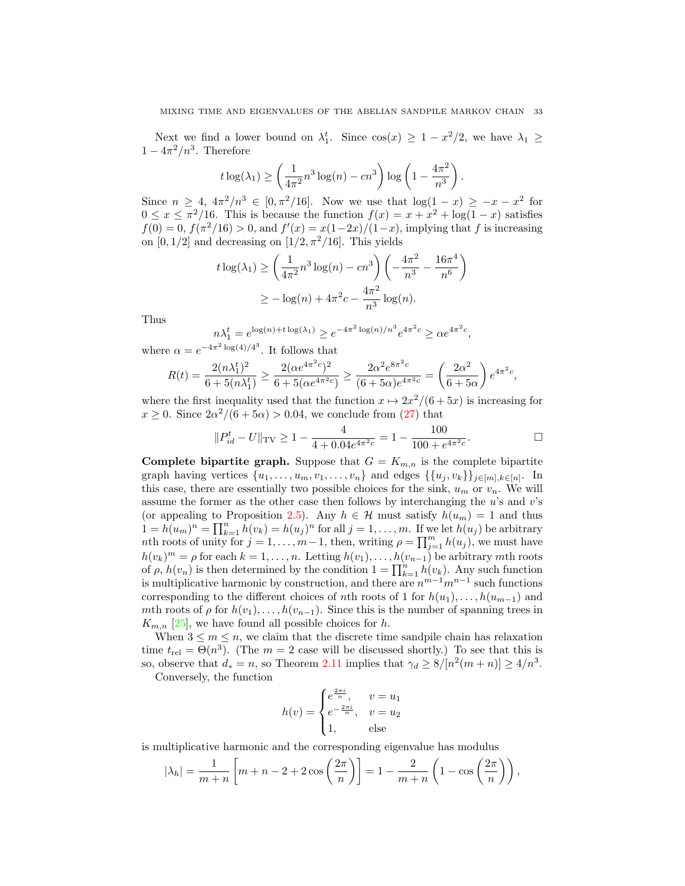Next we find a lower bound on  $\lambda_1^t$ . Since  $\cos(x) \geq 1 - x^2/2$ , we have  $\lambda_1 \geq$  $1 - 4\pi^2/n^3$ . Therefore

$$
t \log(\lambda_1) \ge \left(\frac{1}{4\pi^2} n^3 \log(n) - cn^3\right) \log\left(1 - \frac{4\pi^2}{n^3}\right).
$$

Since  $n \geq 4$ ,  $4\pi^2/n^3 \in [0, \pi^2/16]$ . Now we use that  $\log(1-x) \geq -x - x^2$  for  $0 \leq x \leq \pi^2/16$ . This is because the function  $f(x) = x + x^2 + \log(1 - x)$  satisfies  $f(0) = 0, f(\pi^2/16) > 0$ , and  $f'(x) = \frac{x(1-2x)}{(1-x)}$ , implying that f is increasing on  $[0, 1/2]$  and decreasing on  $[1/2, \pi^2/16]$ . This yields

$$
t \log(\lambda_1) \ge \left(\frac{1}{4\pi^2} n^3 \log(n) - cn^3\right) \left(-\frac{4\pi^2}{n^3} - \frac{16\pi^4}{n^6}\right)
$$
  
 
$$
\ge -\log(n) + 4\pi^2 c - \frac{4\pi^2}{n^3} \log(n).
$$

Thus

$$
n\lambda_1^t = e^{\log(n) + t \log(\lambda_1)} \ge e^{-4\pi^2 \log(n)/n^3} e^{4\pi^2 c} \ge \alpha e^{4\pi^2 c},
$$

where  $\alpha = e^{-4\pi^2 \log(4)/4^3}$ . It follows that

$$
R(t) = \frac{2(n\lambda_1^t)^2}{6 + 5(n\lambda_1^t)} \ge \frac{2(\alpha e^{4\pi^2 c})^2}{6 + 5(\alpha e^{4\pi^2 c})} \ge \frac{2\alpha^2 e^{8\pi^2 c}}{(6 + 5\alpha)e^{4\pi^2 c}} = \left(\frac{2\alpha^2}{6 + 5\alpha}\right)e^{4\pi^2 c},
$$

where the first inequality used that the function  $x \mapsto 2x^2/(6+5x)$  is increasing for  $x \geq 0$ . Since  $2\alpha^2/(6+5\alpha) > 0.04$ , we conclude from [\(27\)](#page-29-2) that

$$
||P_{id}^t - U||_{\text{TV}} \ge 1 - \frac{4}{4 + 0.04e^{4\pi^2 c}} = 1 - \frac{100}{100 + e^{4\pi^2 c}}.
$$

**Complete bipartite graph.** Suppose that  $G = K_{m,n}$  is the complete bipartite graph having vertices  $\{u_1, \ldots, u_m, v_1, \ldots, v_n\}$  and edges  $\{\{u_j, v_k\}\}_{j \in [m], k \in [n]}$ . In this case, there are essentially two possible choices for the sink,  $u_m$  or  $v_n$ . We will assume the former as the other case then follows by interchanging the  $u$ 's and  $v$ 's (or appealing to Proposition [2.5\)](#page-8-2). Any  $h \in \mathcal{H}$  must satisfy  $h(u_m) = 1$  and thus  $1 = h(u_m)^n = \prod_{k=1}^n h(v_k) = h(u_j)^n$  for all  $j = 1, \ldots, m$ . If we let  $h(u_j)$  be arbitrary nth roots of unity for  $j = 1, ..., m-1$ , then, writing  $\rho = \prod_{j=1}^{m} h(u_j)$ , we must have  $h(v_k)^m = \rho$  for each  $k = 1, ..., n$ . Letting  $h(v_1), ..., h(v_{n-1})$  be arbitrary mth roots of  $\rho$ ,  $h(v_n)$  is then determined by the condition  $1 = \prod_{k=1}^{n} h(v_k)$ . Any such function is multiplicative harmonic by construction, and there are  $n^{m-1}m^{n-1}$  such functions corresponding to the different choices of nth roots of 1 for  $h(u_1), \ldots, h(u_{m-1})$  and mth roots of  $\rho$  for  $h(v_1), \ldots, h(v_{n-1})$ . Since this is the number of spanning trees in  $K_{m,n}$  [\[25\]](#page-37-17), we have found all possible choices for h.

When  $3 \leq m \leq n$ , we claim that the discrete time sandpile chain has relaxation time  $t_{rel} = \Theta(n^3)$ . (The  $m = 2$  case will be discussed shortly.) To see that this is so, observe that  $d_* = n$ , so Theorem [2.11](#page-10-0) implies that  $\gamma_d \geq 8/[n^2(m+n)] \geq 4/n^3$ .

Conversely, the function

$$
h(v) = \begin{cases} e^{\frac{2\pi i}{n}}, & v = u_1 \\ e^{-\frac{2\pi i}{n}}, & v = u_2 \\ 1, & \text{else} \end{cases}
$$

is multiplicative harmonic and the corresponding eigenvalue has modulus

$$
|\lambda_h| = \frac{1}{m+n} \left[ m+n-2+2 \cos\left(\frac{2\pi}{n}\right) \right] = 1 - \frac{2}{m+n} \left( 1 - \cos\left(\frac{2\pi}{n}\right) \right),
$$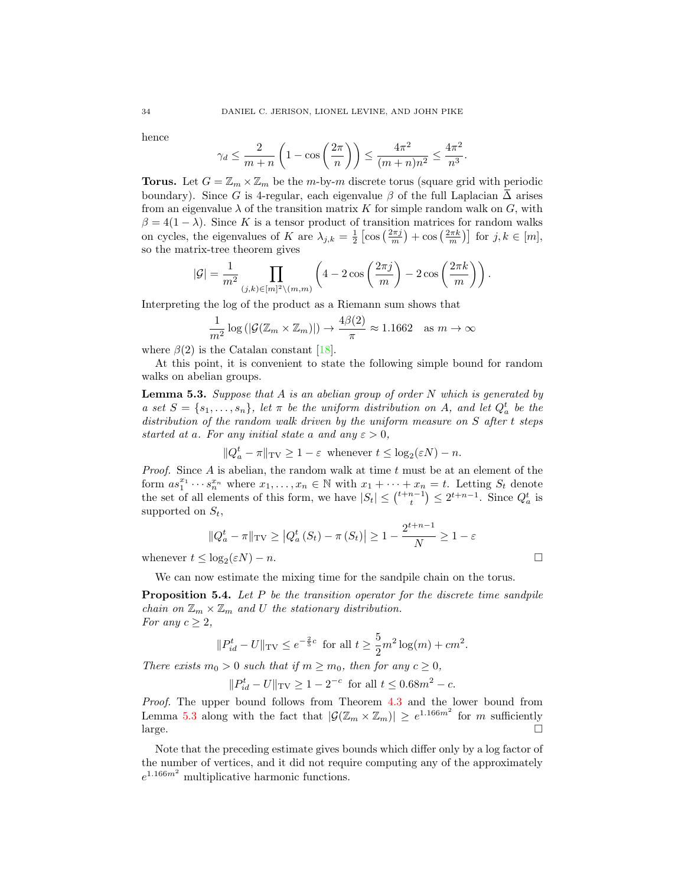hence

$$
\gamma_d \le \frac{2}{m+n} \left( 1 - \cos\left(\frac{2\pi}{n}\right) \right) \le \frac{4\pi^2}{(m+n)n^2} \le \frac{4\pi^2}{n^3}.
$$

**Torus.** Let  $G = \mathbb{Z}_m \times \mathbb{Z}_m$  be the m-by-m discrete torus (square grid with periodic boundary). Since G is 4-regular, each eigenvalue  $\beta$  of the full Laplacian  $\overline{\Delta}$  arises from an eigenvalue  $\lambda$  of the transition matrix K for simple random walk on G, with  $\beta = 4(1 - \lambda)$ . Since K is a tensor product of transition matrices for random walks on cycles, the eigenvalues of K are  $\lambda_{j,k} = \frac{1}{2} \left[ \cos \left( \frac{2\pi j}{m} \right) + \cos \left( \frac{2\pi k}{m} \right) \right]$  for  $j,k \in [m]$ , so the matrix-tree theorem gives

$$
|\mathcal{G}| = \frac{1}{m^2} \prod_{(j,k)\in[m]^2\setminus(m,m)} \left(4 - 2\cos\left(\frac{2\pi j}{m}\right) - 2\cos\left(\frac{2\pi k}{m}\right)\right).
$$

Interpreting the log of the product as a Riemann sum shows that

$$
\frac{1}{m^2} \log \left( \left| \mathcal{G}(\mathbb{Z}_m \times \mathbb{Z}_m) \right| \right) \to \frac{4\beta(2)}{\pi} \approx 1.1662 \quad \text{as } m \to \infty
$$

where  $\beta(2)$  is the Catalan constant [\[18\]](#page-37-18).

At this point, it is convenient to state the following simple bound for random walks on abelian groups.

<span id="page-33-0"></span>**Lemma 5.3.** Suppose that A is an abelian group of order N which is generated by a set  $S = \{s_1, \ldots, s_n\}$ , let  $\pi$  be the uniform distribution on A, and let  $Q_a^t$  be the distribution of the random walk driven by the uniform measure on S after t steps started at a. For any initial state a and any  $\varepsilon > 0$ ,

$$
||Q_a^t - \pi||_{\text{TV}} \ge 1 - \varepsilon \text{ whenever } t \le \log_2(\varepsilon N) - n.
$$

*Proof.* Since  $A$  is abelian, the random walk at time  $t$  must be at an element of the form  $as_1^{x_1}\cdots s_n^{x_n}$  where  $x_1,\ldots,x_n\in\mathbb{N}$  with  $x_1+\cdots+x_n=t$ . Letting  $S_t$  denote the set of all elements of this form, we have  $|S_t| \leq {t+n-1 \choose t} \leq 2^{t+n-1}$ . Since  $Q_a^t$  is supported on  $S_t$ ,

$$
||Q_a^t - \pi||_{\text{TV}} \ge |Q_a^t(S_t) - \pi(S_t)| \ge 1 - \frac{2^{t+n-1}}{N} \ge 1 - \varepsilon
$$

whenever  $t \leq \log_2(\varepsilon N) - n$ .

We can now estimate the mixing time for the sandpile chain on the torus.

**Proposition 5.4.** Let  $P$  be the transition operator for the discrete time sandpile chain on  $\mathbb{Z}_m \times \mathbb{Z}_m$  and U the stationary distribution. For any  $c \geq 2$ ,

$$
||P_{id}^t - U||_{TV} \le e^{-\frac{2}{5}c}
$$
 for all  $t \ge \frac{5}{2}m^2 \log(m) + cm^2$ .

There exists  $m_0 > 0$  such that if  $m \ge m_0$ , then for any  $c \ge 0$ ,

$$
||P_{id}^t - U||_{TV} \ge 1 - 2^{-c}
$$
 for all  $t \le 0.68m^2 - c$ .

Proof. The upper bound follows from Theorem [4.3](#page-25-0) and the lower bound from Lemma [5.3](#page-33-0) along with the fact that  $|\mathcal{G}(\mathbb{Z}_m \times \mathbb{Z}_m)| \geq e^{1.166m^2}$  for m sufficiently  $\Box$ 

Note that the preceding estimate gives bounds which differ only by a log factor of the number of vertices, and it did not require computing any of the approximately  $e^{1.166m^2}$  multiplicative harmonic functions.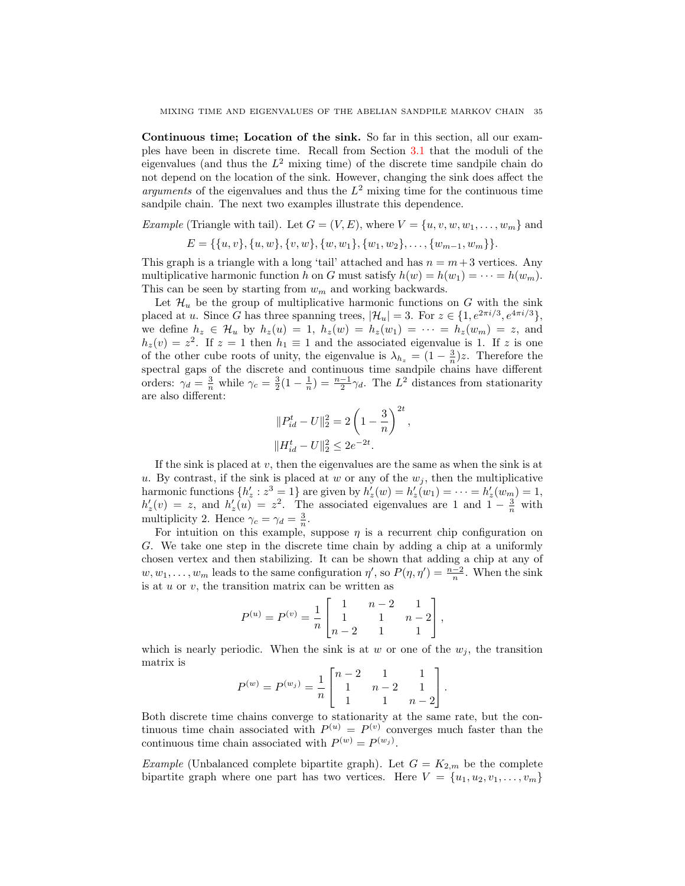<span id="page-34-0"></span>Continuous time; Location of the sink. So far in this section, all our examples have been in discrete time. Recall from Section [3.1](#page-14-1) that the moduli of the eigenvalues (and thus the  $L^2$  mixing time) of the discrete time sandpile chain do not depend on the location of the sink. However, changing the sink does affect the arguments of the eigenvalues and thus the  $L^2$  mixing time for the continuous time sandpile chain. The next two examples illustrate this dependence.

*Example* (Triangle with tail). Let  $G = (V, E)$ , where  $V = \{u, v, w, w_1, \ldots, w_m\}$  and

$$
E = \{\{u, v\}, \{u, w\}, \{v, w\}, \{w, w_1\}, \{w_1, w_2\}, \dots, \{w_{m-1}, w_m\}\}.
$$

This graph is a triangle with a long 'tail' attached and has  $n = m + 3$  vertices. Any multiplicative harmonic function h on G must satisfy  $h(w) = h(w_1) = \cdots = h(w_m)$ . This can be seen by starting from  $w_m$  and working backwards.

Let  $\mathcal{H}_u$  be the group of multiplicative harmonic functions on G with the sink placed at u. Since G has three spanning trees,  $|\mathcal{H}_u| = 3$ . For  $z \in \{1, e^{2\pi i/3}, e^{4\pi i/3}\},$ we define  $h_z \in \mathcal{H}_u$  by  $h_z(u) = 1$ ,  $h_z(w) = h_z(w_1) = \cdots = h_z(w_m) = z$ , and  $h_z(v) = z^2$ . If  $z = 1$  then  $h_1 \equiv 1$  and the associated eigenvalue is 1. If z is one of the other cube roots of unity, the eigenvalue is  $\lambda_{h_z} = (1 - \frac{3}{n})z$ . Therefore the spectral gaps of the discrete and continuous time sandpile chains have different orders:  $\gamma_d = \frac{3}{n}$  while  $\gamma_c = \frac{3}{2}(1 - \frac{1}{n}) = \frac{n-1}{2}\gamma_d$ . The  $L^2$  distances from stationarity are also different:

$$
\begin{aligned} &\|P_{id}^t-U\|_2^2=2\left(1-\frac{3}{n}\right)^{2t},\\ &\|H_{id}^t-U\|_2^2\leq 2e^{-2t}. \end{aligned}
$$

If the sink is placed at v, then the eigenvalues are the same as when the sink is at u. By contrast, if the sink is placed at w or any of the  $w_j$ , then the multiplicative harmonic functions  $\{h'_z : z^3 = 1\}$  are given by  $h'_z(w) = h'_z(w_1) = \cdots = h'_z(w_m) = 1$ ,  $h'_z(v) = z$ , and  $h'_z(u) = z^2$ . The associated eigenvalues are 1 and  $1 - \frac{3}{n}$  with multiplicity 2. Hence  $\gamma_c = \gamma_d = \frac{3}{n}$ .

For intuition on this example, suppose  $\eta$  is a recurrent chip configuration on G. We take one step in the discrete time chain by adding a chip at a uniformly chosen vertex and then stabilizing. It can be shown that adding a chip at any of  $w, w_1, \ldots, w_m$  leads to the same configuration  $\eta'$ , so  $P(\eta, \eta') = \frac{n-2}{n}$ . When the sink is at  $u$  or  $v$ , the transition matrix can be written as

$$
P^{(u)} = P^{(v)} = \frac{1}{n} \begin{bmatrix} 1 & n-2 & 1 \\ 1 & 1 & n-2 \\ n-2 & 1 & 1 \end{bmatrix},
$$

which is nearly periodic. When the sink is at w or one of the  $w_j$ , the transition matrix is

$$
P^{(w)} = P^{(w_j)} = \frac{1}{n} \begin{bmatrix} n-2 & 1 & 1 \\ 1 & n-2 & 1 \\ 1 & 1 & n-2 \end{bmatrix}.
$$

Both discrete time chains converge to stationarity at the same rate, but the continuous time chain associated with  $P^{(u)} = P^{(v)}$  converges much faster than the continuous time chain associated with  $P^{(w)} = P^{(w_j)}$ .

*Example* (Unbalanced complete bipartite graph). Let  $G = K_{2,m}$  be the complete bipartite graph where one part has two vertices. Here  $V = \{u_1, u_2, v_1, \ldots, v_m\}$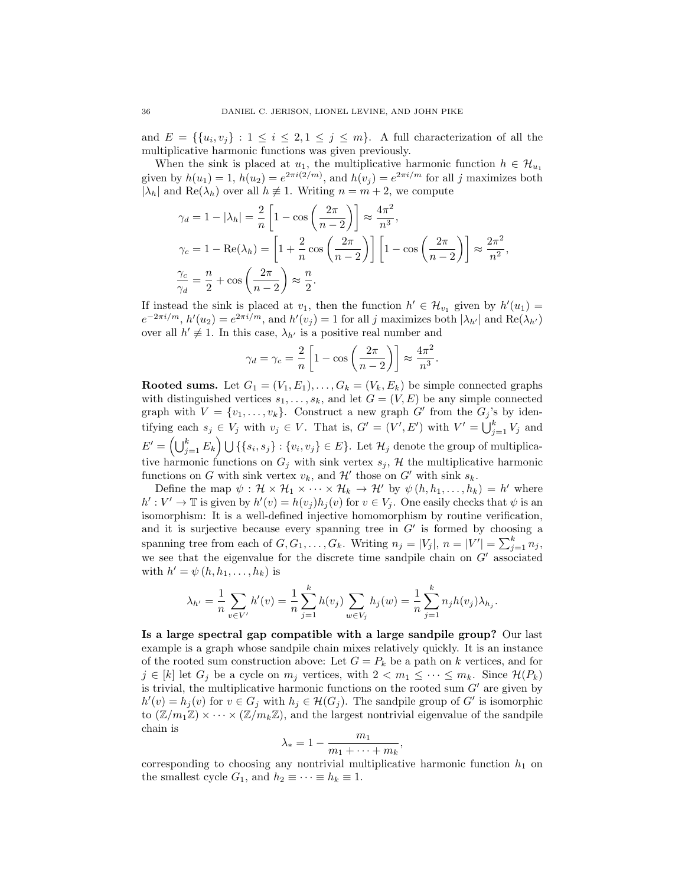and  $E = \{\{u_i, v_j\} : 1 \leq i \leq 2, 1 \leq j \leq m\}$ . A full characterization of all the multiplicative harmonic functions was given previously.

When the sink is placed at  $u_1$ , the multiplicative harmonic function  $h \in \mathcal{H}_{u_1}$ given by  $h(u_1) = 1$ ,  $h(u_2) = e^{2\pi i(2/m)}$ , and  $h(v_j) = e^{2\pi i/m}$  for all j maximizes both  $|\lambda_h|$  and  $\text{Re}(\lambda_h)$  over all  $h \neq 1$ . Writing  $n = m + 2$ , we compute

$$
\gamma_d = 1 - |\lambda_h| = \frac{2}{n} \left[ 1 - \cos\left(\frac{2\pi}{n-2}\right) \right] \approx \frac{4\pi^2}{n^3},
$$
  

$$
\gamma_c = 1 - \text{Re}(\lambda_h) = \left[ 1 + \frac{2}{n} \cos\left(\frac{2\pi}{n-2}\right) \right] \left[ 1 - \cos\left(\frac{2\pi}{n-2}\right) \right] \approx \frac{2\pi^2}{n^2},
$$
  

$$
\frac{\gamma_c}{\gamma_d} = \frac{n}{2} + \cos\left(\frac{2\pi}{n-2}\right) \approx \frac{n}{2}.
$$

If instead the sink is placed at  $v_1$ , then the function  $h' \in \mathcal{H}_{v_1}$  given by  $h'(u_1) =$  $e^{-2\pi i/m}$ ,  $h'(u_2) = e^{2\pi i/m}$ , and  $h'(v_j) = 1$  for all j maximizes both  $|\lambda_{h'}|$  and  $\text{Re}(\lambda_{h'})$ over all  $h' \neq 1$ . In this case,  $\lambda_{h'}$  is a positive real number and

$$
\gamma_d = \gamma_c = \frac{2}{n} \left[ 1 - \cos \left( \frac{2\pi}{n-2} \right) \right] \approx \frac{4\pi^2}{n^3}.
$$

**Rooted sums.** Let  $G_1 = (V_1, E_1), \ldots, G_k = (V_k, E_k)$  be simple connected graphs with distinguished vertices  $s_1, \ldots, s_k$ , and let  $G = (V, E)$  be any simple connected graph with  $V = \{v_1, \ldots, v_k\}$ . Construct a new graph G' from the  $G_j$ 's by identifying each  $s_j \in V_j$  with  $v_j \in V$ . That is,  $G' = (V', E')$  with  $V' = \bigcup_{j=1}^k V_j$  and  $E' = \left(\bigcup_{j=1}^k E_k\right) \bigcup \left\{\{s_i,s_j\} : \{v_i,v_j\} \in E\right\}$ . Let  $\mathcal{H}_j$  denote the group of multiplicative harmonic functions on  $G_j$  with sink vertex  $s_j$ , H the multiplicative harmonic functions on G with sink vertex  $v_k$ , and H' those on G' with sink  $s_k$ .

Define the map  $\psi : \mathcal{H} \times \mathcal{H}_1 \times \cdots \times \mathcal{H}_k \to \mathcal{H}'$  by  $\psi(h, h_1, \ldots, h_k) = h'$  where  $h': V' \to \mathbb{T}$  is given by  $h'(v) = h(v_j)h_j(v)$  for  $v \in V_j$ . One easily checks that  $\psi$  is an isomorphism: It is a well-defined injective homomorphism by routine verification, and it is surjective because every spanning tree in  $G'$  is formed by choosing a spanning tree from each of  $G, G_1, \ldots, G_k$ . Writing  $n_j = |V_j|$ ,  $n = |V'| = \sum_{j=1}^k n_j$ , we see that the eigenvalue for the discrete time sandpile chain on  $G'$  associated with  $h' = \psi(h, h_1, \ldots, h_k)$  is

$$
\lambda_{h'} = \frac{1}{n} \sum_{v \in V'} h'(v) = \frac{1}{n} \sum_{j=1}^{k} h(v_j) \sum_{w \in V_j} h_j(w) = \frac{1}{n} \sum_{j=1}^{k} n_j h(v_j) \lambda_{h_j}.
$$

Is a large spectral gap compatible with a large sandpile group? Our last example is a graph whose sandpile chain mixes relatively quickly. It is an instance of the rooted sum construction above: Let  $G = P_k$  be a path on k vertices, and for  $j \in [k]$  let  $G_j$  be a cycle on  $m_j$  vertices, with  $2 < m_1 \leq \cdots \leq m_k$ . Since  $\mathcal{H}(P_k)$ is trivial, the multiplicative harmonic functions on the rooted sum  $G'$  are given by  $h'(v) = h_j(v)$  for  $v \in G_j$  with  $h_j \in \mathcal{H}(G_j)$ . The sandpile group of G' is isomorphic to  $(\mathbb{Z}/m_1\mathbb{Z}) \times \cdots \times (\mathbb{Z}/m_k\mathbb{Z})$ , and the largest nontrivial eigenvalue of the sandpile chain is

$$
\lambda_* = 1 - \frac{m_1}{m_1 + \dots + m_k},
$$

corresponding to choosing any nontrivial multiplicative harmonic function  $h_1$  on the smallest cycle  $G_1$ , and  $h_2 \equiv \cdots \equiv h_k \equiv 1$ .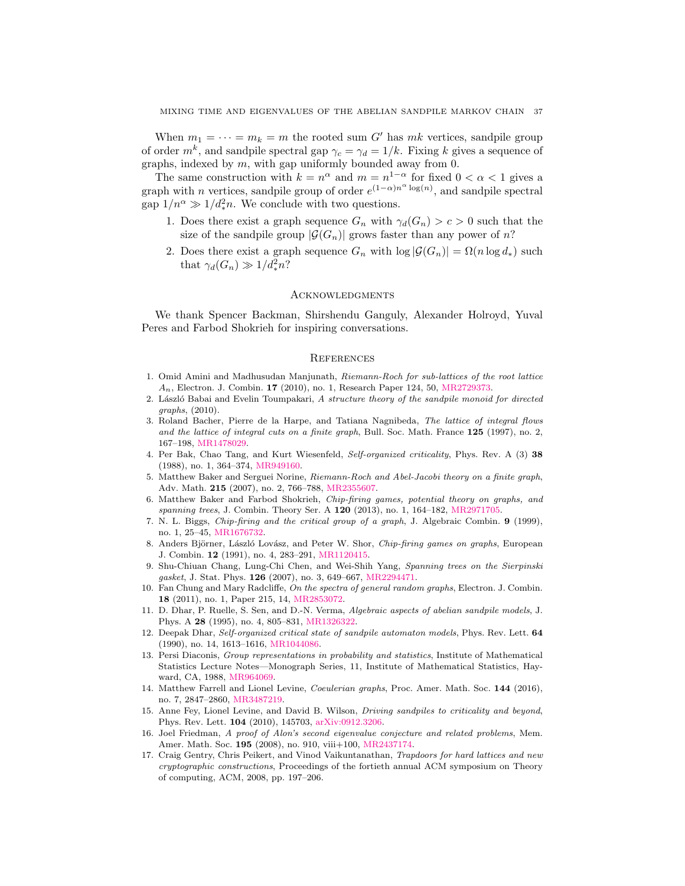When  $m_1 = \cdots = m_k = m$  the rooted sum G' has mk vertices, sandpile group of order  $m^k$ , and sandpile spectral gap  $\gamma_c = \gamma_d = 1/k$ . Fixing k gives a sequence of graphs, indexed by  $m$ , with gap uniformly bounded away from  $0$ .

The same construction with  $k = n^{\alpha}$  and  $m = n^{1-\alpha}$  for fixed  $0 < \alpha < 1$  gives a graph with *n* vertices, sandpile group of order  $e^{(1-\alpha)n^{\alpha}\log(n)}$ , and sandpile spectral gap  $1/n^{\alpha} \gg 1/d_*^2 n$ . We conclude with two questions.

- 1. Does there exist a graph sequence  $G_n$  with  $\gamma_d(G_n) > c > 0$  such that the size of the sandpile group  $|\mathcal{G}(G_n)|$  grows faster than any power of n?
- 2. Does there exist a graph sequence  $G_n$  with  $\log |\mathcal{G}(G_n)| = \Omega(n \log d_*)$  such that  $\gamma_d(G_n) \gg 1/d_*^2 n$ ?

### **ACKNOWLEDGMENTS**

We thank Spencer Backman, Shirshendu Ganguly, Alexander Holroyd, Yuval Peres and Farbod Shokrieh for inspiring conversations.

#### **REFERENCES**

- <span id="page-36-7"></span>1. Omid Amini and Madhusudan Manjunath, Riemann-Roch for sub-lattices of the root lattice  $A_n$ , Electron. J. Combin. 17 (2010), no. 1, Research Paper 124, 50, [MR2729373.](http://www.ams.org/mathscinet-getitem?mr=2729373)
- <span id="page-36-11"></span>2. László Babai and Evelin Toumpakari, A structure theory of the sandpile monoid for directed graphs, (2010).
- <span id="page-36-5"></span>3. Roland Bacher, Pierre de la Harpe, and Tatiana Nagnibeda, The lattice of integral flows and the lattice of integral cuts on a finite graph, Bull. Soc. Math. France 125 (1997), no. 2, 167–198, [MR1478029.](http://www.ams.org/mathscinet-getitem?mr=1478029)
- <span id="page-36-0"></span>4. Per Bak, Chao Tang, and Kurt Wiesenfeld, Self-organized criticality, Phys. Rev. A (3) 38 (1988), no. 1, 364–374, [MR949160.](http://www.ams.org/mathscinet-getitem?mr=949160)
- <span id="page-36-8"></span>5. Matthew Baker and Serguei Norine, Riemann-Roch and Abel-Jacobi theory on a finite graph, Adv. Math. 215 (2007), no. 2, 766–788, [MR2355607.](http://www.ams.org/mathscinet-getitem?mr=2355607)
- <span id="page-36-9"></span>6. Matthew Baker and Farbod Shokrieh, Chip-firing games, potential theory on graphs, and spanning trees, J. Combin. Theory Ser. A 120 (2013), no. 1, 164-182, [MR2971705.](http://www.ams.org/mathscinet-getitem?mr=2971705)
- <span id="page-36-6"></span>7. N. L. Biggs, Chip-firing and the critical group of a graph, J. Algebraic Combin. 9 (1999), no. 1, 25–45, [MR1676732.](http://www.ams.org/mathscinet-getitem?mr=1676732)
- <span id="page-36-4"></span>8. Anders Björner, László Lovász, and Peter W. Shor, Chip-firing games on graphs, European J. Combin. 12 (1991), no. 4, 283–291, [MR1120415.](http://www.ams.org/mathscinet-getitem?mr=1120415)
- <span id="page-36-14"></span>9. Shu-Chiuan Chang, Lung-Chi Chen, and Wei-Shih Yang, Spanning trees on the Sierpinski gasket, J. Stat. Phys. 126 (2007), no. 3, 649–667, [MR2294471.](http://www.ams.org/mathscinet-getitem?mr=2294471)
- <span id="page-36-16"></span>10. Fan Chung and Mary Radcliffe, On the spectra of general random graphs, Electron. J. Combin. 18 (2011), no. 1, Paper 215, 14, [MR2853072.](http://www.ams.org/mathscinet-getitem?mr=2853072)
- <span id="page-36-3"></span>11. D. Dhar, P. Ruelle, S. Sen, and D.-N. Verma, Algebraic aspects of abelian sandpile models, J. Phys. A 28 (1995), no. 4, 805–831, [MR1326322.](http://www.ams.org/mathscinet-getitem?mr=1326322)
- <span id="page-36-1"></span>12. Deepak Dhar, Self-organized critical state of sandpile automaton models, Phys. Rev. Lett. 64 (1990), no. 14, 1613–1616, [MR1044086.](http://www.ams.org/mathscinet-getitem?mr=1044086)
- <span id="page-36-12"></span>13. Persi Diaconis, Group representations in probability and statistics, Institute of Mathematical Statistics Lecture Notes—Monograph Series, 11, Institute of Mathematical Statistics, Hayward, CA, 1988, [MR964069.](http://www.ams.org/mathscinet-getitem?mr=964069)
- <span id="page-36-13"></span>14. Matthew Farrell and Lionel Levine, Coeulerian graphs, Proc. Amer. Math. Soc. 144 (2016), no. 7, 2847–2860, [MR3487219.](http://www.ams.org/mathscinet-getitem?mr=3487219)
- <span id="page-36-2"></span>15. Anne Fey, Lionel Levine, and David B. Wilson, Driving sandpiles to criticality and beyond, Phys. Rev. Lett. 104 (2010), 145703, [arXiv:0912.3206.](http://arxiv.org/abs/0912.3206)
- <span id="page-36-15"></span>16. Joel Friedman, A proof of Alon's second eigenvalue conjecture and related problems, Mem. Amer. Math. Soc. 195 (2008), no. 910, viii+100, [MR2437174.](http://www.ams.org/mathscinet-getitem?mr=2437174)
- <span id="page-36-10"></span>17. Craig Gentry, Chris Peikert, and Vinod Vaikuntanathan, Trapdoors for hard lattices and new cryptographic constructions, Proceedings of the fortieth annual ACM symposium on Theory of computing, ACM, 2008, pp. 197–206.